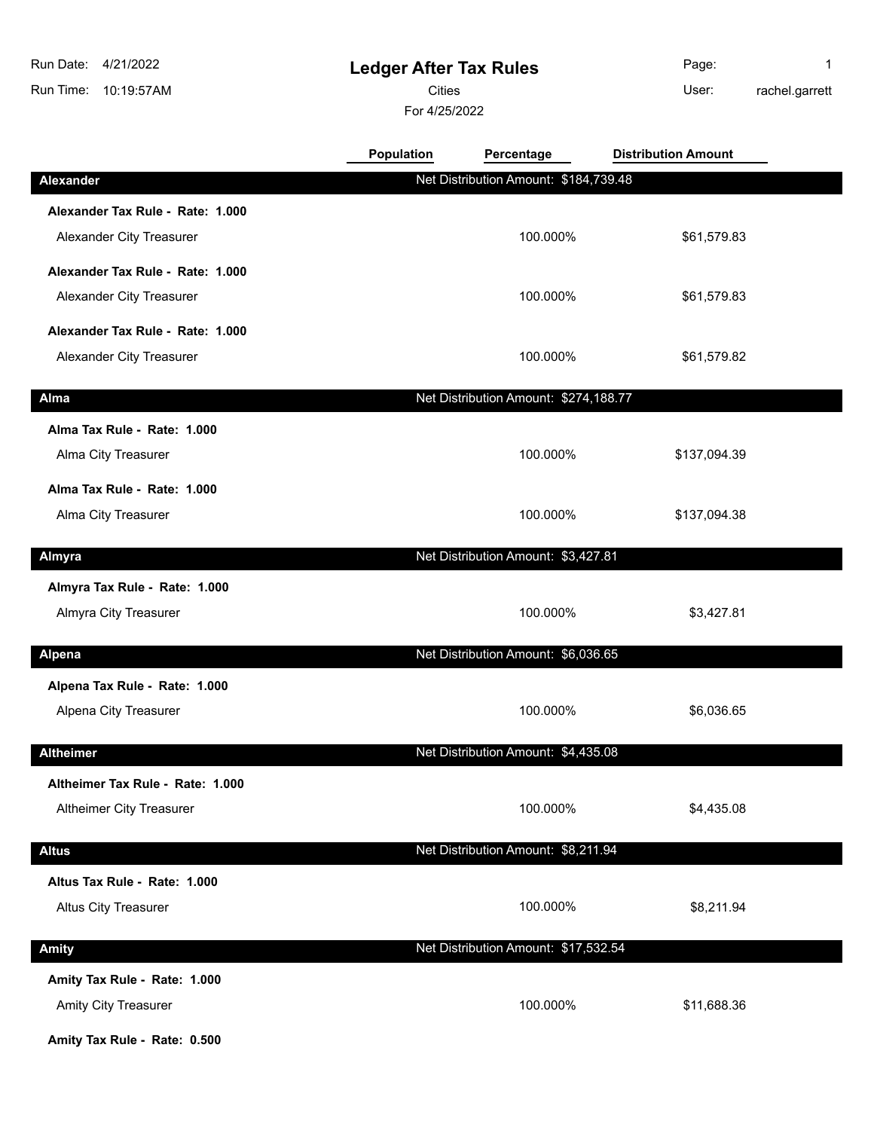## **Ledger After Tax Rules**

Cities **User:** 

For 4/25/2022

Page: 1 rachel.garrett

|                                                             | <b>Population</b> | Percentage                            | <b>Distribution Amount</b> |  |
|-------------------------------------------------------------|-------------------|---------------------------------------|----------------------------|--|
| Alexander                                                   |                   | Net Distribution Amount: \$184,739.48 |                            |  |
| Alexander Tax Rule - Rate: 1.000                            |                   |                                       |                            |  |
| Alexander City Treasurer                                    |                   | 100.000%                              | \$61,579.83                |  |
| Alexander Tax Rule - Rate: 1.000                            |                   |                                       |                            |  |
| Alexander City Treasurer                                    |                   | 100.000%                              | \$61,579.83                |  |
| Alexander Tax Rule - Rate: 1.000                            |                   |                                       |                            |  |
| Alexander City Treasurer                                    |                   | 100.000%                              | \$61,579.82                |  |
| Alma                                                        |                   | Net Distribution Amount: \$274,188.77 |                            |  |
|                                                             |                   |                                       |                            |  |
| Alma Tax Rule - Rate: 1.000                                 |                   |                                       |                            |  |
| Alma City Treasurer                                         |                   | 100.000%                              | \$137,094.39               |  |
| Alma Tax Rule - Rate: 1.000                                 |                   |                                       |                            |  |
| Alma City Treasurer                                         |                   | 100.000%                              | \$137,094.38               |  |
| Almyra                                                      |                   | Net Distribution Amount: \$3,427.81   |                            |  |
| Almyra Tax Rule - Rate: 1.000                               |                   |                                       |                            |  |
| Almyra City Treasurer                                       |                   | 100.000%                              | \$3,427.81                 |  |
|                                                             |                   |                                       |                            |  |
| <b>Alpena</b>                                               |                   | Net Distribution Amount: \$6,036.65   |                            |  |
| Alpena Tax Rule - Rate: 1.000                               |                   |                                       |                            |  |
| Alpena City Treasurer                                       |                   | 100.000%                              | \$6,036.65                 |  |
| <b>Altheimer</b>                                            |                   | Net Distribution Amount: \$4,435.08   |                            |  |
| Altheimer Tax Rule - Rate: 1.000                            |                   |                                       |                            |  |
| Altheimer City Treasurer                                    |                   | 100.000%                              | \$4,435.08                 |  |
| <b>Altus</b>                                                |                   | Net Distribution Amount: \$8,211.94   |                            |  |
|                                                             |                   |                                       |                            |  |
| Altus Tax Rule - Rate: 1.000<br><b>Altus City Treasurer</b> |                   | 100.000%                              | \$8,211.94                 |  |
|                                                             |                   |                                       |                            |  |
| Amity                                                       |                   | Net Distribution Amount: \$17,532.54  |                            |  |
| Amity Tax Rule - Rate: 1.000                                |                   |                                       |                            |  |
| Amity City Treasurer                                        |                   | 100.000%                              | \$11,688.36                |  |

**Amity Tax Rule - Rate: 0.500**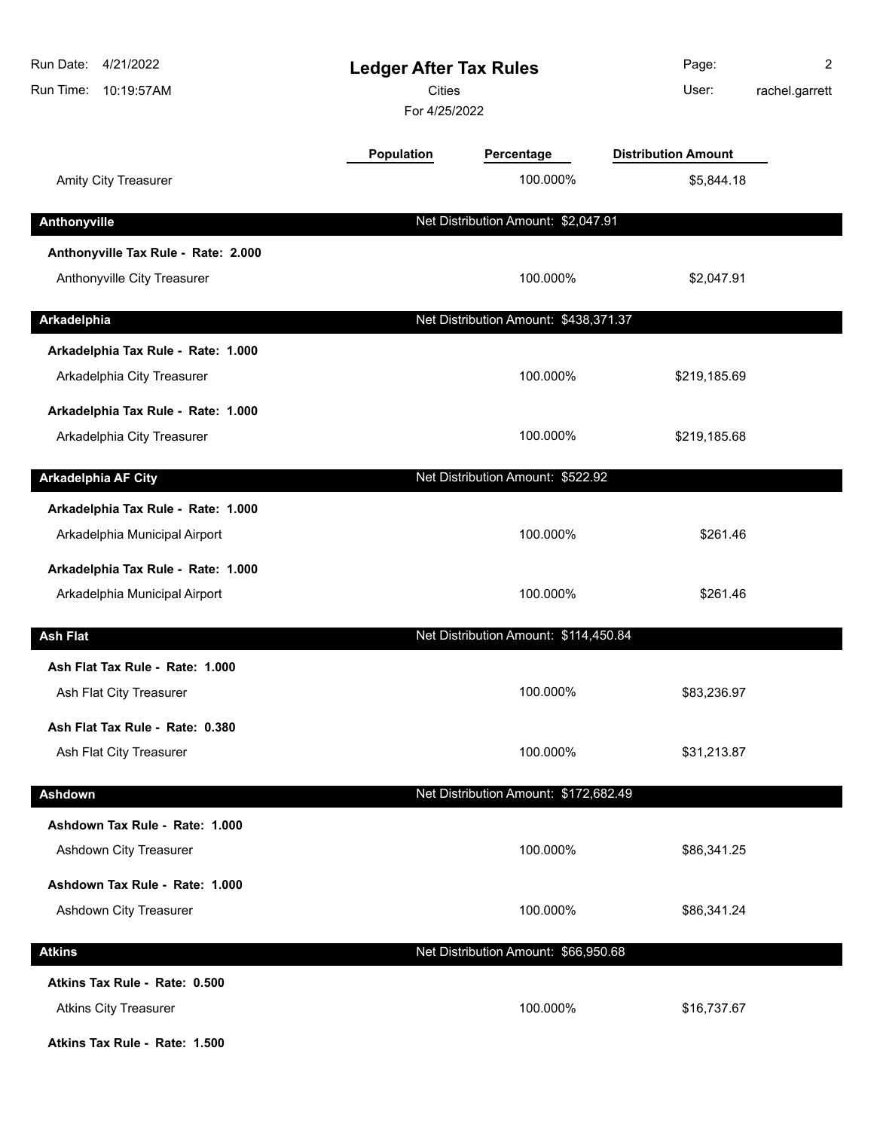| Run Date: 4/21/2022<br>10:19:57AM<br>Run Time: | <b>Ledger After Tax Rules</b><br><b>Cities</b><br>For 4/25/2022 |                                       | Page:<br>User:             | 2<br>rachel.garrett |
|------------------------------------------------|-----------------------------------------------------------------|---------------------------------------|----------------------------|---------------------|
|                                                | <b>Population</b>                                               | Percentage                            | <b>Distribution Amount</b> |                     |
| <b>Amity City Treasurer</b>                    |                                                                 | 100.000%                              | \$5,844.18                 |                     |
| Anthonyville                                   |                                                                 | Net Distribution Amount: \$2,047.91   |                            |                     |
| Anthonyville Tax Rule - Rate: 2.000            |                                                                 |                                       |                            |                     |
| Anthonyville City Treasurer                    |                                                                 | 100.000%                              | \$2,047.91                 |                     |
| Arkadelphia                                    |                                                                 | Net Distribution Amount: \$438,371.37 |                            |                     |
| Arkadelphia Tax Rule - Rate: 1.000             |                                                                 |                                       |                            |                     |
| Arkadelphia City Treasurer                     |                                                                 | 100.000%                              | \$219,185.69               |                     |
| Arkadelphia Tax Rule - Rate: 1.000             |                                                                 |                                       |                            |                     |
| Arkadelphia City Treasurer                     |                                                                 | 100.000%                              | \$219,185.68               |                     |
| <b>Arkadelphia AF City</b>                     |                                                                 | Net Distribution Amount: \$522.92     |                            |                     |
| Arkadelphia Tax Rule - Rate: 1.000             |                                                                 |                                       |                            |                     |
| Arkadelphia Municipal Airport                  |                                                                 | 100.000%                              | \$261.46                   |                     |
| Arkadelphia Tax Rule - Rate: 1.000             |                                                                 |                                       |                            |                     |
| Arkadelphia Municipal Airport                  |                                                                 | 100.000%                              | \$261.46                   |                     |
| <b>Ash Flat</b>                                |                                                                 | Net Distribution Amount: \$114,450.84 |                            |                     |
| Ash Flat Tax Rule - Rate: 1.000                |                                                                 |                                       |                            |                     |
| Ash Flat City Treasurer                        |                                                                 | 100.000%                              | \$83,236.97                |                     |
| Ash Flat Tax Rule - Rate: 0.380                |                                                                 |                                       |                            |                     |
| Ash Flat City Treasurer                        |                                                                 | 100.000%                              | \$31,213.87                |                     |
| <b>Ashdown</b>                                 |                                                                 | Net Distribution Amount: \$172,682.49 |                            |                     |
| Ashdown Tax Rule - Rate: 1.000                 |                                                                 |                                       |                            |                     |
| Ashdown City Treasurer                         |                                                                 | 100.000%                              | \$86,341.25                |                     |
| Ashdown Tax Rule - Rate: 1.000                 |                                                                 |                                       |                            |                     |
| Ashdown City Treasurer                         |                                                                 | 100.000%                              | \$86,341.24                |                     |
| <b>Atkins</b>                                  |                                                                 | Net Distribution Amount: \$66,950.68  |                            |                     |
| Atkins Tax Rule - Rate: 0.500                  |                                                                 |                                       |                            |                     |
| <b>Atkins City Treasurer</b>                   |                                                                 | 100.000%                              | \$16,737.67                |                     |

**Atkins Tax Rule - Rate: 1.500**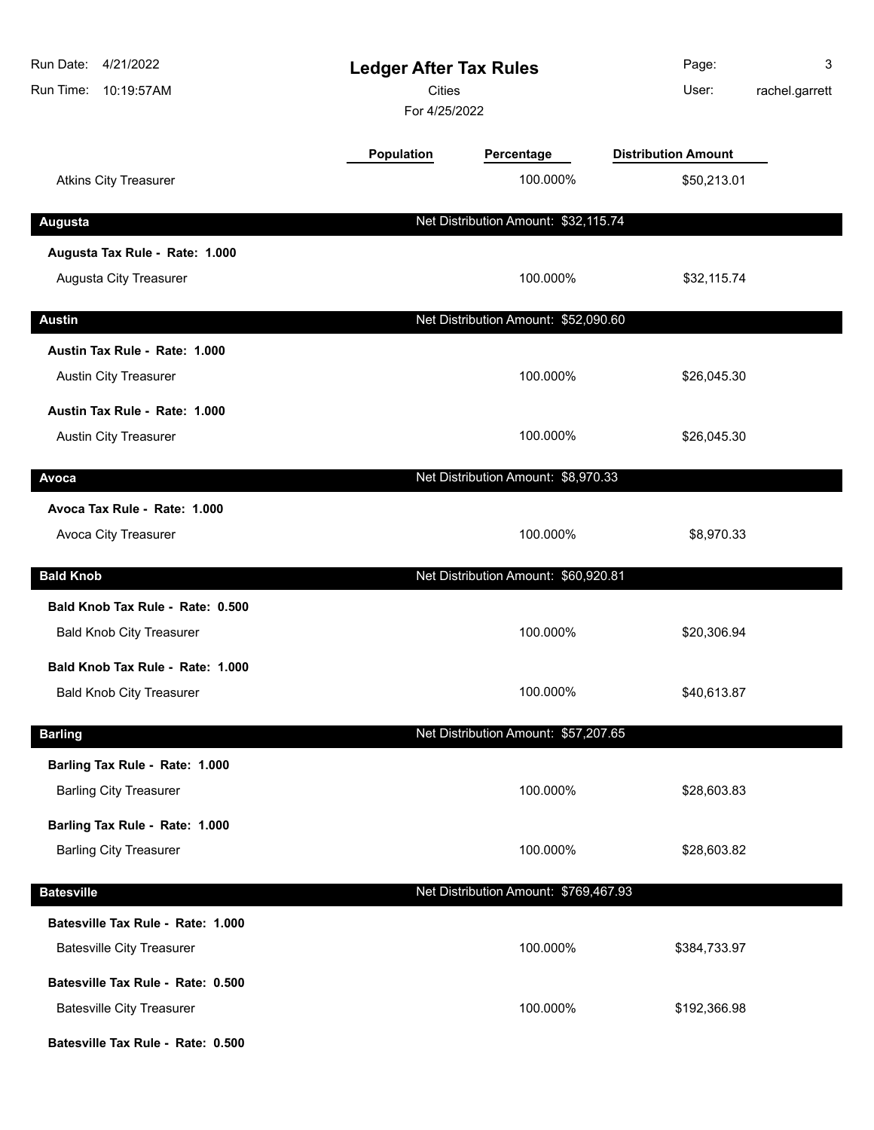| Run Date: 4/21/2022<br>Run Time: 10:19:57AM | <b>Ledger After Tax Rules</b><br><b>Cities</b><br>For 4/25/2022 |                                       | Page:<br>User:             | 3<br>rachel.garrett |
|---------------------------------------------|-----------------------------------------------------------------|---------------------------------------|----------------------------|---------------------|
|                                             | <b>Population</b>                                               | Percentage                            | <b>Distribution Amount</b> |                     |
| <b>Atkins City Treasurer</b>                |                                                                 | 100.000%                              | \$50,213.01                |                     |
| <b>Augusta</b>                              |                                                                 | Net Distribution Amount: \$32,115.74  |                            |                     |
| Augusta Tax Rule - Rate: 1.000              |                                                                 |                                       |                            |                     |
| Augusta City Treasurer                      |                                                                 | 100.000%                              | \$32,115.74                |                     |
| <b>Austin</b>                               |                                                                 | Net Distribution Amount: \$52,090.60  |                            |                     |
| Austin Tax Rule - Rate: 1.000               |                                                                 |                                       |                            |                     |
| <b>Austin City Treasurer</b>                |                                                                 | 100.000%                              | \$26,045.30                |                     |
| Austin Tax Rule - Rate: 1.000               |                                                                 |                                       |                            |                     |
| Austin City Treasurer                       |                                                                 | 100.000%                              | \$26,045.30                |                     |
| Avoca                                       |                                                                 | Net Distribution Amount: \$8,970.33   |                            |                     |
| Avoca Tax Rule - Rate: 1.000                |                                                                 |                                       |                            |                     |
| Avoca City Treasurer                        |                                                                 | 100.000%                              | \$8,970.33                 |                     |
| <b>Bald Knob</b>                            |                                                                 | Net Distribution Amount: \$60,920.81  |                            |                     |
| Bald Knob Tax Rule - Rate: 0.500            |                                                                 |                                       |                            |                     |
| <b>Bald Knob City Treasurer</b>             |                                                                 | 100.000%                              | \$20,306.94                |                     |
| Bald Knob Tax Rule - Rate: 1.000            |                                                                 |                                       |                            |                     |
| <b>Bald Knob City Treasurer</b>             |                                                                 | 100.000%                              | \$40,613.87                |                     |
| <b>Barling</b>                              |                                                                 | Net Distribution Amount: \$57,207.65  |                            |                     |
| Barling Tax Rule - Rate: 1.000              |                                                                 |                                       |                            |                     |
| <b>Barling City Treasurer</b>               |                                                                 | 100.000%                              | \$28,603.83                |                     |
| Barling Tax Rule - Rate: 1.000              |                                                                 |                                       |                            |                     |
| <b>Barling City Treasurer</b>               |                                                                 | 100.000%                              | \$28,603.82                |                     |
| <b>Batesville</b>                           |                                                                 | Net Distribution Amount: \$769,467.93 |                            |                     |
| Batesville Tax Rule - Rate: 1.000           |                                                                 |                                       |                            |                     |
| <b>Batesville City Treasurer</b>            |                                                                 | 100.000%                              | \$384,733.97               |                     |
| Batesville Tax Rule - Rate: 0.500           |                                                                 |                                       |                            |                     |
| <b>Batesville City Treasurer</b>            |                                                                 | 100.000%                              | \$192,366.98               |                     |
| Batesville Tax Rule - Rate: 0.500           |                                                                 |                                       |                            |                     |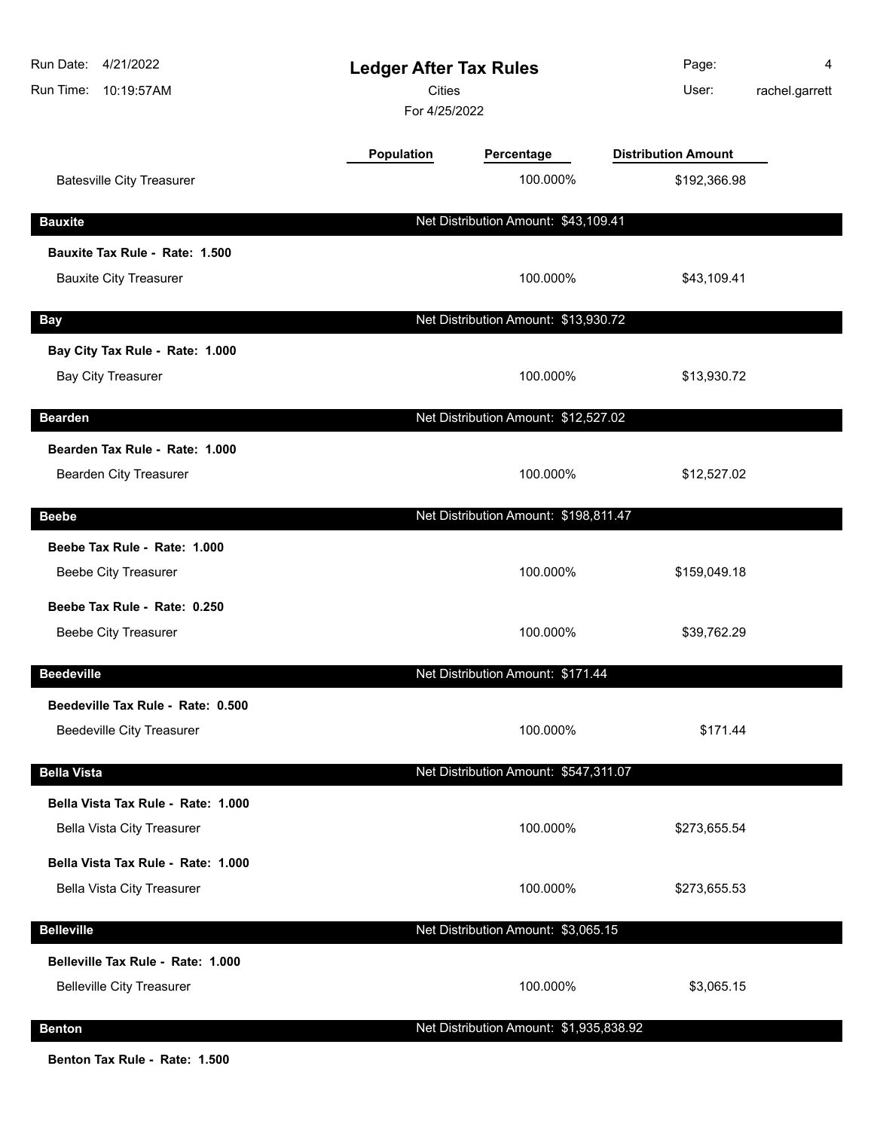| Run Date:<br>4/21/2022<br>Run Time:<br>10:19:57AM                       | <b>Cities</b> | <b>Ledger After Tax Rules</b><br>For 4/25/2022 |                            | 4<br>rachel.garrett |
|-------------------------------------------------------------------------|---------------|------------------------------------------------|----------------------------|---------------------|
|                                                                         | Population    | Percentage                                     | <b>Distribution Amount</b> |                     |
| <b>Batesville City Treasurer</b>                                        |               | 100.000%                                       | \$192,366.98               |                     |
| <b>Bauxite</b>                                                          |               | Net Distribution Amount: \$43,109.41           |                            |                     |
| Bauxite Tax Rule - Rate: 1.500<br><b>Bauxite City Treasurer</b>         |               | 100.000%                                       | \$43,109.41                |                     |
| <b>Bay</b>                                                              |               | Net Distribution Amount: \$13,930.72           |                            |                     |
| Bay City Tax Rule - Rate: 1.000<br><b>Bay City Treasurer</b>            |               | 100.000%                                       | \$13,930.72                |                     |
| <b>Bearden</b>                                                          |               | Net Distribution Amount: \$12,527.02           |                            |                     |
| Bearden Tax Rule - Rate: 1.000<br>Bearden City Treasurer                |               | 100.000%                                       | \$12,527.02                |                     |
| <b>Beebe</b>                                                            |               | Net Distribution Amount: \$198,811.47          |                            |                     |
| Beebe Tax Rule - Rate: 1.000<br><b>Beebe City Treasurer</b>             |               | 100.000%                                       | \$159,049.18               |                     |
| Beebe Tax Rule - Rate: 0.250<br><b>Beebe City Treasurer</b>             |               | 100.000%                                       | \$39,762.29                |                     |
| <b>Beedeville</b>                                                       |               | Net Distribution Amount: \$171.44              |                            |                     |
| Beedeville Tax Rule - Rate: 0.500<br><b>Beedeville City Treasurer</b>   |               | 100.000%                                       | \$171.44                   |                     |
| <b>Bella Vista</b>                                                      |               | Net Distribution Amount: \$547,311.07          |                            |                     |
| Bella Vista Tax Rule - Rate: 1.000<br><b>Bella Vista City Treasurer</b> |               | 100.000%                                       | \$273,655.54               |                     |
| Bella Vista Tax Rule - Rate: 1.000<br>Bella Vista City Treasurer        |               | 100.000%                                       | \$273,655.53               |                     |
| <b>Belleville</b>                                                       |               | Net Distribution Amount: \$3,065.15            |                            |                     |
| Belleville Tax Rule - Rate: 1.000<br><b>Belleville City Treasurer</b>   |               | 100.000%                                       | \$3,065.15                 |                     |
| <b>Benton</b>                                                           |               | Net Distribution Amount: \$1,935,838.92        |                            |                     |

**Benton Tax Rule - Rate: 1.500**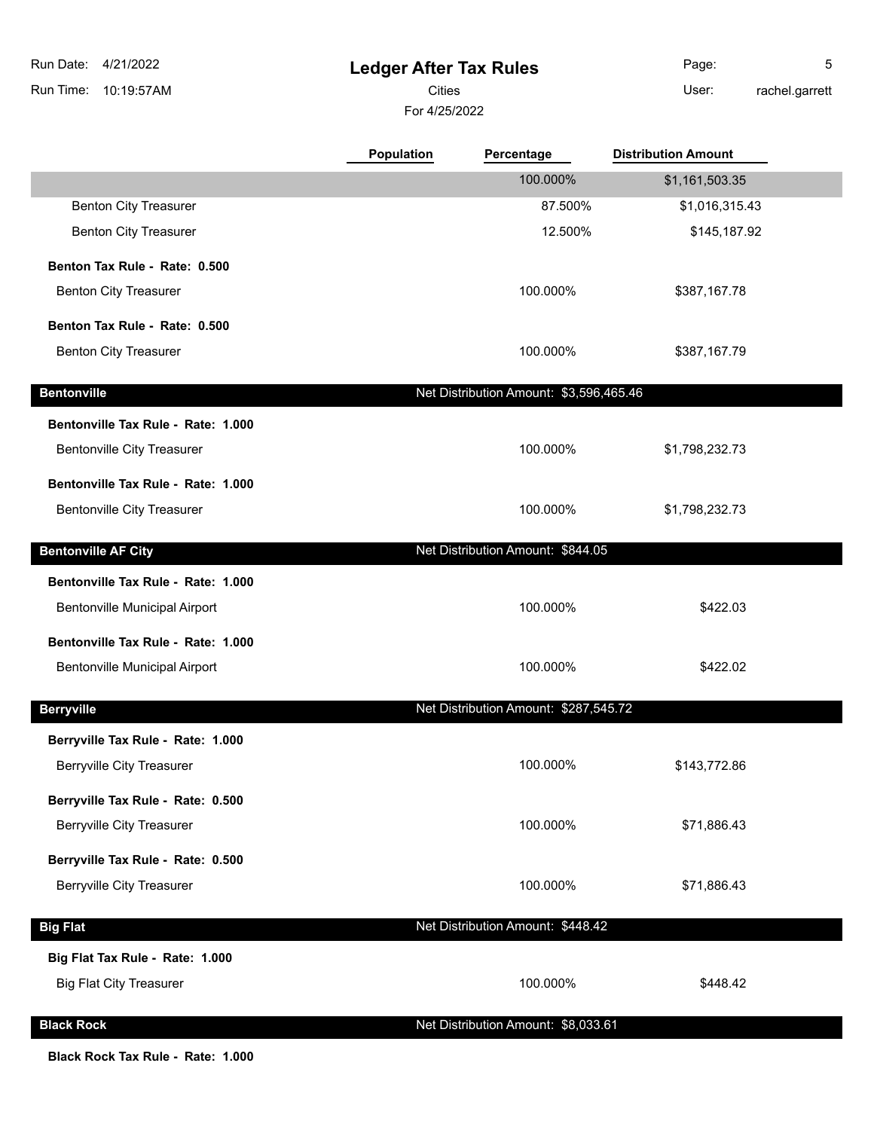## **Ledger After Tax Rules**

For 4/25/2022 Cities User:

Page: 5 rachel.garrett

|                                    | <b>Population</b> | Percentage                              | <b>Distribution Amount</b> |  |
|------------------------------------|-------------------|-----------------------------------------|----------------------------|--|
|                                    |                   | 100.000%                                | \$1,161,503.35             |  |
| <b>Benton City Treasurer</b>       |                   | 87.500%                                 | \$1,016,315.43             |  |
| <b>Benton City Treasurer</b>       |                   | 12.500%                                 | \$145,187.92               |  |
| Benton Tax Rule - Rate: 0.500      |                   |                                         |                            |  |
| <b>Benton City Treasurer</b>       |                   | 100.000%                                | \$387,167.78               |  |
| Benton Tax Rule - Rate: 0.500      |                   |                                         |                            |  |
| <b>Benton City Treasurer</b>       |                   | 100.000%                                | \$387,167.79               |  |
| <b>Bentonville</b>                 |                   | Net Distribution Amount: \$3,596,465.46 |                            |  |
| Bentonville Tax Rule - Rate: 1.000 |                   |                                         |                            |  |
| <b>Bentonville City Treasurer</b>  |                   | 100.000%                                | \$1,798,232.73             |  |
| Bentonville Tax Rule - Rate: 1.000 |                   |                                         |                            |  |
| <b>Bentonville City Treasurer</b>  |                   | 100.000%                                | \$1,798,232.73             |  |
|                                    |                   |                                         |                            |  |
| <b>Bentonville AF City</b>         |                   | Net Distribution Amount: \$844.05       |                            |  |
| Bentonville Tax Rule - Rate: 1.000 |                   |                                         |                            |  |
| Bentonville Municipal Airport      |                   | 100.000%                                | \$422.03                   |  |
| Bentonville Tax Rule - Rate: 1.000 |                   |                                         |                            |  |
| Bentonville Municipal Airport      |                   | 100.000%                                | \$422.02                   |  |
| <b>Berryville</b>                  |                   | Net Distribution Amount: \$287,545.72   |                            |  |
| Berryville Tax Rule - Rate: 1.000  |                   |                                         |                            |  |
| <b>Berryville City Treasurer</b>   |                   | 100.000%                                | \$143,772.86               |  |
| Berryville Tax Rule - Rate: 0.500  |                   |                                         |                            |  |
| <b>Berryville City Treasurer</b>   |                   | 100.000%                                | \$71,886.43                |  |
| Berryville Tax Rule - Rate: 0.500  |                   |                                         |                            |  |
| <b>Berryville City Treasurer</b>   |                   | 100.000%                                | \$71,886.43                |  |
| <b>Big Flat</b>                    |                   | Net Distribution Amount: \$448.42       |                            |  |
| Big Flat Tax Rule - Rate: 1.000    |                   |                                         |                            |  |
| <b>Big Flat City Treasurer</b>     |                   | 100.000%                                | \$448.42                   |  |
|                                    |                   |                                         |                            |  |
| <b>Black Rock</b>                  |                   | Net Distribution Amount: \$8,033.61     |                            |  |

**Black Rock Tax Rule - Rate: 1.000**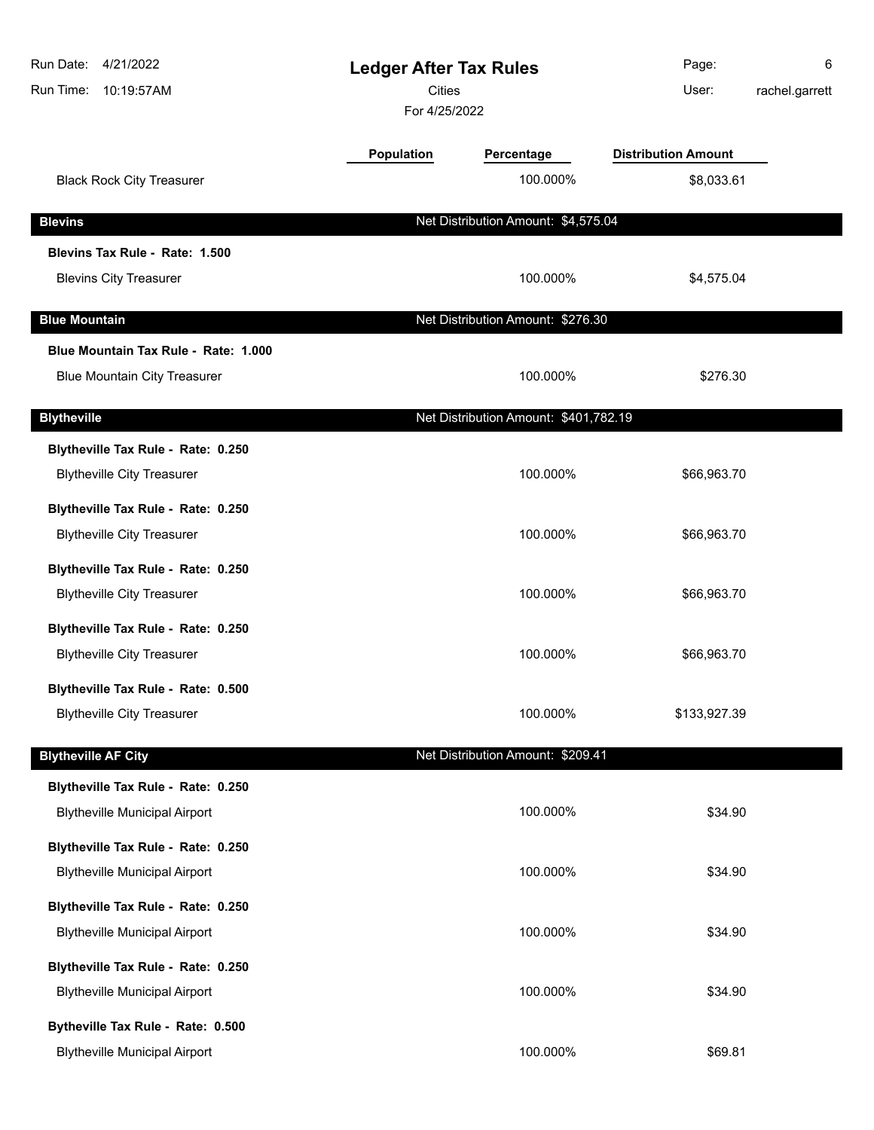| Run Date:<br>4/21/2022<br>Run Time:<br>10:19:57AM |            | <b>Ledger After Tax Rules</b><br><b>Cities</b><br>For 4/25/2022 |                            | 6<br>rachel.garrett |
|---------------------------------------------------|------------|-----------------------------------------------------------------|----------------------------|---------------------|
|                                                   | Population | Percentage                                                      | <b>Distribution Amount</b> |                     |
| <b>Black Rock City Treasurer</b>                  |            | 100.000%                                                        | \$8,033.61                 |                     |
| <b>Blevins</b>                                    |            | Net Distribution Amount: \$4,575.04                             |                            |                     |
| Blevins Tax Rule - Rate: 1.500                    |            |                                                                 |                            |                     |
| <b>Blevins City Treasurer</b>                     |            | 100.000%                                                        | \$4,575.04                 |                     |
| <b>Blue Mountain</b>                              |            | Net Distribution Amount: \$276.30                               |                            |                     |
| Blue Mountain Tax Rule - Rate: 1.000              |            |                                                                 |                            |                     |
| <b>Blue Mountain City Treasurer</b>               |            | 100.000%                                                        | \$276.30                   |                     |
| <b>Blytheville</b>                                |            | Net Distribution Amount: \$401,782.19                           |                            |                     |
| Blytheville Tax Rule - Rate: 0.250                |            |                                                                 |                            |                     |
| <b>Blytheville City Treasurer</b>                 |            | 100.000%                                                        | \$66,963.70                |                     |
| Blytheville Tax Rule - Rate: 0.250                |            |                                                                 |                            |                     |
| <b>Blytheville City Treasurer</b>                 |            | 100.000%                                                        | \$66,963.70                |                     |
| Blytheville Tax Rule - Rate: 0.250                |            |                                                                 |                            |                     |
| <b>Blytheville City Treasurer</b>                 |            | 100.000%                                                        | \$66,963.70                |                     |
| Blytheville Tax Rule - Rate: 0.250                |            |                                                                 |                            |                     |
| <b>Blytheville City Treasurer</b>                 |            | 100.000%                                                        | \$66,963.70                |                     |
| Blytheville Tax Rule - Rate: 0.500                |            |                                                                 |                            |                     |
| <b>Blytheville City Treasurer</b>                 |            | 100.000%                                                        | \$133,927.39               |                     |
| <b>Blytheville AF City</b>                        |            | Net Distribution Amount: \$209.41                               |                            |                     |
| Blytheville Tax Rule - Rate: 0.250                |            |                                                                 |                            |                     |
| <b>Blytheville Municipal Airport</b>              |            | 100.000%                                                        | \$34.90                    |                     |
| Blytheville Tax Rule - Rate: 0.250                |            |                                                                 |                            |                     |
| <b>Blytheville Municipal Airport</b>              |            | 100.000%                                                        | \$34.90                    |                     |
| Blytheville Tax Rule - Rate: 0.250                |            |                                                                 |                            |                     |
| <b>Blytheville Municipal Airport</b>              |            | 100.000%                                                        | \$34.90                    |                     |
| Blytheville Tax Rule - Rate: 0.250                |            |                                                                 |                            |                     |
| <b>Blytheville Municipal Airport</b>              |            | 100.000%                                                        | \$34.90                    |                     |
| Bytheville Tax Rule - Rate: 0.500                 |            |                                                                 |                            |                     |
| <b>Blytheville Municipal Airport</b>              |            | 100.000%                                                        | \$69.81                    |                     |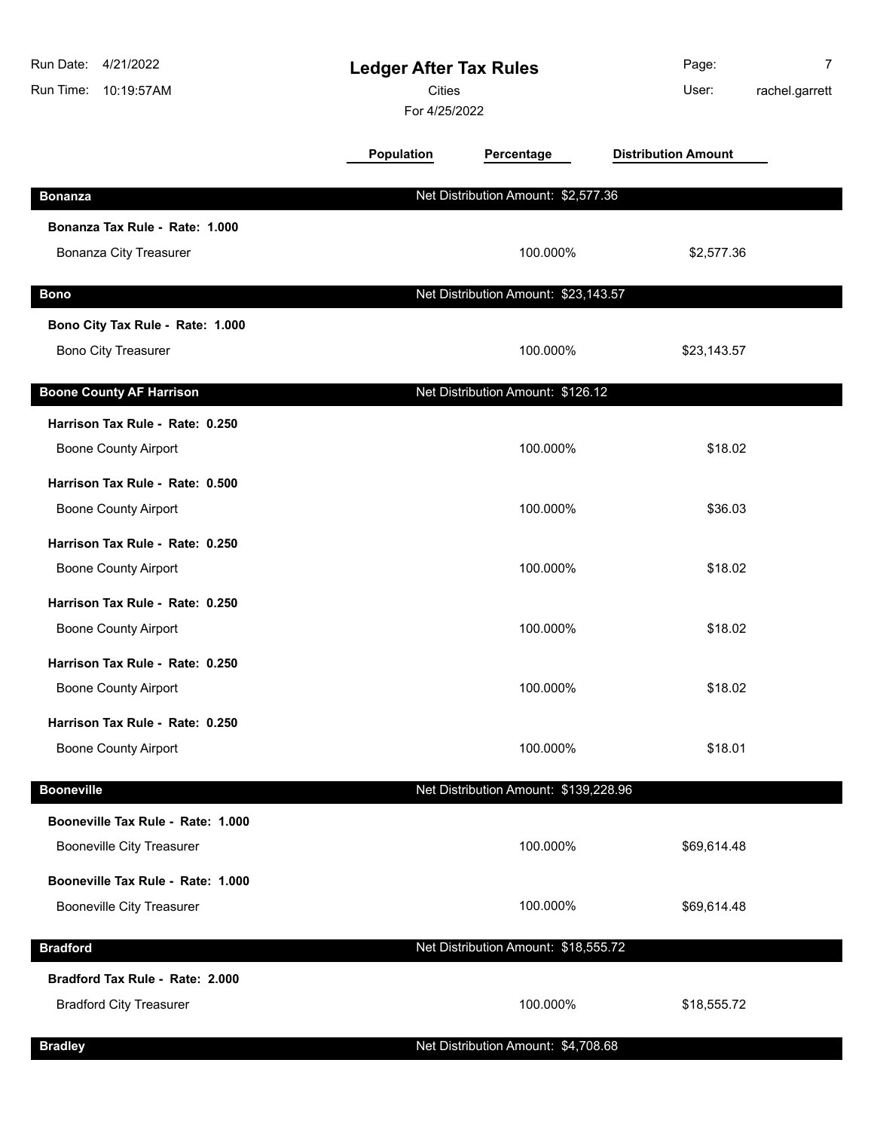| Run Date: 4/21/2022<br>Run Time: 10:19:57AM | <b>Ledger After Tax Rules</b><br><b>Cities</b><br>For 4/25/2022 |                                       | Page:<br>User:             | $\overline{7}$<br>rachel.garrett |
|---------------------------------------------|-----------------------------------------------------------------|---------------------------------------|----------------------------|----------------------------------|
|                                             | <b>Population</b>                                               | Percentage                            | <b>Distribution Amount</b> |                                  |
| <b>Bonanza</b>                              |                                                                 | Net Distribution Amount: \$2,577.36   |                            |                                  |
| Bonanza Tax Rule - Rate: 1.000              |                                                                 |                                       |                            |                                  |
| <b>Bonanza City Treasurer</b>               |                                                                 | 100.000%                              | \$2,577.36                 |                                  |
| <b>Bono</b>                                 |                                                                 | Net Distribution Amount: \$23,143.57  |                            |                                  |
| Bono City Tax Rule - Rate: 1.000            |                                                                 |                                       |                            |                                  |
| <b>Bono City Treasurer</b>                  |                                                                 | 100.000%                              | \$23,143.57                |                                  |
| <b>Boone County AF Harrison</b>             |                                                                 | Net Distribution Amount: \$126.12     |                            |                                  |
| Harrison Tax Rule - Rate: 0.250             |                                                                 |                                       |                            |                                  |
| <b>Boone County Airport</b>                 |                                                                 | 100.000%                              | \$18.02                    |                                  |
| Harrison Tax Rule - Rate: 0.500             |                                                                 |                                       |                            |                                  |
| <b>Boone County Airport</b>                 |                                                                 | 100.000%                              | \$36.03                    |                                  |
| Harrison Tax Rule - Rate: 0.250             |                                                                 |                                       |                            |                                  |
| <b>Boone County Airport</b>                 |                                                                 | 100.000%                              | \$18.02                    |                                  |
| Harrison Tax Rule - Rate: 0.250             |                                                                 |                                       |                            |                                  |
| <b>Boone County Airport</b>                 |                                                                 | 100.000%                              | \$18.02                    |                                  |
| Harrison Tax Rule - Rate: 0.250             |                                                                 |                                       |                            |                                  |
| Boone County Airport                        |                                                                 | 100.000%                              | \$18.02                    |                                  |
| Harrison Tax Rule - Rate: 0.250             |                                                                 |                                       |                            |                                  |
| <b>Boone County Airport</b>                 |                                                                 | 100.000%                              | \$18.01                    |                                  |
| <b>Booneville</b>                           |                                                                 | Net Distribution Amount: \$139,228.96 |                            |                                  |
| Booneville Tax Rule - Rate: 1.000           |                                                                 |                                       |                            |                                  |
| <b>Booneville City Treasurer</b>            |                                                                 | 100.000%                              | \$69,614.48                |                                  |
| Booneville Tax Rule - Rate: 1.000           |                                                                 |                                       |                            |                                  |
| <b>Booneville City Treasurer</b>            |                                                                 | 100.000%                              | \$69,614.48                |                                  |
| <b>Bradford</b>                             |                                                                 | Net Distribution Amount: \$18,555.72  |                            |                                  |
| Bradford Tax Rule - Rate: 2.000             |                                                                 |                                       |                            |                                  |
| <b>Bradford City Treasurer</b>              |                                                                 | 100.000%                              | \$18,555.72                |                                  |
| <b>Bradley</b>                              |                                                                 | Net Distribution Amount: \$4,708.68   |                            |                                  |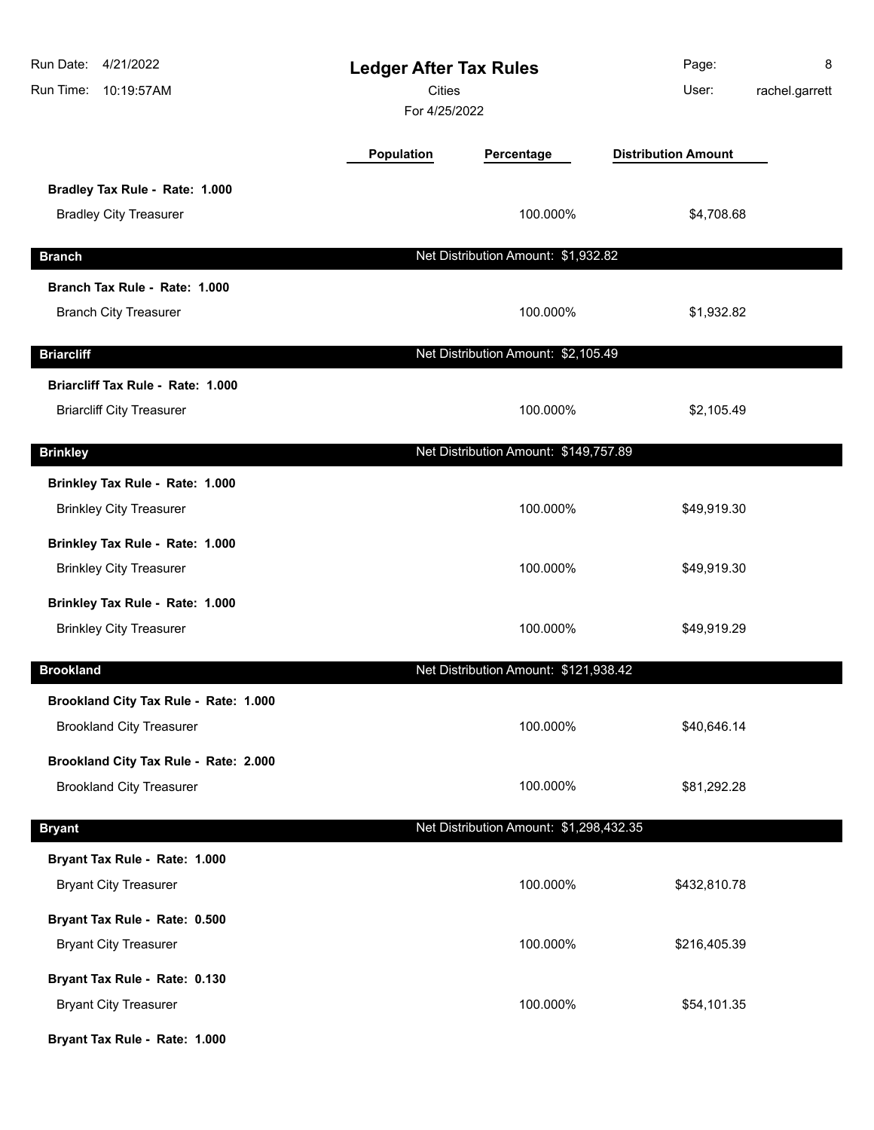| 4/21/2022<br>Run Date:<br>Run Time:<br>10:19:57AM | <b>Ledger After Tax Rules</b><br><b>Cities</b><br>For 4/25/2022 |                                         | Page:<br>User:             | 8<br>rachel.garrett |
|---------------------------------------------------|-----------------------------------------------------------------|-----------------------------------------|----------------------------|---------------------|
|                                                   | Population                                                      | Percentage                              | <b>Distribution Amount</b> |                     |
| Bradley Tax Rule - Rate: 1.000                    |                                                                 |                                         |                            |                     |
| <b>Bradley City Treasurer</b>                     |                                                                 | 100.000%                                | \$4,708.68                 |                     |
| <b>Branch</b>                                     |                                                                 | Net Distribution Amount: \$1,932.82     |                            |                     |
| Branch Tax Rule - Rate: 1.000                     |                                                                 |                                         |                            |                     |
| <b>Branch City Treasurer</b>                      |                                                                 | 100.000%                                | \$1,932.82                 |                     |
| <b>Briarcliff</b>                                 |                                                                 | Net Distribution Amount: \$2,105.49     |                            |                     |
| Briarcliff Tax Rule - Rate: 1.000                 |                                                                 |                                         |                            |                     |
| <b>Briarcliff City Treasurer</b>                  |                                                                 | 100.000%                                | \$2,105.49                 |                     |
| <b>Brinkley</b>                                   |                                                                 | Net Distribution Amount: \$149,757.89   |                            |                     |
| Brinkley Tax Rule - Rate: 1.000                   |                                                                 |                                         |                            |                     |
| <b>Brinkley City Treasurer</b>                    |                                                                 | 100.000%                                | \$49,919.30                |                     |
| Brinkley Tax Rule - Rate: 1.000                   |                                                                 |                                         |                            |                     |
| <b>Brinkley City Treasurer</b>                    |                                                                 | 100.000%                                | \$49,919.30                |                     |
| Brinkley Tax Rule - Rate: 1.000                   |                                                                 |                                         |                            |                     |
| <b>Brinkley City Treasurer</b>                    |                                                                 | 100.000%                                | \$49,919.29                |                     |
| <b>Brookland</b>                                  |                                                                 | Net Distribution Amount: \$121,938.42   |                            |                     |
| Brookland City Tax Rule - Rate: 1.000             |                                                                 |                                         |                            |                     |
| <b>Brookland City Treasurer</b>                   |                                                                 | 100.000%                                | \$40,646.14                |                     |
| Brookland City Tax Rule - Rate: 2.000             |                                                                 |                                         |                            |                     |
| <b>Brookland City Treasurer</b>                   |                                                                 | 100.000%                                | \$81,292.28                |                     |
| <b>Bryant</b>                                     |                                                                 | Net Distribution Amount: \$1,298,432.35 |                            |                     |
| Bryant Tax Rule - Rate: 1.000                     |                                                                 |                                         |                            |                     |
| <b>Bryant City Treasurer</b>                      |                                                                 | 100.000%                                | \$432,810.78               |                     |
| Bryant Tax Rule - Rate: 0.500                     |                                                                 |                                         |                            |                     |
| <b>Bryant City Treasurer</b>                      |                                                                 | 100.000%                                | \$216,405.39               |                     |
| Bryant Tax Rule - Rate: 0.130                     |                                                                 |                                         |                            |                     |
| <b>Bryant City Treasurer</b>                      |                                                                 | 100.000%                                | \$54,101.35                |                     |
| Bryant Tax Rule - Rate: 1.000                     |                                                                 |                                         |                            |                     |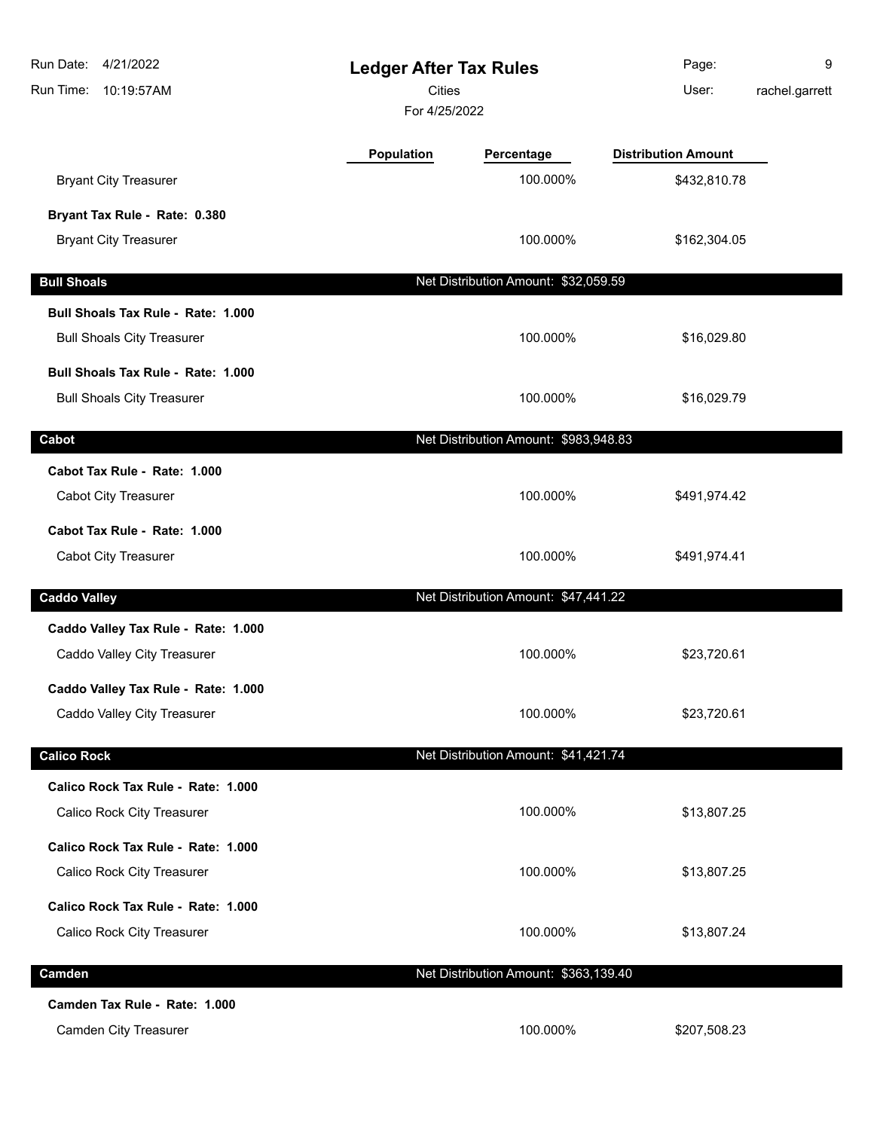| Run Date:<br>4/21/2022<br>Run Time:<br>10:19:57AM | <b>Ledger After Tax Rules</b><br><b>Cities</b><br>For 4/25/2022 |                                       | Page:<br>User:             | 9<br>rachel.garrett |
|---------------------------------------------------|-----------------------------------------------------------------|---------------------------------------|----------------------------|---------------------|
|                                                   | Population                                                      | Percentage                            | <b>Distribution Amount</b> |                     |
| <b>Bryant City Treasurer</b>                      |                                                                 | 100.000%                              | \$432,810.78               |                     |
| Bryant Tax Rule - Rate: 0.380                     |                                                                 |                                       |                            |                     |
| <b>Bryant City Treasurer</b>                      |                                                                 | 100.000%                              | \$162,304.05               |                     |
| <b>Bull Shoals</b>                                |                                                                 | Net Distribution Amount: \$32,059.59  |                            |                     |
| Bull Shoals Tax Rule - Rate: 1.000                |                                                                 |                                       |                            |                     |
| <b>Bull Shoals City Treasurer</b>                 |                                                                 | 100.000%                              | \$16,029.80                |                     |
| Bull Shoals Tax Rule - Rate: 1.000                |                                                                 |                                       |                            |                     |
| <b>Bull Shoals City Treasurer</b>                 |                                                                 | 100.000%                              | \$16,029.79                |                     |
| Cabot                                             |                                                                 | Net Distribution Amount: \$983,948.83 |                            |                     |
| Cabot Tax Rule - Rate: 1.000                      |                                                                 |                                       |                            |                     |
| <b>Cabot City Treasurer</b>                       |                                                                 | 100.000%                              | \$491,974.42               |                     |
| Cabot Tax Rule - Rate: 1.000                      |                                                                 |                                       |                            |                     |
| <b>Cabot City Treasurer</b>                       |                                                                 | 100.000%                              | \$491,974.41               |                     |
| <b>Caddo Valley</b>                               |                                                                 | Net Distribution Amount: \$47,441.22  |                            |                     |
| Caddo Valley Tax Rule - Rate: 1.000               |                                                                 |                                       |                            |                     |
| Caddo Valley City Treasurer                       |                                                                 | 100.000%                              | \$23,720.61                |                     |
| Caddo Valley Tax Rule - Rate: 1.000               |                                                                 |                                       |                            |                     |
| Caddo Valley City Treasurer                       |                                                                 | 100.000%                              | \$23,720.61                |                     |
| <b>Calico Rock</b>                                |                                                                 | Net Distribution Amount: \$41,421.74  |                            |                     |
| Calico Rock Tax Rule - Rate: 1.000                |                                                                 |                                       |                            |                     |
| Calico Rock City Treasurer                        |                                                                 | 100.000%                              | \$13,807.25                |                     |
| Calico Rock Tax Rule - Rate: 1.000                |                                                                 |                                       |                            |                     |
| Calico Rock City Treasurer                        |                                                                 | 100.000%                              | \$13,807.25                |                     |
| Calico Rock Tax Rule - Rate: 1.000                |                                                                 |                                       |                            |                     |
| Calico Rock City Treasurer                        |                                                                 | 100.000%                              | \$13,807.24                |                     |
| Camden                                            |                                                                 | Net Distribution Amount: \$363,139.40 |                            |                     |
| Camden Tax Rule - Rate: 1.000                     |                                                                 |                                       |                            |                     |
| <b>Camden City Treasurer</b>                      |                                                                 | 100.000%                              | \$207,508.23               |                     |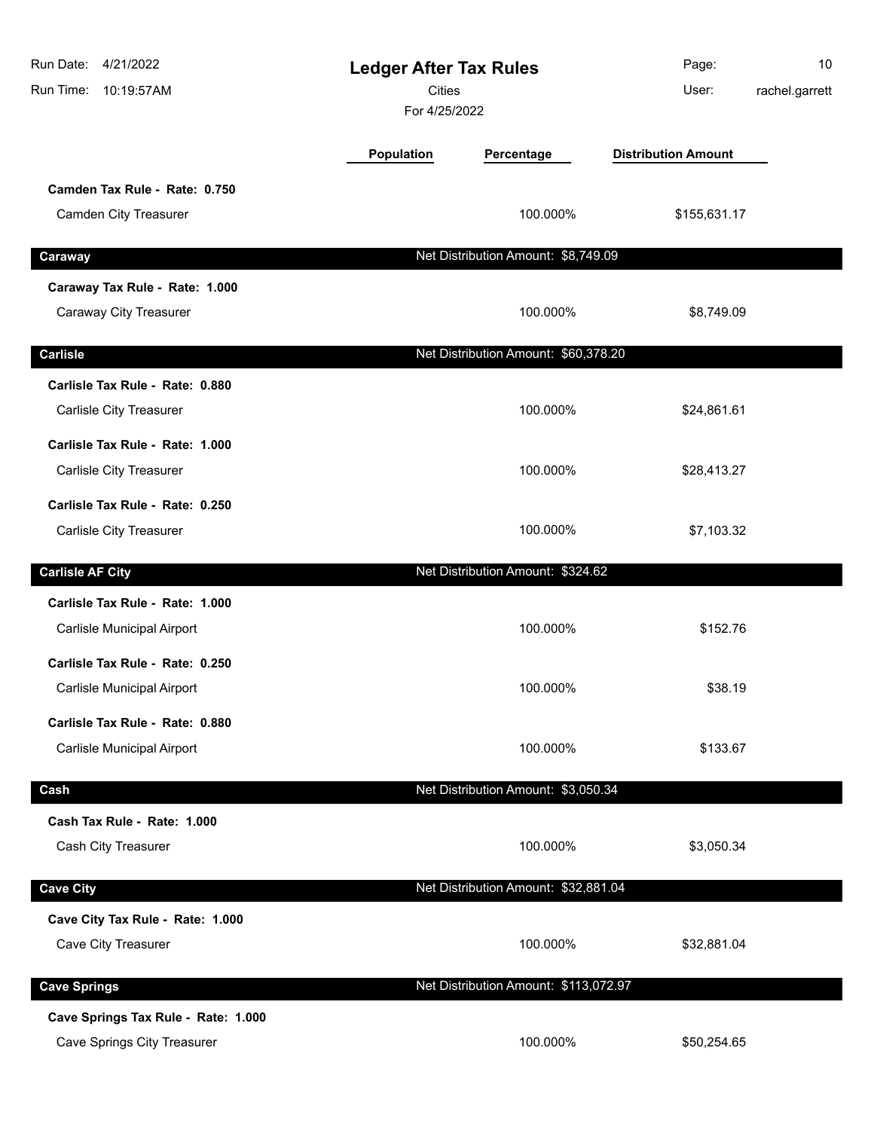| Run Date: 4/21/2022<br>Run Time:<br>10:19:57AM | <b>Ledger After Tax Rules</b><br><b>Cities</b><br>For 4/25/2022 |                                       | Page:<br>User:             | 10<br>rachel.garrett |
|------------------------------------------------|-----------------------------------------------------------------|---------------------------------------|----------------------------|----------------------|
|                                                | Population                                                      | Percentage                            | <b>Distribution Amount</b> |                      |
| Camden Tax Rule - Rate: 0.750                  |                                                                 |                                       |                            |                      |
| <b>Camden City Treasurer</b>                   |                                                                 | 100.000%                              | \$155,631.17               |                      |
| Caraway                                        |                                                                 | Net Distribution Amount: \$8,749.09   |                            |                      |
| Caraway Tax Rule - Rate: 1.000                 |                                                                 |                                       |                            |                      |
| Caraway City Treasurer                         |                                                                 | 100.000%                              | \$8,749.09                 |                      |
| <b>Carlisle</b>                                |                                                                 | Net Distribution Amount: \$60,378.20  |                            |                      |
| Carlisle Tax Rule - Rate: 0.880                |                                                                 |                                       |                            |                      |
| Carlisle City Treasurer                        |                                                                 | 100.000%                              | \$24,861.61                |                      |
| Carlisle Tax Rule - Rate: 1.000                |                                                                 |                                       |                            |                      |
| Carlisle City Treasurer                        |                                                                 | 100.000%                              | \$28,413.27                |                      |
| Carlisle Tax Rule - Rate: 0.250                |                                                                 |                                       |                            |                      |
| Carlisle City Treasurer                        |                                                                 | 100.000%                              | \$7,103.32                 |                      |
| <b>Carlisle AF City</b>                        |                                                                 | Net Distribution Amount: \$324.62     |                            |                      |
| Carlisle Tax Rule - Rate: 1.000                |                                                                 |                                       |                            |                      |
| Carlisle Municipal Airport                     |                                                                 | 100.000%                              | \$152.76                   |                      |
| Carlisle Tax Rule - Rate: 0.250                |                                                                 |                                       |                            |                      |
| Carlisle Municipal Airport                     |                                                                 | 100.000%                              | \$38.19                    |                      |
| Carlisle Tax Rule - Rate: 0.880                |                                                                 |                                       |                            |                      |
| <b>Carlisle Municipal Airport</b>              |                                                                 | 100.000%                              | \$133.67                   |                      |
| Cash                                           |                                                                 | Net Distribution Amount: \$3,050.34   |                            |                      |
| Cash Tax Rule - Rate: 1.000                    |                                                                 |                                       |                            |                      |
| Cash City Treasurer                            |                                                                 | 100.000%                              | \$3,050.34                 |                      |
| <b>Cave City</b>                               |                                                                 | Net Distribution Amount: \$32,881.04  |                            |                      |
| Cave City Tax Rule - Rate: 1.000               |                                                                 |                                       |                            |                      |
| Cave City Treasurer                            |                                                                 | 100.000%                              | \$32,881.04                |                      |
| <b>Cave Springs</b>                            |                                                                 | Net Distribution Amount: \$113,072.97 |                            |                      |
| Cave Springs Tax Rule - Rate: 1.000            |                                                                 |                                       |                            |                      |
| <b>Cave Springs City Treasurer</b>             |                                                                 | 100.000%                              | \$50,254.65                |                      |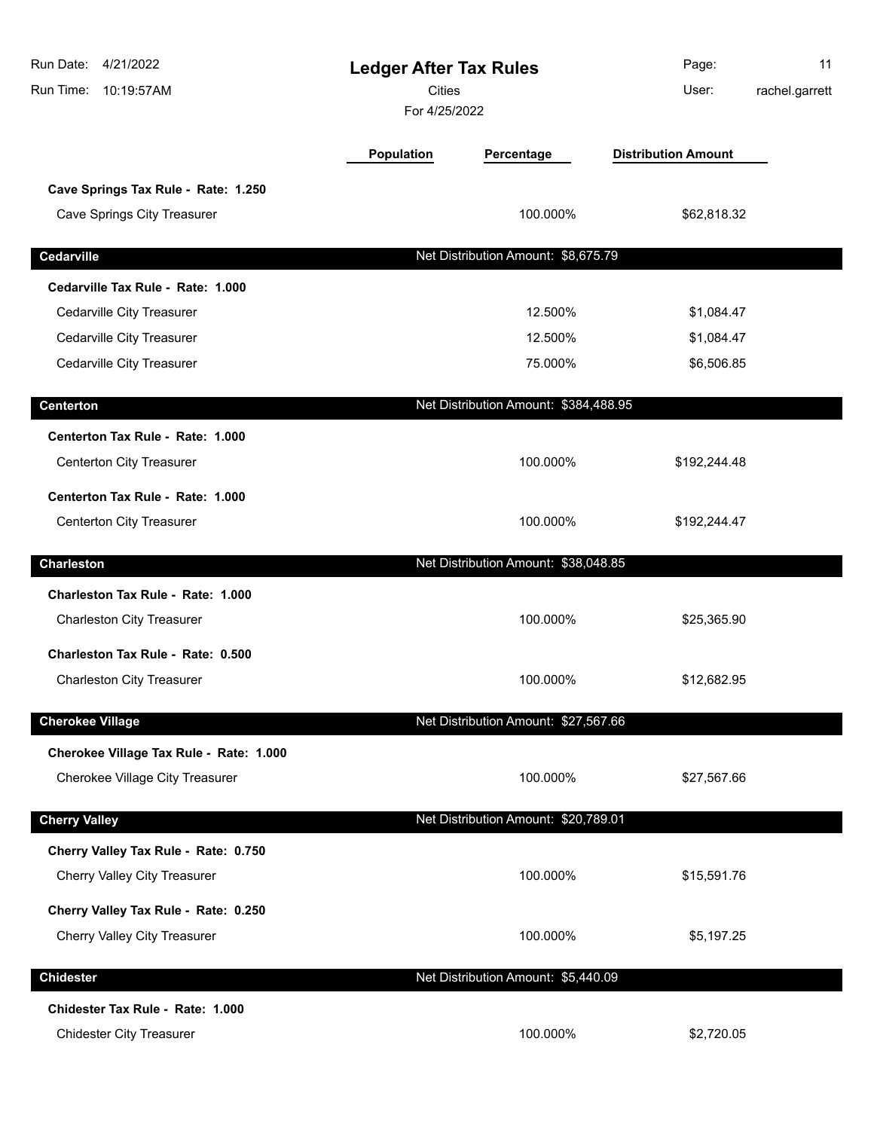| Run Date: 4/21/2022<br>Run Time:<br>10:19:57AM | <b>Ledger After Tax Rules</b><br><b>Cities</b><br>For 4/25/2022 |                                       | Page:<br>User:             | 11<br>rachel.garrett |
|------------------------------------------------|-----------------------------------------------------------------|---------------------------------------|----------------------------|----------------------|
|                                                | <b>Population</b>                                               | Percentage                            | <b>Distribution Amount</b> |                      |
| Cave Springs Tax Rule - Rate: 1.250            |                                                                 |                                       |                            |                      |
| <b>Cave Springs City Treasurer</b>             |                                                                 | 100.000%                              | \$62,818.32                |                      |
| Cedarville                                     |                                                                 | Net Distribution Amount: \$8,675.79   |                            |                      |
| Cedarville Tax Rule - Rate: 1.000              |                                                                 |                                       |                            |                      |
| Cedarville City Treasurer                      |                                                                 | 12.500%                               | \$1,084.47                 |                      |
| Cedarville City Treasurer                      |                                                                 | 12.500%                               | \$1,084.47                 |                      |
| Cedarville City Treasurer                      |                                                                 | 75.000%                               | \$6,506.85                 |                      |
| <b>Centerton</b>                               |                                                                 | Net Distribution Amount: \$384,488.95 |                            |                      |
| Centerton Tax Rule - Rate: 1.000               |                                                                 |                                       |                            |                      |
| Centerton City Treasurer                       |                                                                 | 100.000%                              | \$192,244.48               |                      |
| Centerton Tax Rule - Rate: 1.000               |                                                                 |                                       |                            |                      |
| Centerton City Treasurer                       |                                                                 | 100.000%                              | \$192,244.47               |                      |
| Charleston                                     |                                                                 | Net Distribution Amount: \$38,048.85  |                            |                      |
| Charleston Tax Rule - Rate: 1.000              |                                                                 |                                       |                            |                      |
| <b>Charleston City Treasurer</b>               |                                                                 | 100.000%                              | \$25,365.90                |                      |
| Charleston Tax Rule - Rate: 0.500              |                                                                 |                                       |                            |                      |
| <b>Charleston City Treasurer</b>               |                                                                 | 100.000%                              | \$12,682.95                |                      |
| <b>Cherokee Village</b>                        |                                                                 | Net Distribution Amount: \$27,567.66  |                            |                      |
| Cherokee Village Tax Rule - Rate: 1.000        |                                                                 |                                       |                            |                      |
| Cherokee Village City Treasurer                |                                                                 | 100.000%                              | \$27,567.66                |                      |
| <b>Cherry Valley</b>                           |                                                                 | Net Distribution Amount: \$20,789.01  |                            |                      |
| Cherry Valley Tax Rule - Rate: 0.750           |                                                                 |                                       |                            |                      |
| <b>Cherry Valley City Treasurer</b>            |                                                                 | 100.000%                              | \$15,591.76                |                      |
| Cherry Valley Tax Rule - Rate: 0.250           |                                                                 |                                       |                            |                      |
| <b>Cherry Valley City Treasurer</b>            |                                                                 | 100.000%                              | \$5,197.25                 |                      |
| <b>Chidester</b>                               |                                                                 | Net Distribution Amount: \$5,440.09   |                            |                      |
| Chidester Tax Rule - Rate: 1.000               |                                                                 |                                       |                            |                      |
| <b>Chidester City Treasurer</b>                |                                                                 | 100.000%                              | \$2,720.05                 |                      |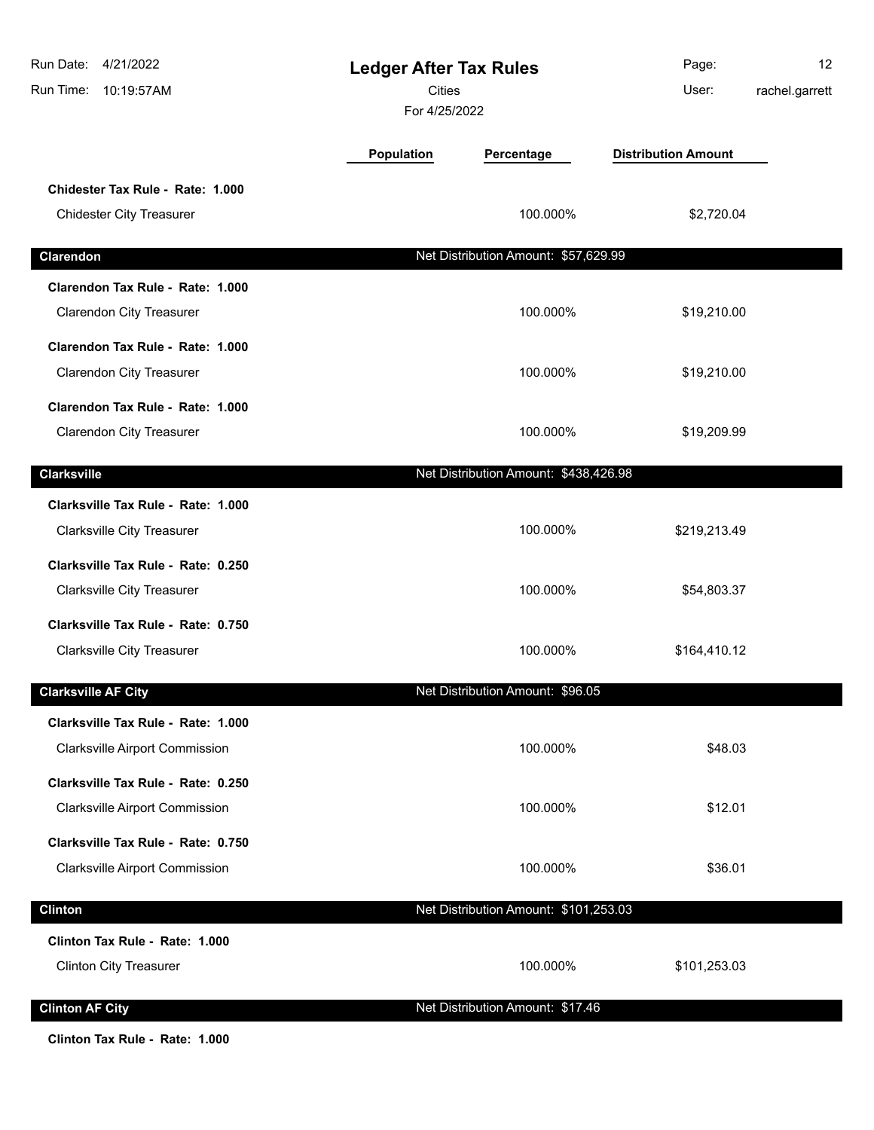| Run Date: 4/21/2022<br>Run Time: 10:19:57AM                         | <b>Ledger After Tax Rules</b><br><b>Cities</b><br>For 4/25/2022 |                                       | Page:<br>User:             | 12<br>rachel.garrett |
|---------------------------------------------------------------------|-----------------------------------------------------------------|---------------------------------------|----------------------------|----------------------|
|                                                                     | <b>Population</b>                                               | Percentage                            | <b>Distribution Amount</b> |                      |
| Chidester Tax Rule - Rate: 1.000<br><b>Chidester City Treasurer</b> |                                                                 | 100.000%                              | \$2,720.04                 |                      |
| Clarendon                                                           |                                                                 | Net Distribution Amount: \$57,629.99  |                            |                      |
| Clarendon Tax Rule - Rate: 1.000                                    |                                                                 |                                       |                            |                      |
| <b>Clarendon City Treasurer</b>                                     |                                                                 | 100.000%                              | \$19,210.00                |                      |
| Clarendon Tax Rule - Rate: 1.000                                    |                                                                 |                                       |                            |                      |
| <b>Clarendon City Treasurer</b>                                     |                                                                 | 100.000%                              | \$19,210.00                |                      |
| Clarendon Tax Rule - Rate: 1.000                                    |                                                                 |                                       |                            |                      |
| <b>Clarendon City Treasurer</b>                                     |                                                                 | 100.000%                              | \$19,209.99                |                      |
| <b>Clarksville</b>                                                  |                                                                 | Net Distribution Amount: \$438,426.98 |                            |                      |
| Clarksville Tax Rule - Rate: 1.000                                  |                                                                 |                                       |                            |                      |
| <b>Clarksville City Treasurer</b>                                   |                                                                 | 100.000%                              | \$219,213.49               |                      |
| Clarksville Tax Rule - Rate: 0.250                                  |                                                                 |                                       |                            |                      |
| <b>Clarksville City Treasurer</b>                                   |                                                                 | 100.000%                              | \$54,803.37                |                      |
| Clarksville Tax Rule - Rate: 0.750                                  |                                                                 |                                       |                            |                      |
| <b>Clarksville City Treasurer</b>                                   |                                                                 | 100.000%                              | \$164,410.12               |                      |
| <b>Clarksville AF City</b>                                          |                                                                 | Net Distribution Amount: \$96.05      |                            |                      |
| Clarksville Tax Rule - Rate: 1.000                                  |                                                                 |                                       |                            |                      |
| <b>Clarksville Airport Commission</b>                               |                                                                 | 100.000%                              | \$48.03                    |                      |
| Clarksville Tax Rule - Rate: 0.250                                  |                                                                 |                                       |                            |                      |
| <b>Clarksville Airport Commission</b>                               |                                                                 | 100.000%                              | \$12.01                    |                      |
| Clarksville Tax Rule - Rate: 0.750                                  |                                                                 |                                       |                            |                      |
| <b>Clarksville Airport Commission</b>                               |                                                                 | 100.000%                              | \$36.01                    |                      |
| <b>Clinton</b>                                                      |                                                                 | Net Distribution Amount: \$101,253.03 |                            |                      |
| Clinton Tax Rule - Rate: 1.000                                      |                                                                 |                                       |                            |                      |
| <b>Clinton City Treasurer</b>                                       |                                                                 | 100.000%                              | \$101,253.03               |                      |
|                                                                     |                                                                 |                                       |                            |                      |
| <b>Clinton AF City</b>                                              |                                                                 | Net Distribution Amount: \$17.46      |                            |                      |

**Clinton Tax Rule - Rate: 1.000**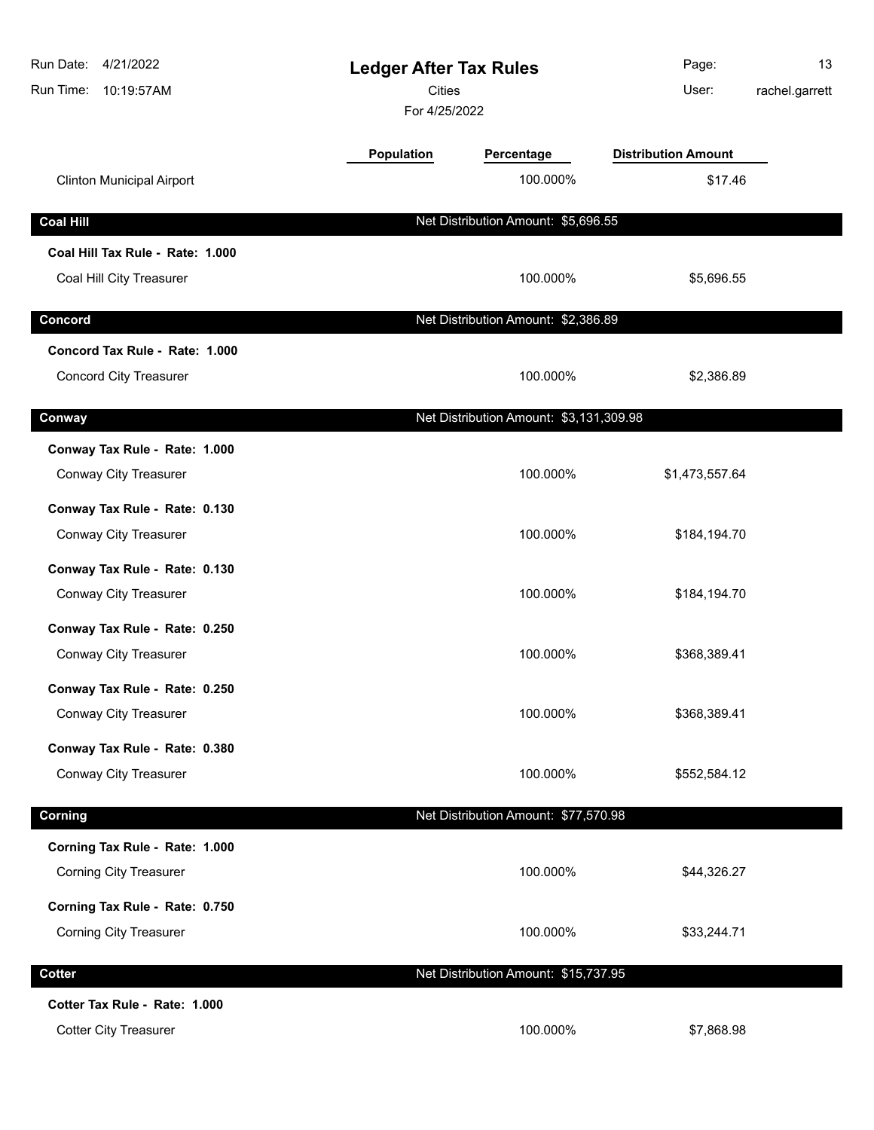| Run Date:<br>4/21/2022<br>Run Time: 10:19:57AM | <b>Ledger After Tax Rules</b><br>Cities<br>For 4/25/2022 |                                         | Page:<br>User:             | 13<br>rachel.garrett |
|------------------------------------------------|----------------------------------------------------------|-----------------------------------------|----------------------------|----------------------|
|                                                | Population                                               | Percentage                              | <b>Distribution Amount</b> |                      |
| <b>Clinton Municipal Airport</b>               |                                                          | 100.000%                                | \$17.46                    |                      |
| <b>Coal Hill</b>                               |                                                          | Net Distribution Amount: \$5,696.55     |                            |                      |
| Coal Hill Tax Rule - Rate: 1.000               |                                                          |                                         |                            |                      |
| Coal Hill City Treasurer                       |                                                          | 100.000%                                | \$5,696.55                 |                      |
| Concord                                        |                                                          | Net Distribution Amount: \$2,386.89     |                            |                      |
| Concord Tax Rule - Rate: 1.000                 |                                                          |                                         |                            |                      |
| <b>Concord City Treasurer</b>                  |                                                          | 100.000%                                | \$2,386.89                 |                      |
| Conway                                         |                                                          | Net Distribution Amount: \$3,131,309.98 |                            |                      |
| Conway Tax Rule - Rate: 1.000                  |                                                          |                                         |                            |                      |
| Conway City Treasurer                          |                                                          | 100.000%                                | \$1,473,557.64             |                      |
| Conway Tax Rule - Rate: 0.130                  |                                                          |                                         |                            |                      |
| Conway City Treasurer                          |                                                          | 100.000%                                | \$184,194.70               |                      |
| Conway Tax Rule - Rate: 0.130                  |                                                          |                                         |                            |                      |
| Conway City Treasurer                          |                                                          | 100.000%                                | \$184,194.70               |                      |
| Conway Tax Rule - Rate: 0.250                  |                                                          |                                         |                            |                      |
| Conway City Treasurer                          |                                                          | 100.000%                                | \$368,389.41               |                      |
| Conway Tax Rule - Rate: 0.250                  |                                                          |                                         |                            |                      |
| Conway City Treasurer                          |                                                          | 100.000%                                | \$368,389.41               |                      |
| Conway Tax Rule - Rate: 0.380                  |                                                          |                                         |                            |                      |
| Conway City Treasurer                          |                                                          | 100.000%                                | \$552,584.12               |                      |
| Corning                                        |                                                          | Net Distribution Amount: \$77,570.98    |                            |                      |
| Corning Tax Rule - Rate: 1.000                 |                                                          |                                         |                            |                      |
| <b>Corning City Treasurer</b>                  |                                                          | 100.000%                                | \$44,326.27                |                      |
| Corning Tax Rule - Rate: 0.750                 |                                                          |                                         |                            |                      |
| <b>Corning City Treasurer</b>                  |                                                          | 100.000%                                | \$33,244.71                |                      |
| <b>Cotter</b>                                  |                                                          | Net Distribution Amount: \$15,737.95    |                            |                      |
| Cotter Tax Rule - Rate: 1.000                  |                                                          |                                         |                            |                      |
| <b>Cotter City Treasurer</b>                   |                                                          | 100.000%                                | \$7,868.98                 |                      |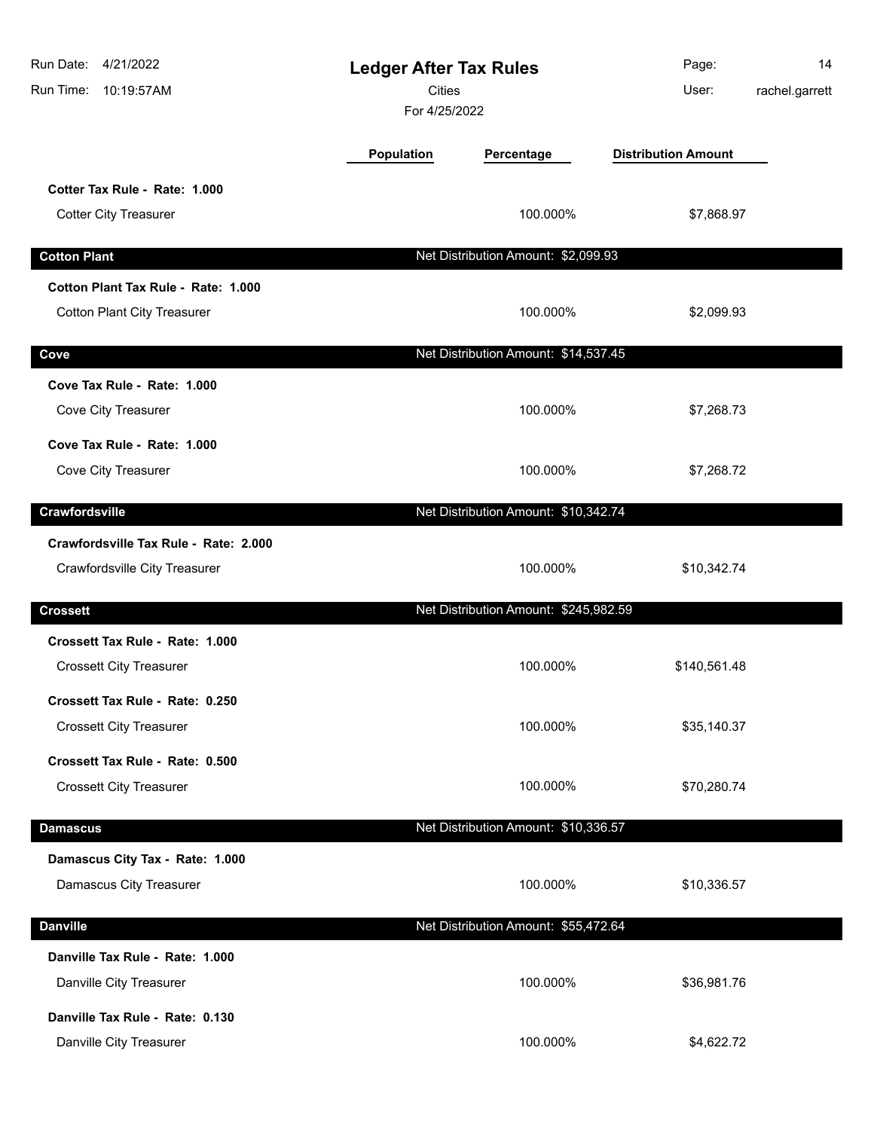| Run Date: 4/21/2022<br>Run Time: 10:19:57AM                               | <b>Ledger After Tax Rules</b><br><b>Cities</b><br>For 4/25/2022 |                                       | Page:<br>User:             | 14<br>rachel.garrett |
|---------------------------------------------------------------------------|-----------------------------------------------------------------|---------------------------------------|----------------------------|----------------------|
|                                                                           | Population                                                      | Percentage                            | <b>Distribution Amount</b> |                      |
| Cotter Tax Rule - Rate: 1.000<br><b>Cotter City Treasurer</b>             |                                                                 | 100.000%                              | \$7,868.97                 |                      |
| <b>Cotton Plant</b>                                                       |                                                                 | Net Distribution Amount: \$2,099.93   |                            |                      |
| Cotton Plant Tax Rule - Rate: 1.000<br><b>Cotton Plant City Treasurer</b> |                                                                 | 100.000%                              | \$2,099.93                 |                      |
| Cove                                                                      |                                                                 | Net Distribution Amount: \$14,537.45  |                            |                      |
| Cove Tax Rule - Rate: 1.000<br>Cove City Treasurer                        |                                                                 | 100.000%                              | \$7,268.73                 |                      |
| Cove Tax Rule - Rate: 1.000<br>Cove City Treasurer                        |                                                                 | 100.000%                              | \$7,268.72                 |                      |
| Crawfordsville                                                            |                                                                 | Net Distribution Amount: \$10,342.74  |                            |                      |
| Crawfordsville Tax Rule - Rate: 2.000<br>Crawfordsville City Treasurer    |                                                                 | 100.000%                              | \$10,342.74                |                      |
| <b>Crossett</b>                                                           |                                                                 | Net Distribution Amount: \$245,982.59 |                            |                      |
| Crossett Tax Rule - Rate: 1.000<br><b>Crossett City Treasurer</b>         |                                                                 | 100.000%                              | \$140,561.48               |                      |
| Crossett Tax Rule - Rate: 0.250<br><b>Crossett City Treasurer</b>         |                                                                 | 100.000%                              | \$35,140.37                |                      |
| Crossett Tax Rule - Rate: 0.500<br><b>Crossett City Treasurer</b>         |                                                                 | 100.000%                              | \$70,280.74                |                      |
| <b>Damascus</b>                                                           |                                                                 | Net Distribution Amount: \$10,336.57  |                            |                      |
| Damascus City Tax - Rate: 1.000<br>Damascus City Treasurer                |                                                                 | 100.000%                              | \$10,336.57                |                      |
| <b>Danville</b>                                                           |                                                                 | Net Distribution Amount: \$55,472.64  |                            |                      |
| Danville Tax Rule - Rate: 1.000<br>Danville City Treasurer                |                                                                 | 100.000%                              | \$36,981.76                |                      |
| Danville Tax Rule - Rate: 0.130<br>Danville City Treasurer                |                                                                 | 100.000%                              | \$4,622.72                 |                      |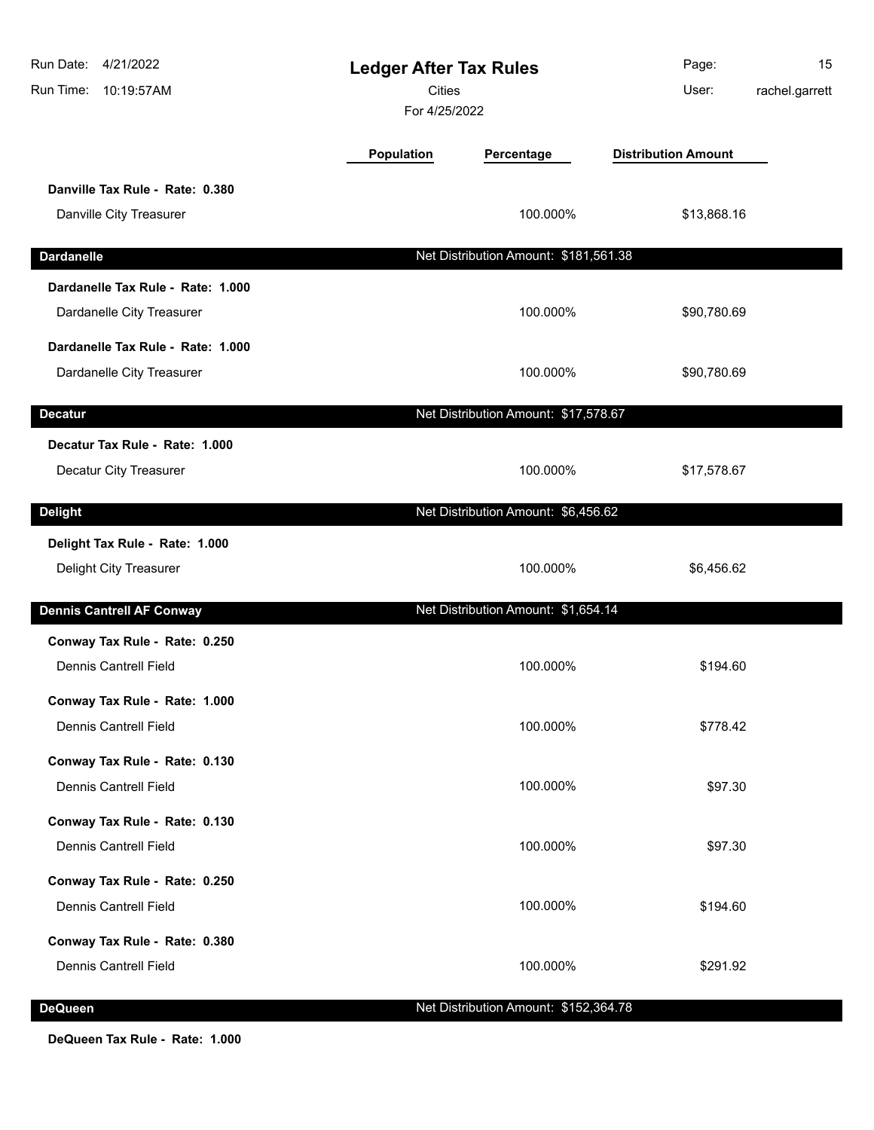| Run Date: 4/21/2022<br>Run Time: 10:19:57AM | <b>Ledger After Tax Rules</b><br><b>Cities</b><br>For 4/25/2022 |                                       | Page:<br>User:             | 15<br>rachel.garrett |
|---------------------------------------------|-----------------------------------------------------------------|---------------------------------------|----------------------------|----------------------|
|                                             | Population                                                      | Percentage                            | <b>Distribution Amount</b> |                      |
| Danville Tax Rule - Rate: 0.380             |                                                                 |                                       |                            |                      |
| Danville City Treasurer                     |                                                                 | 100.000%                              | \$13,868.16                |                      |
| <b>Dardanelle</b>                           |                                                                 | Net Distribution Amount: \$181,561.38 |                            |                      |
| Dardanelle Tax Rule - Rate: 1.000           |                                                                 |                                       |                            |                      |
| Dardanelle City Treasurer                   |                                                                 | 100.000%                              | \$90,780.69                |                      |
| Dardanelle Tax Rule - Rate: 1.000           |                                                                 |                                       |                            |                      |
| Dardanelle City Treasurer                   |                                                                 | 100.000%                              | \$90,780.69                |                      |
| <b>Decatur</b>                              |                                                                 | Net Distribution Amount: \$17,578.67  |                            |                      |
| Decatur Tax Rule - Rate: 1.000              |                                                                 |                                       |                            |                      |
| Decatur City Treasurer                      |                                                                 | 100.000%                              | \$17,578.67                |                      |
| <b>Delight</b>                              |                                                                 | Net Distribution Amount: \$6,456.62   |                            |                      |
| Delight Tax Rule - Rate: 1.000              |                                                                 |                                       |                            |                      |
| Delight City Treasurer                      |                                                                 | 100.000%                              | \$6,456.62                 |                      |
| <b>Dennis Cantrell AF Conway</b>            |                                                                 | Net Distribution Amount: \$1,654.14   |                            |                      |
| Conway Tax Rule - Rate: 0.250               |                                                                 |                                       |                            |                      |
| <b>Dennis Cantrell Field</b>                |                                                                 | 100.000%                              | \$194.60                   |                      |
| Conway Tax Rule - Rate: 1.000               |                                                                 |                                       |                            |                      |
| <b>Dennis Cantrell Field</b>                |                                                                 | 100.000%                              | \$778.42                   |                      |
| Conway Tax Rule - Rate: 0.130               |                                                                 |                                       |                            |                      |
| <b>Dennis Cantrell Field</b>                |                                                                 | 100.000%                              | \$97.30                    |                      |
| Conway Tax Rule - Rate: 0.130               |                                                                 |                                       |                            |                      |
| <b>Dennis Cantrell Field</b>                |                                                                 | 100.000%                              | \$97.30                    |                      |
| Conway Tax Rule - Rate: 0.250               |                                                                 |                                       |                            |                      |
| <b>Dennis Cantrell Field</b>                |                                                                 | 100.000%                              | \$194.60                   |                      |
| Conway Tax Rule - Rate: 0.380               |                                                                 |                                       |                            |                      |
| <b>Dennis Cantrell Field</b>                |                                                                 | 100.000%                              | \$291.92                   |                      |
| <b>DeQueen</b>                              |                                                                 | Net Distribution Amount: \$152,364.78 |                            |                      |

**DeQueen Tax Rule - Rate: 1.000**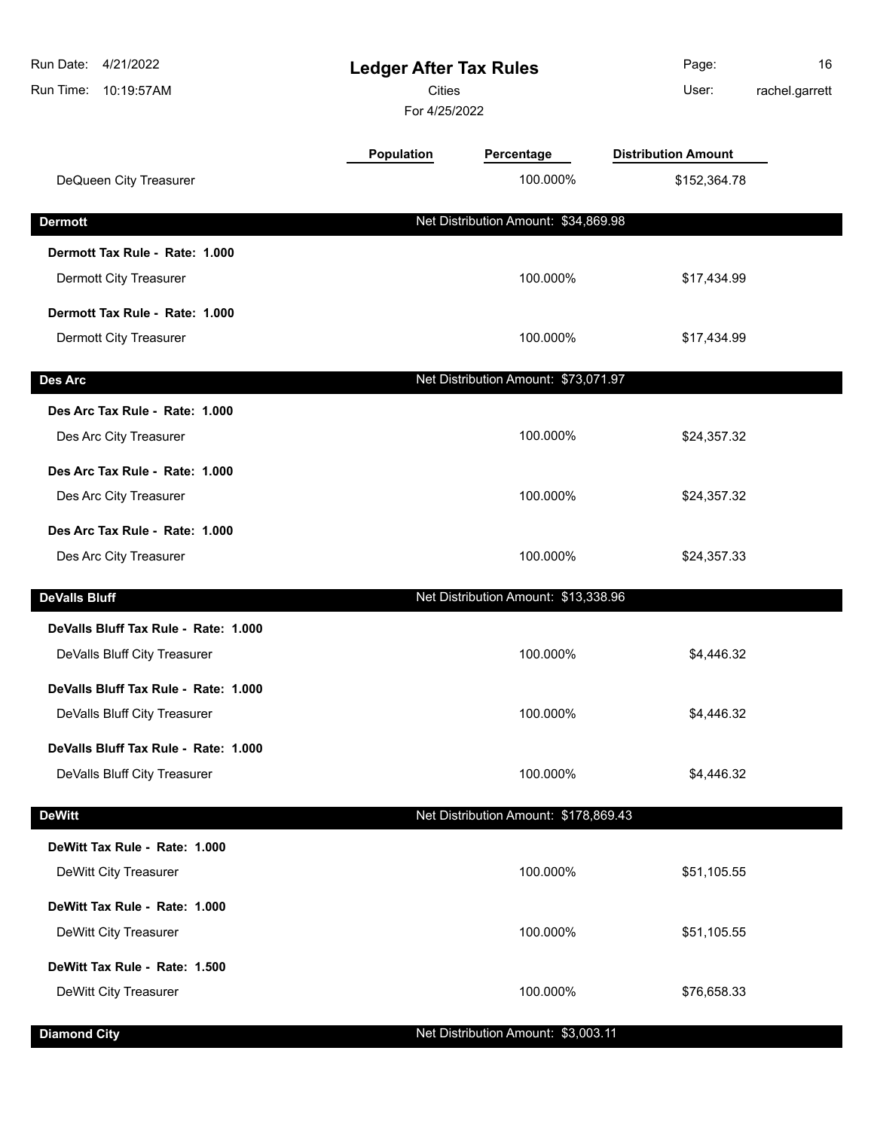| Run Date: 4/21/2022<br>Run Time: 10:19:57AM | <b>Ledger After Tax Rules</b><br><b>Cities</b><br>For 4/25/2022 |                                       | Page:<br>User:             | 16<br>rachel.garrett |
|---------------------------------------------|-----------------------------------------------------------------|---------------------------------------|----------------------------|----------------------|
|                                             | <b>Population</b>                                               | Percentage                            | <b>Distribution Amount</b> |                      |
| DeQueen City Treasurer                      |                                                                 | 100.000%                              | \$152,364.78               |                      |
| <b>Dermott</b>                              |                                                                 | Net Distribution Amount: \$34,869.98  |                            |                      |
| Dermott Tax Rule - Rate: 1.000              |                                                                 |                                       |                            |                      |
| Dermott City Treasurer                      |                                                                 | 100.000%                              | \$17,434.99                |                      |
| Dermott Tax Rule - Rate: 1.000              |                                                                 |                                       |                            |                      |
| Dermott City Treasurer                      |                                                                 | 100.000%                              | \$17,434.99                |                      |
| <b>Des Arc</b>                              |                                                                 | Net Distribution Amount: \$73,071.97  |                            |                      |
| Des Arc Tax Rule - Rate: 1.000              |                                                                 |                                       |                            |                      |
| Des Arc City Treasurer                      |                                                                 | 100.000%                              | \$24,357.32                |                      |
| Des Arc Tax Rule - Rate: 1.000              |                                                                 |                                       |                            |                      |
| Des Arc City Treasurer                      |                                                                 | 100.000%                              | \$24,357.32                |                      |
| Des Arc Tax Rule - Rate: 1.000              |                                                                 |                                       |                            |                      |
| Des Arc City Treasurer                      |                                                                 | 100.000%                              | \$24,357.33                |                      |
| <b>DeValls Bluff</b>                        |                                                                 | Net Distribution Amount: \$13,338.96  |                            |                      |
| DeValls Bluff Tax Rule - Rate: 1.000        |                                                                 |                                       |                            |                      |
| DeValls Bluff City Treasurer                |                                                                 | 100.000%                              | \$4,446.32                 |                      |
| DeValls Bluff Tax Rule - Rate: 1.000        |                                                                 |                                       |                            |                      |
| DeValls Bluff City Treasurer                |                                                                 | 100.000%                              | \$4,446.32                 |                      |
| DeValls Bluff Tax Rule - Rate: 1.000        |                                                                 |                                       |                            |                      |
| DeValls Bluff City Treasurer                |                                                                 | 100.000%                              | \$4,446.32                 |                      |
| <b>DeWitt</b>                               |                                                                 | Net Distribution Amount: \$178,869.43 |                            |                      |
| DeWitt Tax Rule - Rate: 1.000               |                                                                 |                                       |                            |                      |
| DeWitt City Treasurer                       |                                                                 | 100.000%                              | \$51,105.55                |                      |
| DeWitt Tax Rule - Rate: 1.000               |                                                                 |                                       |                            |                      |
| DeWitt City Treasurer                       |                                                                 | 100.000%                              | \$51,105.55                |                      |
| DeWitt Tax Rule - Rate: 1.500               |                                                                 |                                       |                            |                      |
| DeWitt City Treasurer                       |                                                                 | 100.000%                              | \$76,658.33                |                      |
| <b>Diamond City</b>                         |                                                                 | Net Distribution Amount: \$3,003.11   |                            |                      |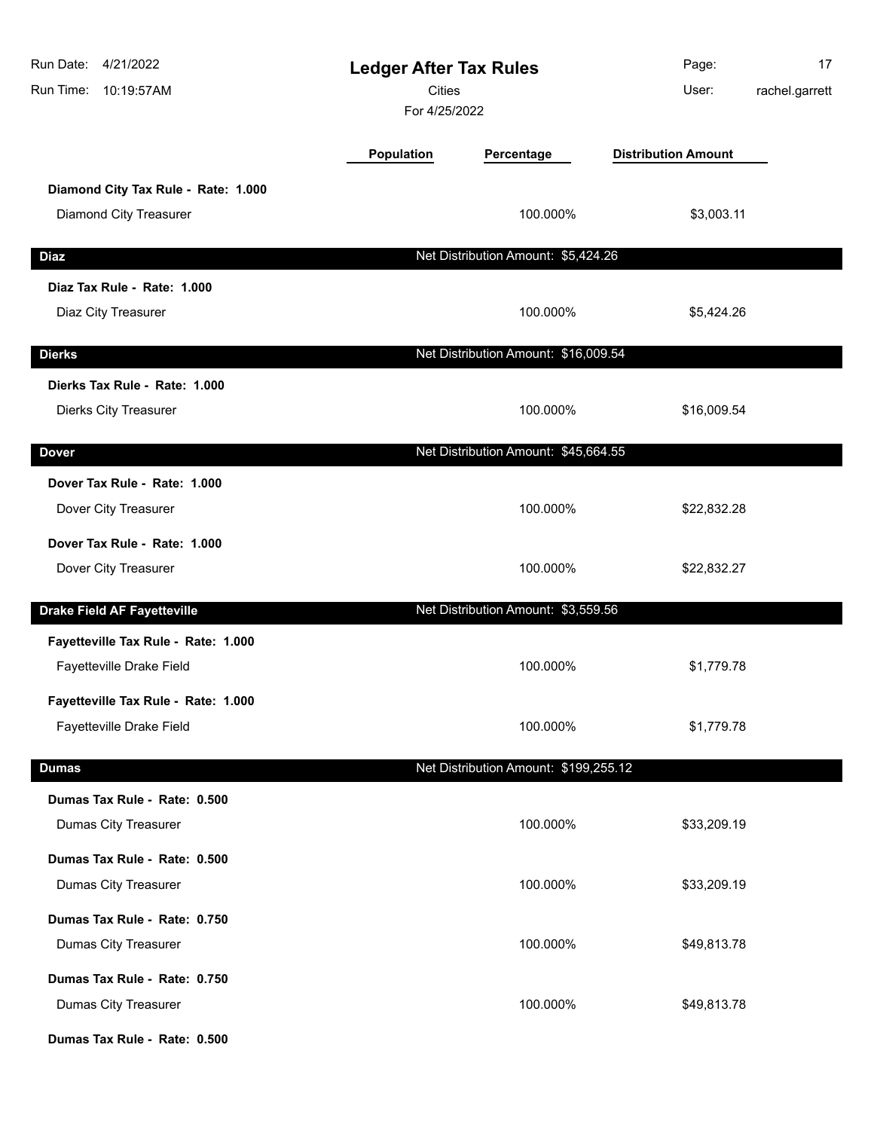| Run Date: 4/21/2022<br>Run Time: 10:19:57AM | <b>Ledger After Tax Rules</b><br><b>Cities</b><br>For 4/25/2022 |                                       | Page:<br>User:             | 17<br>rachel.garrett |
|---------------------------------------------|-----------------------------------------------------------------|---------------------------------------|----------------------------|----------------------|
|                                             | <b>Population</b>                                               | Percentage                            | <b>Distribution Amount</b> |                      |
| Diamond City Tax Rule - Rate: 1.000         |                                                                 |                                       |                            |                      |
| Diamond City Treasurer                      |                                                                 | 100.000%                              | \$3,003.11                 |                      |
| <b>Diaz</b>                                 |                                                                 | Net Distribution Amount: \$5,424.26   |                            |                      |
| Diaz Tax Rule - Rate: 1.000                 |                                                                 |                                       |                            |                      |
| Diaz City Treasurer                         |                                                                 | 100.000%                              | \$5,424.26                 |                      |
| <b>Dierks</b>                               |                                                                 | Net Distribution Amount: \$16,009.54  |                            |                      |
| Dierks Tax Rule - Rate: 1.000               |                                                                 |                                       |                            |                      |
| Dierks City Treasurer                       |                                                                 | 100.000%                              | \$16,009.54                |                      |
| <b>Dover</b>                                |                                                                 | Net Distribution Amount: \$45,664.55  |                            |                      |
| Dover Tax Rule - Rate: 1.000                |                                                                 |                                       |                            |                      |
| Dover City Treasurer                        |                                                                 | 100.000%                              | \$22,832.28                |                      |
| Dover Tax Rule - Rate: 1.000                |                                                                 |                                       |                            |                      |
| Dover City Treasurer                        |                                                                 | 100.000%                              | \$22,832.27                |                      |
| <b>Drake Field AF Fayetteville</b>          |                                                                 | Net Distribution Amount: \$3,559.56   |                            |                      |
| Fayetteville Tax Rule - Rate: 1.000         |                                                                 |                                       |                            |                      |
| Fayetteville Drake Field                    |                                                                 | 100.000%                              | \$1,779.78                 |                      |
| Fayetteville Tax Rule - Rate: 1.000         |                                                                 |                                       |                            |                      |
| Fayetteville Drake Field                    |                                                                 | 100.000%                              | \$1,779.78                 |                      |
| <b>Dumas</b>                                |                                                                 | Net Distribution Amount: \$199,255.12 |                            |                      |
| Dumas Tax Rule - Rate: 0.500                |                                                                 |                                       |                            |                      |
| Dumas City Treasurer                        |                                                                 | 100.000%                              | \$33,209.19                |                      |
| Dumas Tax Rule - Rate: 0.500                |                                                                 |                                       |                            |                      |
| Dumas City Treasurer                        |                                                                 | 100.000%                              | \$33,209.19                |                      |
| Dumas Tax Rule - Rate: 0.750                |                                                                 |                                       |                            |                      |
| Dumas City Treasurer                        |                                                                 | 100.000%                              | \$49,813.78                |                      |
| Dumas Tax Rule - Rate: 0.750                |                                                                 |                                       |                            |                      |
| Dumas City Treasurer                        |                                                                 | 100.000%                              | \$49,813.78                |                      |
| Dumas Tax Rule - Rate: 0.500                |                                                                 |                                       |                            |                      |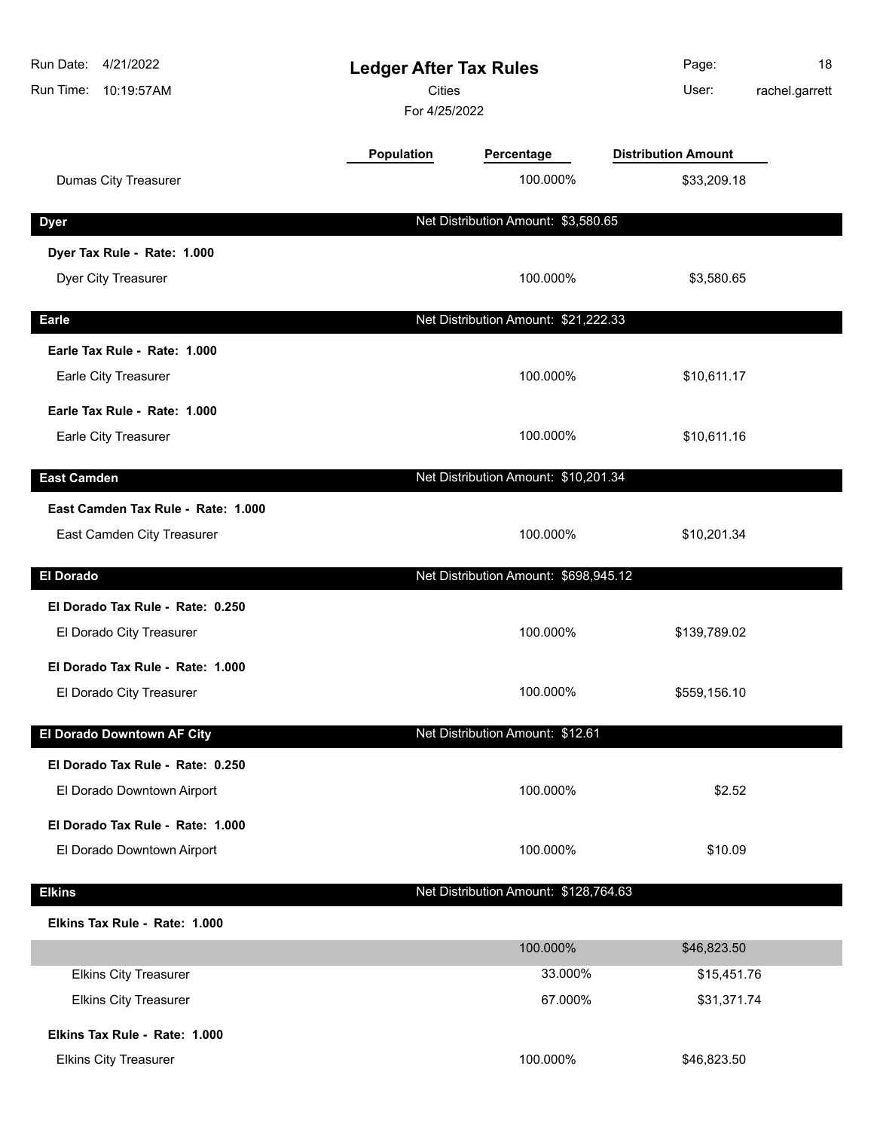| 4/21/2022<br>Run Date:<br>Run Time:<br>10:19:57AM                | <b>Ledger After Tax Rules</b><br>Cities<br>For 4/25/2022 | Page:<br>18<br>rachel.garrett<br>User:    |
|------------------------------------------------------------------|----------------------------------------------------------|-------------------------------------------|
| <b>Dumas City Treasurer</b>                                      | <b>Population</b><br>Percentage<br>100.000%              | <b>Distribution Amount</b><br>\$33,209.18 |
| <b>Dyer</b>                                                      | Net Distribution Amount: \$3,580.65                      |                                           |
| Dyer Tax Rule - Rate: 1.000                                      |                                                          |                                           |
| Dyer City Treasurer                                              | 100.000%                                                 | \$3,580.65                                |
| Earle                                                            | Net Distribution Amount: \$21,222.33                     |                                           |
| Earle Tax Rule - Rate: 1.000<br>Earle City Treasurer             | 100.000%                                                 | \$10,611.17                               |
| Earle Tax Rule - Rate: 1.000<br>Earle City Treasurer             | 100.000%                                                 | \$10,611.16                               |
| <b>East Camden</b>                                               | Net Distribution Amount: \$10,201.34                     |                                           |
| East Camden Tax Rule - Rate: 1.000<br>East Camden City Treasurer | 100.000%                                                 | \$10,201.34                               |
| <b>El Dorado</b>                                                 | Net Distribution Amount: \$698,945.12                    |                                           |
| El Dorado Tax Rule - Rate: 0.250<br>El Dorado City Treasurer     | 100.000%                                                 | \$139,789.02                              |
| El Dorado Tax Rule - Rate: 1.000<br>El Dorado City Treasurer     | 100.000%                                                 | \$559,156.10                              |
| El Dorado Downtown AF City                                       | Net Distribution Amount: \$12.61                         |                                           |
| El Dorado Tax Rule - Rate: 0.250<br>El Dorado Downtown Airport   | 100.000%                                                 | \$2.52                                    |
| El Dorado Tax Rule - Rate: 1.000<br>El Dorado Downtown Airport   | 100.000%                                                 | \$10.09                                   |
| <b>Elkins</b>                                                    | Net Distribution Amount: \$128,764.63                    |                                           |
| Elkins Tax Rule - Rate: 1.000                                    |                                                          |                                           |
|                                                                  | 100.000%                                                 | \$46,823.50                               |
| <b>Elkins City Treasurer</b>                                     | 33.000%                                                  | \$15,451.76                               |
| <b>Elkins City Treasurer</b>                                     | 67.000%                                                  | \$31,371.74                               |
| Elkins Tax Rule - Rate: 1.000<br><b>Elkins City Treasurer</b>    | 100.000%                                                 | \$46,823.50                               |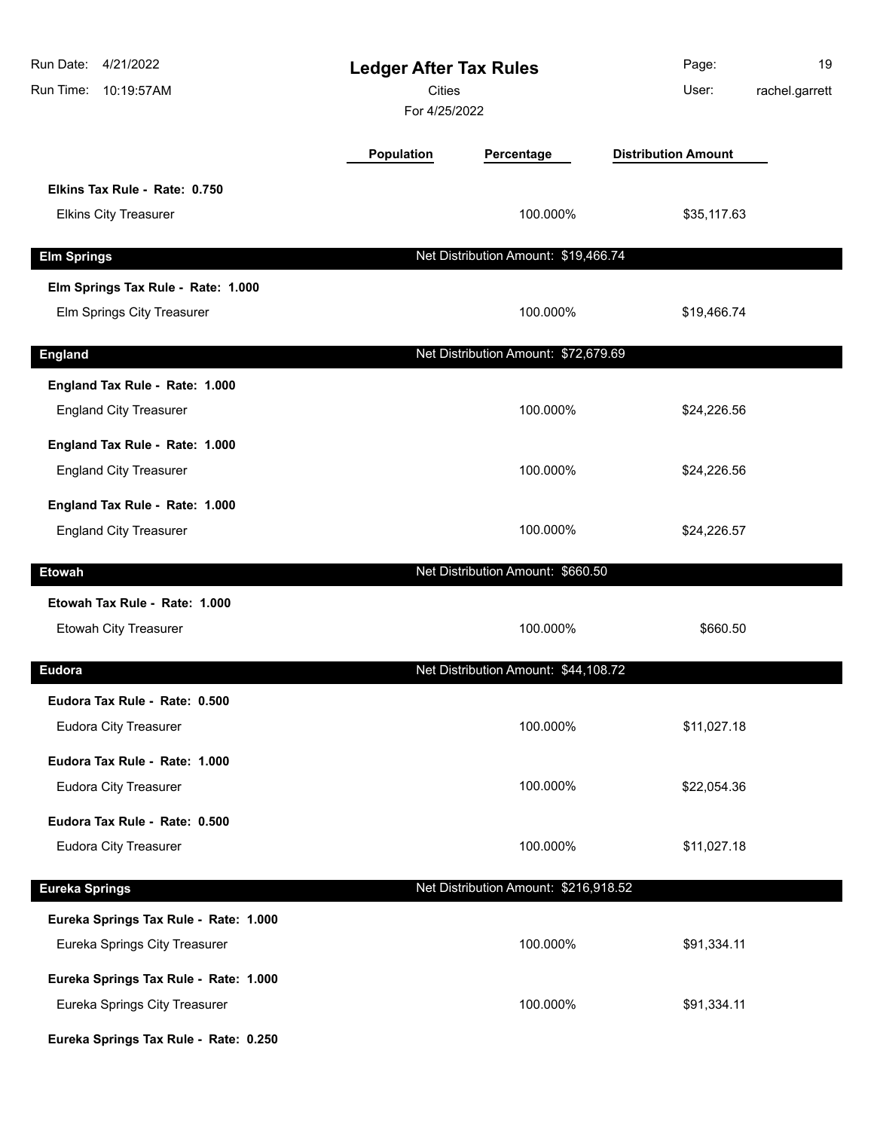| Run Date: 4/21/2022<br>Run Time: 10:19:57AM                            | <b>Ledger After Tax Rules</b><br><b>Cities</b><br>For 4/25/2022 |                                       | Page:<br>User:             | 19<br>rachel.garrett |
|------------------------------------------------------------------------|-----------------------------------------------------------------|---------------------------------------|----------------------------|----------------------|
|                                                                        | Population                                                      | Percentage                            | <b>Distribution Amount</b> |                      |
| Elkins Tax Rule - Rate: 0.750<br><b>Elkins City Treasurer</b>          |                                                                 | 100.000%                              | \$35,117.63                |                      |
| <b>Elm Springs</b>                                                     |                                                                 | Net Distribution Amount: \$19,466.74  |                            |                      |
| Elm Springs Tax Rule - Rate: 1.000<br>Elm Springs City Treasurer       |                                                                 | 100.000%                              | \$19,466.74                |                      |
| <b>England</b>                                                         |                                                                 | Net Distribution Amount: \$72,679.69  |                            |                      |
| England Tax Rule - Rate: 1.000<br><b>England City Treasurer</b>        |                                                                 | 100.000%                              | \$24,226.56                |                      |
| England Tax Rule - Rate: 1.000<br><b>England City Treasurer</b>        |                                                                 | 100.000%                              | \$24,226.56                |                      |
| England Tax Rule - Rate: 1.000<br><b>England City Treasurer</b>        |                                                                 | 100.000%                              | \$24,226.57                |                      |
| <b>Etowah</b>                                                          |                                                                 | Net Distribution Amount: \$660.50     |                            |                      |
| Etowah Tax Rule - Rate: 1.000<br>Etowah City Treasurer                 |                                                                 | 100.000%                              | \$660.50                   |                      |
| <b>Eudora</b>                                                          |                                                                 | Net Distribution Amount: \$44,108.72  |                            |                      |
| Eudora Tax Rule - Rate: 0.500<br><b>Eudora City Treasurer</b>          |                                                                 | 100.000%                              | \$11,027.18                |                      |
| Eudora Tax Rule - Rate: 1.000<br><b>Eudora City Treasurer</b>          |                                                                 | 100.000%                              | \$22,054.36                |                      |
| Eudora Tax Rule - Rate: 0.500<br>Eudora City Treasurer                 |                                                                 | 100.000%                              | \$11,027.18                |                      |
| <b>Eureka Springs</b>                                                  |                                                                 | Net Distribution Amount: \$216,918.52 |                            |                      |
| Eureka Springs Tax Rule - Rate: 1.000<br>Eureka Springs City Treasurer |                                                                 | 100.000%                              | \$91,334.11                |                      |
| Eureka Springs Tax Rule - Rate: 1.000<br>Eureka Springs City Treasurer |                                                                 | 100.000%                              | \$91,334.11                |                      |
| Eureka Springs Tax Rule - Rate: 0.250                                  |                                                                 |                                       |                            |                      |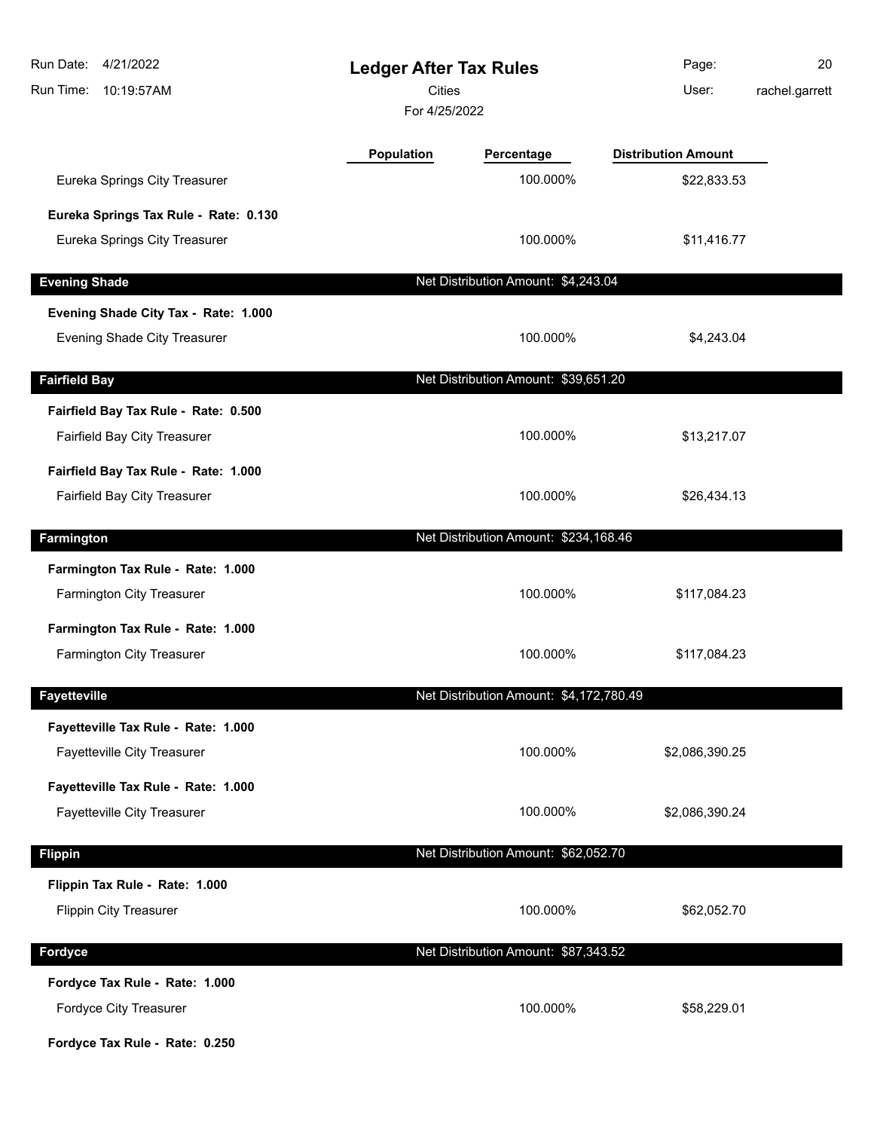| 4/21/2022<br>Run Date:<br>Run Time:<br>10:19:57AM | <b>Ledger After Tax Rules</b><br><b>Cities</b><br>For 4/25/2022 |                                         | Page:<br>User:             | 20<br>rachel.garrett |
|---------------------------------------------------|-----------------------------------------------------------------|-----------------------------------------|----------------------------|----------------------|
|                                                   | Population                                                      | Percentage                              | <b>Distribution Amount</b> |                      |
| Eureka Springs City Treasurer                     |                                                                 | 100.000%                                | \$22,833.53                |                      |
| Eureka Springs Tax Rule - Rate: 0.130             |                                                                 |                                         |                            |                      |
| Eureka Springs City Treasurer                     |                                                                 | 100.000%                                | \$11,416.77                |                      |
| <b>Evening Shade</b>                              |                                                                 | Net Distribution Amount: \$4,243.04     |                            |                      |
| Evening Shade City Tax - Rate: 1.000              |                                                                 |                                         |                            |                      |
| Evening Shade City Treasurer                      |                                                                 | 100.000%                                | \$4,243.04                 |                      |
| <b>Fairfield Bay</b>                              |                                                                 | Net Distribution Amount: \$39,651.20    |                            |                      |
| Fairfield Bay Tax Rule - Rate: 0.500              |                                                                 |                                         |                            |                      |
| Fairfield Bay City Treasurer                      |                                                                 | 100.000%                                | \$13,217.07                |                      |
| Fairfield Bay Tax Rule - Rate: 1.000              |                                                                 |                                         |                            |                      |
| Fairfield Bay City Treasurer                      |                                                                 | 100.000%                                | \$26,434.13                |                      |
| Farmington                                        |                                                                 | Net Distribution Amount: \$234,168.46   |                            |                      |
| Farmington Tax Rule - Rate: 1.000                 |                                                                 |                                         |                            |                      |
| Farmington City Treasurer                         |                                                                 | 100.000%                                | \$117,084.23               |                      |
| Farmington Tax Rule - Rate: 1.000                 |                                                                 |                                         |                            |                      |
| Farmington City Treasurer                         |                                                                 | 100.000%                                | \$117,084.23               |                      |
| <b>Fayetteville</b>                               |                                                                 | Net Distribution Amount: \$4,172,780.49 |                            |                      |
| Fayetteville Tax Rule - Rate: 1.000               |                                                                 |                                         |                            |                      |
| <b>Fayetteville City Treasurer</b>                |                                                                 | 100.000%                                | \$2,086,390.25             |                      |
| Fayetteville Tax Rule - Rate: 1.000               |                                                                 |                                         |                            |                      |
| <b>Fayetteville City Treasurer</b>                |                                                                 | 100.000%                                | \$2,086,390.24             |                      |
| <b>Flippin</b>                                    |                                                                 | Net Distribution Amount: \$62,052.70    |                            |                      |
| Flippin Tax Rule - Rate: 1.000                    |                                                                 |                                         |                            |                      |
| <b>Flippin City Treasurer</b>                     |                                                                 | 100.000%                                | \$62,052.70                |                      |
| <b>Fordyce</b>                                    |                                                                 | Net Distribution Amount: \$87,343.52    |                            |                      |
| Fordyce Tax Rule - Rate: 1.000                    |                                                                 |                                         |                            |                      |
| Fordyce City Treasurer                            |                                                                 | 100.000%                                | \$58,229.01                |                      |
| Fordyce Tax Rule - Rate: 0.250                    |                                                                 |                                         |                            |                      |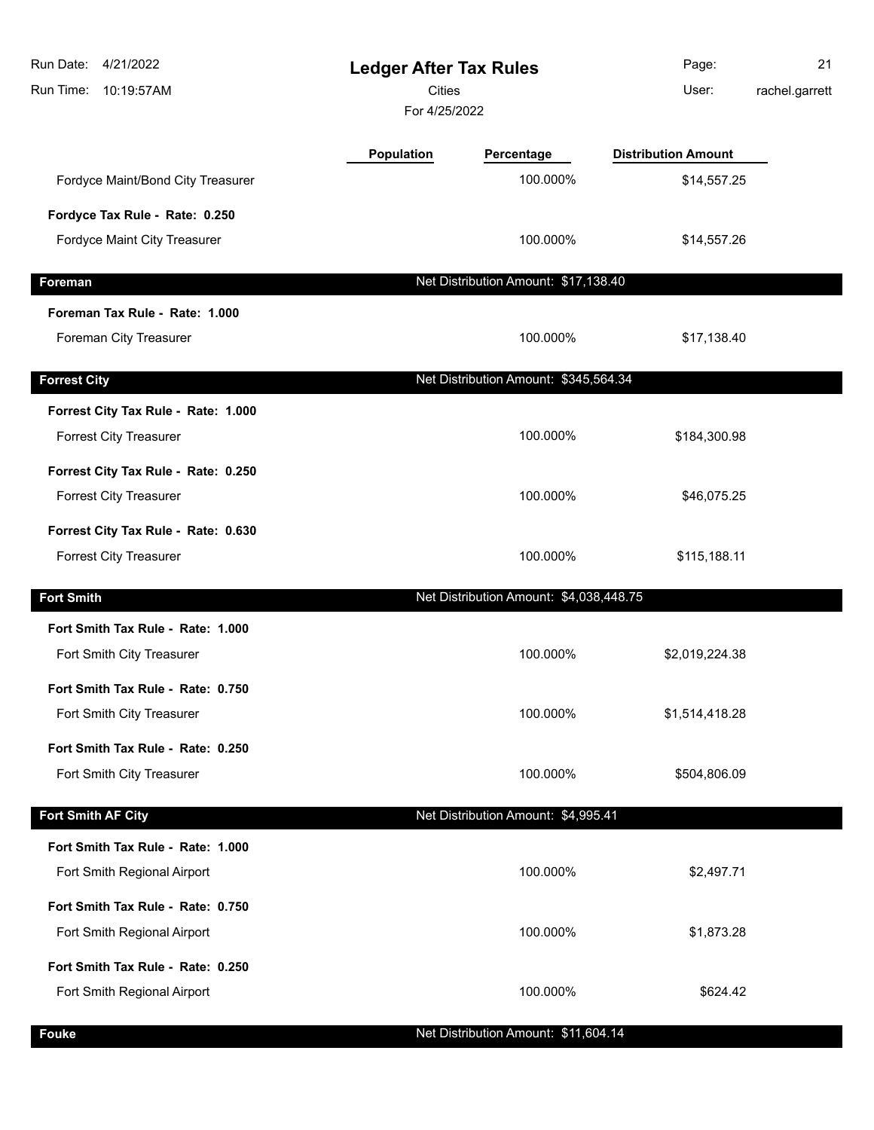| Run Date: 4/21/2022<br>Run Time: 10:19:57AM | <b>Ledger After Tax Rules</b><br><b>Cities</b><br>For 4/25/2022 |                                         | Page:<br>User:             | 21<br>rachel.garrett |
|---------------------------------------------|-----------------------------------------------------------------|-----------------------------------------|----------------------------|----------------------|
|                                             | <b>Population</b>                                               | Percentage                              | <b>Distribution Amount</b> |                      |
| Fordyce Maint/Bond City Treasurer           |                                                                 | 100.000%                                | \$14,557.25                |                      |
| Fordyce Tax Rule - Rate: 0.250              |                                                                 |                                         |                            |                      |
| Fordyce Maint City Treasurer                |                                                                 | 100.000%                                | \$14,557.26                |                      |
| Foreman                                     |                                                                 | Net Distribution Amount: \$17,138.40    |                            |                      |
| Foreman Tax Rule - Rate: 1.000              |                                                                 |                                         |                            |                      |
| Foreman City Treasurer                      |                                                                 | 100.000%                                | \$17,138.40                |                      |
| <b>Forrest City</b>                         |                                                                 | Net Distribution Amount: \$345,564.34   |                            |                      |
| Forrest City Tax Rule - Rate: 1.000         |                                                                 |                                         |                            |                      |
| <b>Forrest City Treasurer</b>               |                                                                 | 100.000%                                | \$184,300.98               |                      |
| Forrest City Tax Rule - Rate: 0.250         |                                                                 |                                         |                            |                      |
| <b>Forrest City Treasurer</b>               |                                                                 | 100.000%                                | \$46,075.25                |                      |
| Forrest City Tax Rule - Rate: 0.630         |                                                                 |                                         |                            |                      |
| <b>Forrest City Treasurer</b>               |                                                                 | 100.000%                                | \$115,188.11               |                      |
| <b>Fort Smith</b>                           |                                                                 | Net Distribution Amount: \$4,038,448.75 |                            |                      |
| Fort Smith Tax Rule - Rate: 1.000           |                                                                 |                                         |                            |                      |
| Fort Smith City Treasurer                   |                                                                 | 100.000%                                | \$2,019,224.38             |                      |
| Fort Smith Tax Rule - Rate: 0.750           |                                                                 |                                         |                            |                      |
| Fort Smith City Treasurer                   |                                                                 | 100.000%                                | \$1,514,418.28             |                      |
| Fort Smith Tax Rule - Rate: 0.250           |                                                                 |                                         |                            |                      |
| Fort Smith City Treasurer                   |                                                                 | 100.000%                                | \$504,806.09               |                      |
| <b>Fort Smith AF City</b>                   |                                                                 | Net Distribution Amount: \$4,995.41     |                            |                      |
| Fort Smith Tax Rule - Rate: 1.000           |                                                                 |                                         |                            |                      |
| Fort Smith Regional Airport                 |                                                                 | 100.000%                                | \$2,497.71                 |                      |
| Fort Smith Tax Rule - Rate: 0.750           |                                                                 |                                         |                            |                      |
| Fort Smith Regional Airport                 |                                                                 | 100.000%                                | \$1,873.28                 |                      |
| Fort Smith Tax Rule - Rate: 0.250           |                                                                 |                                         |                            |                      |
| Fort Smith Regional Airport                 |                                                                 | 100.000%                                | \$624.42                   |                      |
| <b>Fouke</b>                                |                                                                 | Net Distribution Amount: \$11,604.14    |                            |                      |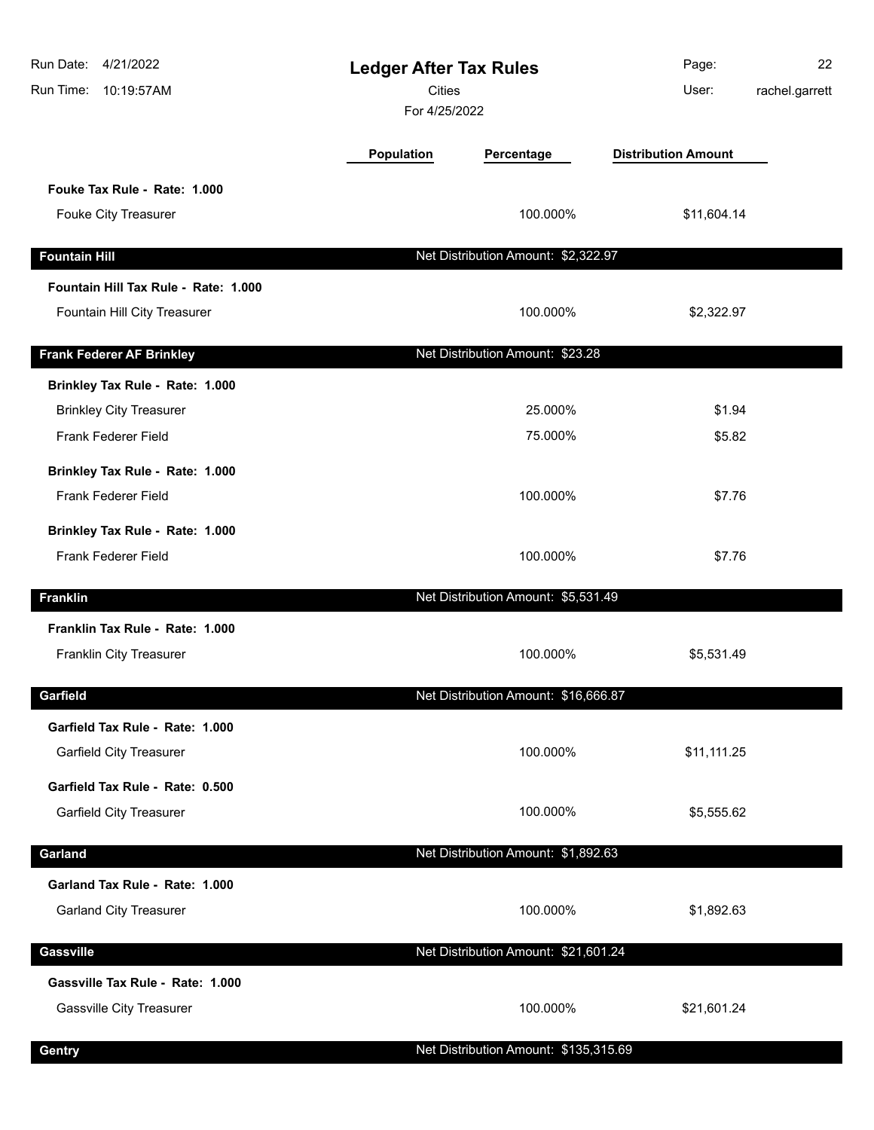| Run Date:<br>4/21/2022<br>Run Time: 10:19:57AM | <b>Ledger After Tax Rules</b><br><b>Cities</b><br>For 4/25/2022 |                                       | Page:<br>User:             | 22<br>rachel.garrett |
|------------------------------------------------|-----------------------------------------------------------------|---------------------------------------|----------------------------|----------------------|
|                                                | <b>Population</b>                                               | Percentage                            | <b>Distribution Amount</b> |                      |
| Fouke Tax Rule - Rate: 1.000                   |                                                                 |                                       |                            |                      |
| Fouke City Treasurer                           |                                                                 | 100.000%                              | \$11,604.14                |                      |
| <b>Fountain Hill</b>                           |                                                                 | Net Distribution Amount: \$2,322.97   |                            |                      |
| Fountain Hill Tax Rule - Rate: 1.000           |                                                                 |                                       |                            |                      |
| Fountain Hill City Treasurer                   |                                                                 | 100.000%                              | \$2,322.97                 |                      |
| <b>Frank Federer AF Brinkley</b>               |                                                                 | Net Distribution Amount: \$23.28      |                            |                      |
| Brinkley Tax Rule - Rate: 1.000                |                                                                 |                                       |                            |                      |
| <b>Brinkley City Treasurer</b>                 |                                                                 | 25.000%                               | \$1.94                     |                      |
| Frank Federer Field                            |                                                                 | 75.000%                               | \$5.82                     |                      |
| Brinkley Tax Rule - Rate: 1.000                |                                                                 |                                       |                            |                      |
| Frank Federer Field                            |                                                                 | 100.000%                              | \$7.76                     |                      |
| Brinkley Tax Rule - Rate: 1.000                |                                                                 |                                       |                            |                      |
| <b>Frank Federer Field</b>                     |                                                                 | 100.000%                              | \$7.76                     |                      |
| <b>Franklin</b>                                |                                                                 | Net Distribution Amount: \$5,531.49   |                            |                      |
| Franklin Tax Rule - Rate: 1.000                |                                                                 |                                       |                            |                      |
| Franklin City Treasurer                        |                                                                 | 100.000%                              | \$5,531.49                 |                      |
| Garfield                                       |                                                                 | Net Distribution Amount: \$16,666.87  |                            |                      |
| Garfield Tax Rule - Rate: 1.000                |                                                                 |                                       |                            |                      |
| <b>Garfield City Treasurer</b>                 |                                                                 | 100.000%                              | \$11,111.25                |                      |
| Garfield Tax Rule - Rate: 0.500                |                                                                 |                                       |                            |                      |
| <b>Garfield City Treasurer</b>                 |                                                                 | 100.000%                              | \$5,555.62                 |                      |
| Garland                                        |                                                                 | Net Distribution Amount: \$1,892.63   |                            |                      |
| Garland Tax Rule - Rate: 1.000                 |                                                                 |                                       |                            |                      |
| <b>Garland City Treasurer</b>                  |                                                                 | 100.000%                              | \$1,892.63                 |                      |
| <b>Gassville</b>                               |                                                                 | Net Distribution Amount: \$21,601.24  |                            |                      |
| Gassville Tax Rule - Rate: 1.000               |                                                                 |                                       |                            |                      |
| <b>Gassville City Treasurer</b>                |                                                                 | 100.000%                              | \$21,601.24                |                      |
| Gentry                                         |                                                                 | Net Distribution Amount: \$135,315.69 |                            |                      |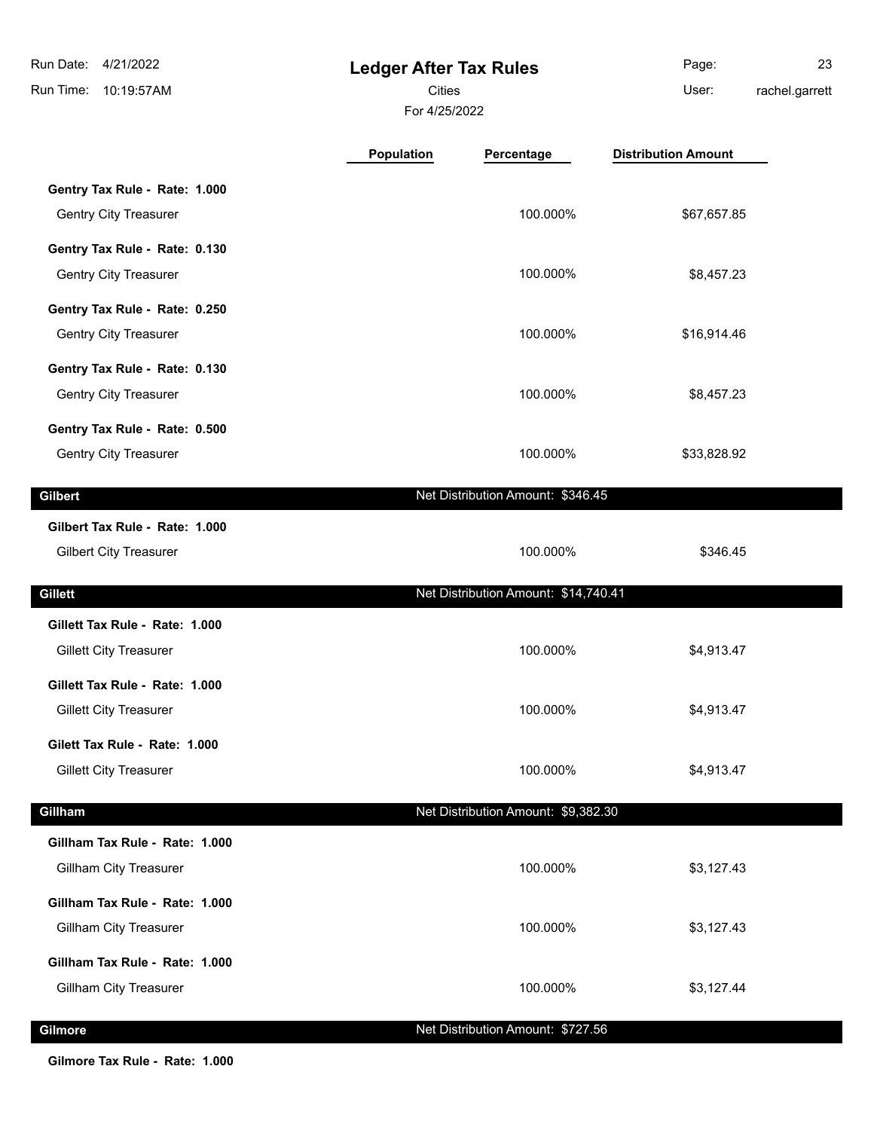**Ledger After Tax Rules** Run Time: 10:19:57AM Run Date: 4/21/2022 For 4/25/2022 **Cities Community Community Community** User: Page: 23 rachel.garrett **Population Percentage Distribution Amount Gentry Tax Rule - Rate: 1.000** Gentry City Treasurer **100.000%** \$67,657.85 **Gentry Tax Rule - Rate: 0.130** Gentry City Treasurer **100.000%** \$8,457.23 **Gentry Tax Rule - Rate: 0.250** Gentry City Treasurer **100.000%** \$16,914.46 **Gentry Tax Rule - Rate: 0.130** Gentry City Treasurer **100.000%** \$8,457.23 **Gentry Tax Rule - Rate: 0.500** Gentry City Treasurer **100.000%** \$33,828.92 **Gilbert Gilbert Net Distribution Amount: \$346.45 Gilbert Tax Rule - Rate: 1.000** Gilbert City Treasurer **6. The State City Treasurer 100.000%** \$346.45 **Gillett Gillett Net Distribution Amount: \$14,740.41 Gillett Tax Rule - Rate: 1.000** Gillett City Treasurer **100.000%** \$4,913.47 **Gillett Tax Rule - Rate: 1.000** Gillett City Treasurer **100.000%** \$4,913.47 **Gilett Tax Rule - Rate: 1.000** Gillett City Treasurer **100.000%** \$4,913.47 **Gillham** Net Distribution Amount: \$9,382.30 **Gillham Tax Rule - Rate: 1.000** Gillham City Treasurer **100.000%** \$3,127.43 **Gillham Tax Rule - Rate: 1.000** Gillham City Treasurer **6.128.127.43 6.127.43 6.127.43** 

**Gillham Tax Rule - Rate: 1.000**

Gillham City Treasurer **100.000%** \$3,127.44

**Gilmore** Net Distribution Amount: \$727.56

**Gilmore Tax Rule - Rate: 1.000**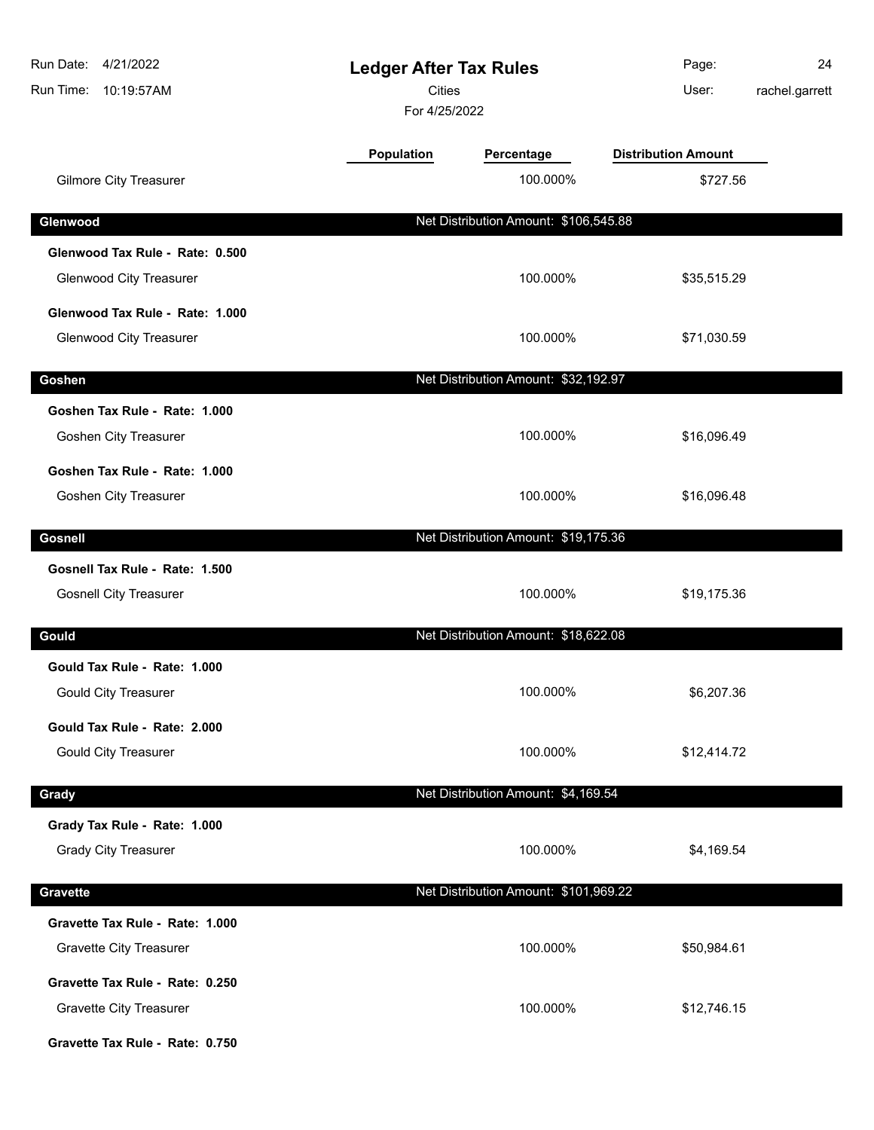| Run Date:<br>4/21/2022<br>Run Time:<br>10:19:57AM | <b>Ledger After Tax Rules</b><br><b>Cities</b><br>For 4/25/2022 |                                       | Page:<br>User:             | 24<br>rachel.garrett |
|---------------------------------------------------|-----------------------------------------------------------------|---------------------------------------|----------------------------|----------------------|
|                                                   | Population                                                      | Percentage                            | <b>Distribution Amount</b> |                      |
| <b>Gilmore City Treasurer</b>                     |                                                                 | 100.000%                              | \$727.56                   |                      |
| Glenwood                                          |                                                                 | Net Distribution Amount: \$106,545.88 |                            |                      |
| Glenwood Tax Rule - Rate: 0.500                   |                                                                 |                                       |                            |                      |
| <b>Glenwood City Treasurer</b>                    |                                                                 | 100.000%                              | \$35,515.29                |                      |
| Glenwood Tax Rule - Rate: 1.000                   |                                                                 |                                       |                            |                      |
| <b>Glenwood City Treasurer</b>                    |                                                                 | 100.000%                              | \$71,030.59                |                      |
| Goshen                                            |                                                                 | Net Distribution Amount: \$32,192.97  |                            |                      |
| Goshen Tax Rule - Rate: 1.000                     |                                                                 |                                       |                            |                      |
| <b>Goshen City Treasurer</b>                      |                                                                 | 100.000%                              | \$16,096.49                |                      |
| Goshen Tax Rule - Rate: 1.000                     |                                                                 |                                       |                            |                      |
| <b>Goshen City Treasurer</b>                      |                                                                 | 100.000%                              | \$16,096.48                |                      |
| <b>Gosnell</b>                                    |                                                                 | Net Distribution Amount: \$19,175.36  |                            |                      |
| Gosnell Tax Rule - Rate: 1.500                    |                                                                 |                                       |                            |                      |
| <b>Gosnell City Treasurer</b>                     |                                                                 | 100.000%                              | \$19,175.36                |                      |
| Gould                                             |                                                                 | Net Distribution Amount: \$18,622.08  |                            |                      |
| Gould Tax Rule - Rate: 1.000                      |                                                                 |                                       |                            |                      |
| <b>Gould City Treasurer</b>                       |                                                                 | 100.000%                              | \$6,207.36                 |                      |
| Gould Tax Rule - Rate: 2.000                      |                                                                 |                                       |                            |                      |
| <b>Gould City Treasurer</b>                       |                                                                 | 100.000%                              | \$12,414.72                |                      |
| Grady                                             |                                                                 | Net Distribution Amount: \$4,169.54   |                            |                      |
| Grady Tax Rule - Rate: 1.000                      |                                                                 |                                       |                            |                      |
| <b>Grady City Treasurer</b>                       |                                                                 | 100.000%                              | \$4,169.54                 |                      |
| Gravette                                          |                                                                 | Net Distribution Amount: \$101,969.22 |                            |                      |
| Gravette Tax Rule - Rate: 1.000                   |                                                                 |                                       |                            |                      |
| <b>Gravette City Treasurer</b>                    |                                                                 | 100.000%                              | \$50,984.61                |                      |
| Gravette Tax Rule - Rate: 0.250                   |                                                                 |                                       |                            |                      |
| <b>Gravette City Treasurer</b>                    |                                                                 | 100.000%                              | \$12,746.15                |                      |
| Gravette Tax Rule - Rate: 0.750                   |                                                                 |                                       |                            |                      |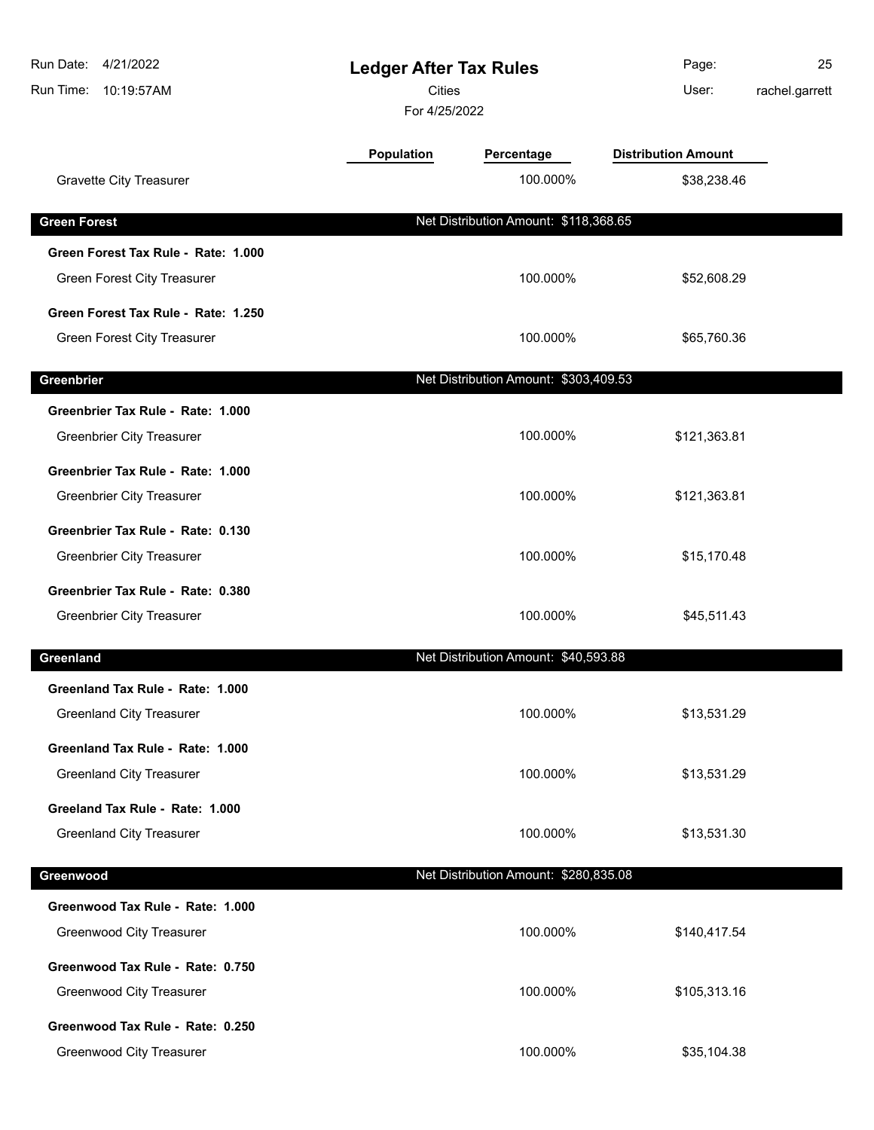| Run Date: 4/21/2022<br>Run Time: 10:19:57AM |            | <b>Ledger After Tax Rules</b><br><b>Cities</b><br>For 4/25/2022 |                            | 25<br>rachel.garrett |
|---------------------------------------------|------------|-----------------------------------------------------------------|----------------------------|----------------------|
|                                             | Population | Percentage                                                      | <b>Distribution Amount</b> |                      |
| <b>Gravette City Treasurer</b>              |            | 100.000%                                                        | \$38,238.46                |                      |
| <b>Green Forest</b>                         |            | Net Distribution Amount: \$118,368.65                           |                            |                      |
| Green Forest Tax Rule - Rate: 1.000         |            |                                                                 |                            |                      |
| Green Forest City Treasurer                 |            | 100.000%                                                        | \$52,608.29                |                      |
| Green Forest Tax Rule - Rate: 1.250         |            |                                                                 |                            |                      |
| <b>Green Forest City Treasurer</b>          |            | 100.000%                                                        | \$65,760.36                |                      |
| Greenbrier                                  |            | Net Distribution Amount: \$303,409.53                           |                            |                      |
| Greenbrier Tax Rule - Rate: 1.000           |            |                                                                 |                            |                      |
| Greenbrier City Treasurer                   |            | 100.000%                                                        | \$121,363.81               |                      |
| Greenbrier Tax Rule - Rate: 1.000           |            |                                                                 |                            |                      |
| <b>Greenbrier City Treasurer</b>            |            | 100.000%                                                        | \$121,363.81               |                      |
| Greenbrier Tax Rule - Rate: 0.130           |            |                                                                 |                            |                      |
| Greenbrier City Treasurer                   |            | 100.000%                                                        | \$15,170.48                |                      |
| Greenbrier Tax Rule - Rate: 0.380           |            |                                                                 |                            |                      |
| <b>Greenbrier City Treasurer</b>            |            | 100.000%                                                        | \$45,511.43                |                      |
|                                             |            |                                                                 |                            |                      |
| Greenland                                   |            | Net Distribution Amount: \$40,593.88                            |                            |                      |
| Greenland Tax Rule - Rate: 1.000            |            |                                                                 |                            |                      |
| <b>Greenland City Treasurer</b>             |            | 100.000%                                                        | \$13,531.29                |                      |
| Greenland Tax Rule - Rate: 1.000            |            |                                                                 |                            |                      |
| <b>Greenland City Treasurer</b>             |            | 100.000%                                                        | \$13,531.29                |                      |
| Greeland Tax Rule - Rate: 1.000             |            |                                                                 |                            |                      |
| <b>Greenland City Treasurer</b>             |            | 100.000%                                                        | \$13,531.30                |                      |
| Greenwood                                   |            | Net Distribution Amount: \$280,835.08                           |                            |                      |
| Greenwood Tax Rule - Rate: 1.000            |            |                                                                 |                            |                      |
| <b>Greenwood City Treasurer</b>             |            | 100.000%                                                        | \$140,417.54               |                      |
| Greenwood Tax Rule - Rate: 0.750            |            |                                                                 |                            |                      |
| <b>Greenwood City Treasurer</b>             |            | 100.000%                                                        | \$105,313.16               |                      |
| Greenwood Tax Rule - Rate: 0.250            |            |                                                                 |                            |                      |
| <b>Greenwood City Treasurer</b>             |            | 100.000%                                                        | \$35,104.38                |                      |
|                                             |            |                                                                 |                            |                      |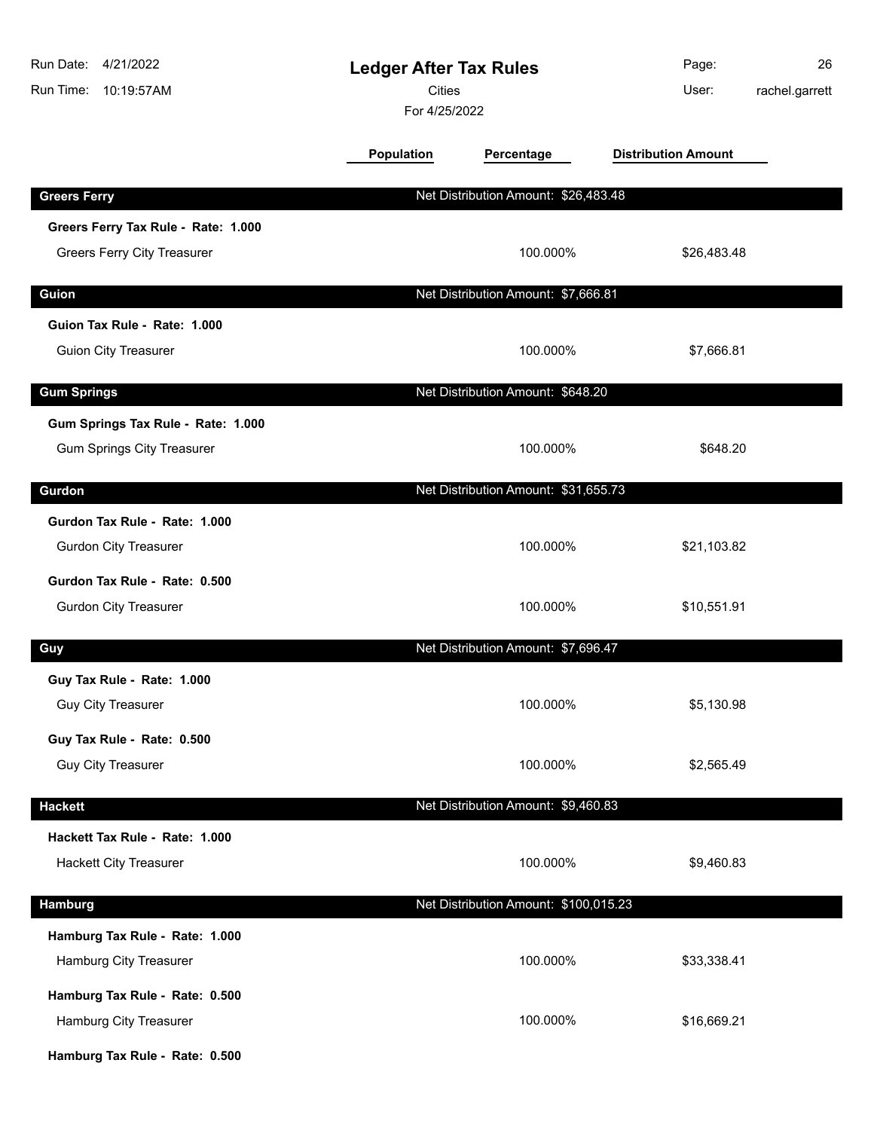| Run Date: 4/21/2022<br>Run Time: 10:19:57AM | <b>Ledger After Tax Rules</b><br><b>Cities</b><br>For 4/25/2022 |                                       | Page:<br>User:             | 26<br>rachel.garrett |
|---------------------------------------------|-----------------------------------------------------------------|---------------------------------------|----------------------------|----------------------|
|                                             | <b>Population</b>                                               | Percentage                            | <b>Distribution Amount</b> |                      |
| <b>Greers Ferry</b>                         |                                                                 | Net Distribution Amount: \$26,483.48  |                            |                      |
| Greers Ferry Tax Rule - Rate: 1.000         |                                                                 |                                       |                            |                      |
| <b>Greers Ferry City Treasurer</b>          |                                                                 | 100.000%                              | \$26,483.48                |                      |
| Guion                                       |                                                                 | Net Distribution Amount: \$7,666.81   |                            |                      |
| Guion Tax Rule - Rate: 1.000                |                                                                 |                                       |                            |                      |
| <b>Guion City Treasurer</b>                 |                                                                 | 100.000%                              | \$7,666.81                 |                      |
| <b>Gum Springs</b>                          |                                                                 | Net Distribution Amount: \$648.20     |                            |                      |
| Gum Springs Tax Rule - Rate: 1.000          |                                                                 |                                       |                            |                      |
| <b>Gum Springs City Treasurer</b>           |                                                                 | 100.000%                              | \$648.20                   |                      |
| Gurdon                                      |                                                                 | Net Distribution Amount: \$31,655.73  |                            |                      |
| Gurdon Tax Rule - Rate: 1.000               |                                                                 |                                       |                            |                      |
| <b>Gurdon City Treasurer</b>                |                                                                 | 100.000%                              | \$21,103.82                |                      |
| Gurdon Tax Rule - Rate: 0.500               |                                                                 |                                       |                            |                      |
| <b>Gurdon City Treasurer</b>                |                                                                 | 100.000%                              | \$10,551.91                |                      |
| Guy                                         |                                                                 | Net Distribution Amount: \$7,696.47   |                            |                      |
| Guy Tax Rule - Rate: 1.000                  |                                                                 |                                       |                            |                      |
| <b>Guy City Treasurer</b>                   |                                                                 | 100.000%                              | \$5,130.98                 |                      |
| Guy Tax Rule - Rate: 0.500                  |                                                                 |                                       |                            |                      |
| <b>Guy City Treasurer</b>                   |                                                                 | 100.000%                              | \$2,565.49                 |                      |
| <b>Hackett</b>                              |                                                                 | Net Distribution Amount: \$9,460.83   |                            |                      |
| Hackett Tax Rule - Rate: 1.000              |                                                                 |                                       |                            |                      |
| <b>Hackett City Treasurer</b>               |                                                                 | 100.000%                              | \$9,460.83                 |                      |
| <b>Hamburg</b>                              |                                                                 | Net Distribution Amount: \$100,015.23 |                            |                      |
| Hamburg Tax Rule - Rate: 1.000              |                                                                 |                                       |                            |                      |
| Hamburg City Treasurer                      |                                                                 | 100.000%                              | \$33,338.41                |                      |
| Hamburg Tax Rule - Rate: 0.500              |                                                                 |                                       |                            |                      |
| Hamburg City Treasurer                      |                                                                 | 100.000%                              | \$16,669.21                |                      |
| Hamburg Tax Rule - Rate: 0.500              |                                                                 |                                       |                            |                      |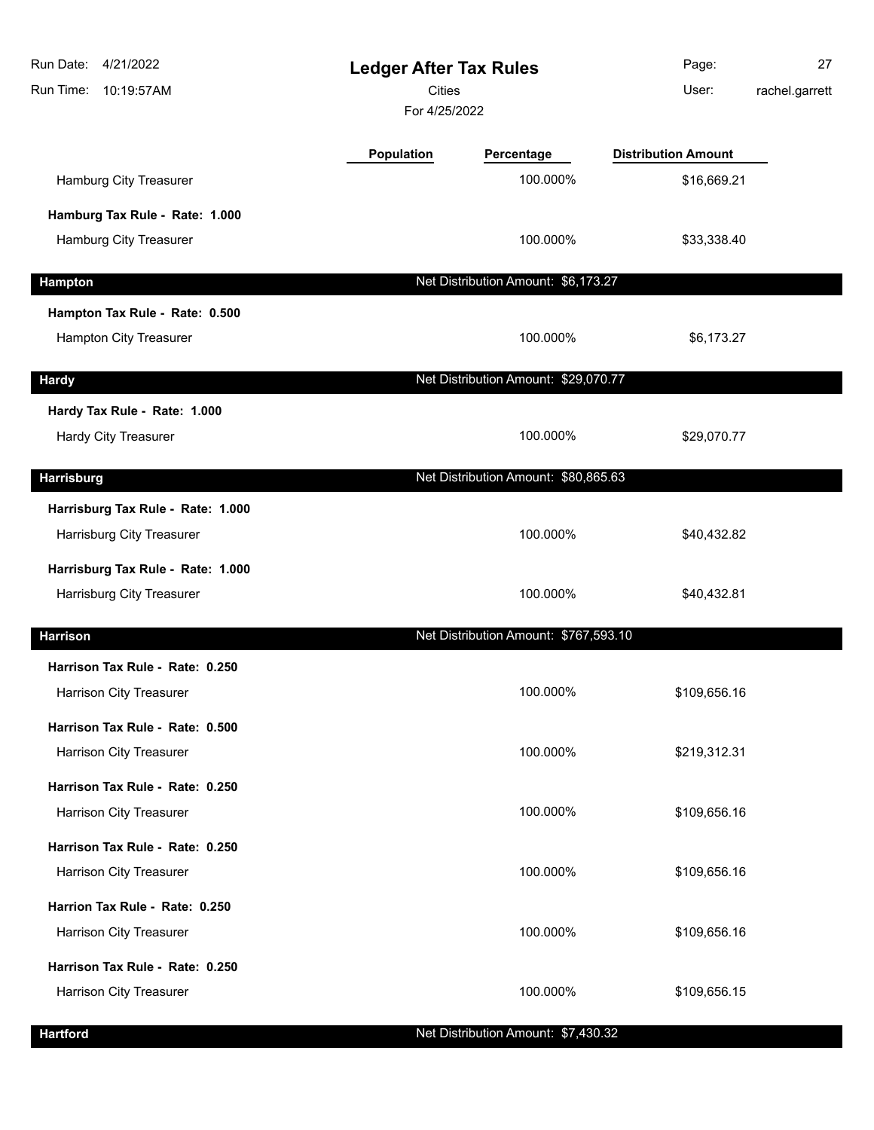| Run Date: 4/21/2022<br>Run Time:<br>10:19:57AM |            | <b>Ledger After Tax Rules</b><br><b>Cities</b><br>For 4/25/2022 |                            | 27<br>rachel.garrett |
|------------------------------------------------|------------|-----------------------------------------------------------------|----------------------------|----------------------|
|                                                | Population | Percentage                                                      | <b>Distribution Amount</b> |                      |
| Hamburg City Treasurer                         |            | 100.000%                                                        | \$16,669.21                |                      |
| Hamburg Tax Rule - Rate: 1.000                 |            |                                                                 |                            |                      |
| Hamburg City Treasurer                         |            | 100.000%                                                        | \$33,338.40                |                      |
| Hampton                                        |            | Net Distribution Amount: \$6,173.27                             |                            |                      |
| Hampton Tax Rule - Rate: 0.500                 |            |                                                                 |                            |                      |
| Hampton City Treasurer                         |            | 100.000%                                                        | \$6,173.27                 |                      |
| <b>Hardy</b>                                   |            | Net Distribution Amount: \$29,070.77                            |                            |                      |
| Hardy Tax Rule - Rate: 1.000                   |            |                                                                 |                            |                      |
| <b>Hardy City Treasurer</b>                    |            | 100.000%                                                        | \$29,070.77                |                      |
| <b>Harrisburg</b>                              |            | Net Distribution Amount: \$80,865.63                            |                            |                      |
| Harrisburg Tax Rule - Rate: 1.000              |            |                                                                 |                            |                      |
| Harrisburg City Treasurer                      |            | 100.000%                                                        | \$40,432.82                |                      |
| Harrisburg Tax Rule - Rate: 1.000              |            |                                                                 |                            |                      |
| Harrisburg City Treasurer                      |            | 100.000%                                                        | \$40,432.81                |                      |
| <b>Harrison</b>                                |            | Net Distribution Amount: \$767,593.10                           |                            |                      |
| Harrison Tax Rule - Rate: 0.250                |            |                                                                 |                            |                      |
| Harrison City Treasurer                        |            | 100.000%                                                        | \$109,656.16               |                      |
| Harrison Tax Rule - Rate: 0.500                |            |                                                                 |                            |                      |
| Harrison City Treasurer                        |            | 100.000%                                                        | \$219,312.31               |                      |
| Harrison Tax Rule - Rate: 0.250                |            |                                                                 |                            |                      |
| Harrison City Treasurer                        |            | 100.000%                                                        | \$109,656.16               |                      |
| Harrison Tax Rule - Rate: 0.250                |            |                                                                 |                            |                      |
| Harrison City Treasurer                        |            | 100.000%                                                        | \$109,656.16               |                      |
| Harrion Tax Rule - Rate: 0.250                 |            |                                                                 |                            |                      |
| Harrison City Treasurer                        |            | 100.000%                                                        | \$109,656.16               |                      |
| Harrison Tax Rule - Rate: 0.250                |            |                                                                 |                            |                      |
| Harrison City Treasurer                        |            | 100.000%                                                        | \$109,656.15               |                      |
|                                                |            |                                                                 |                            |                      |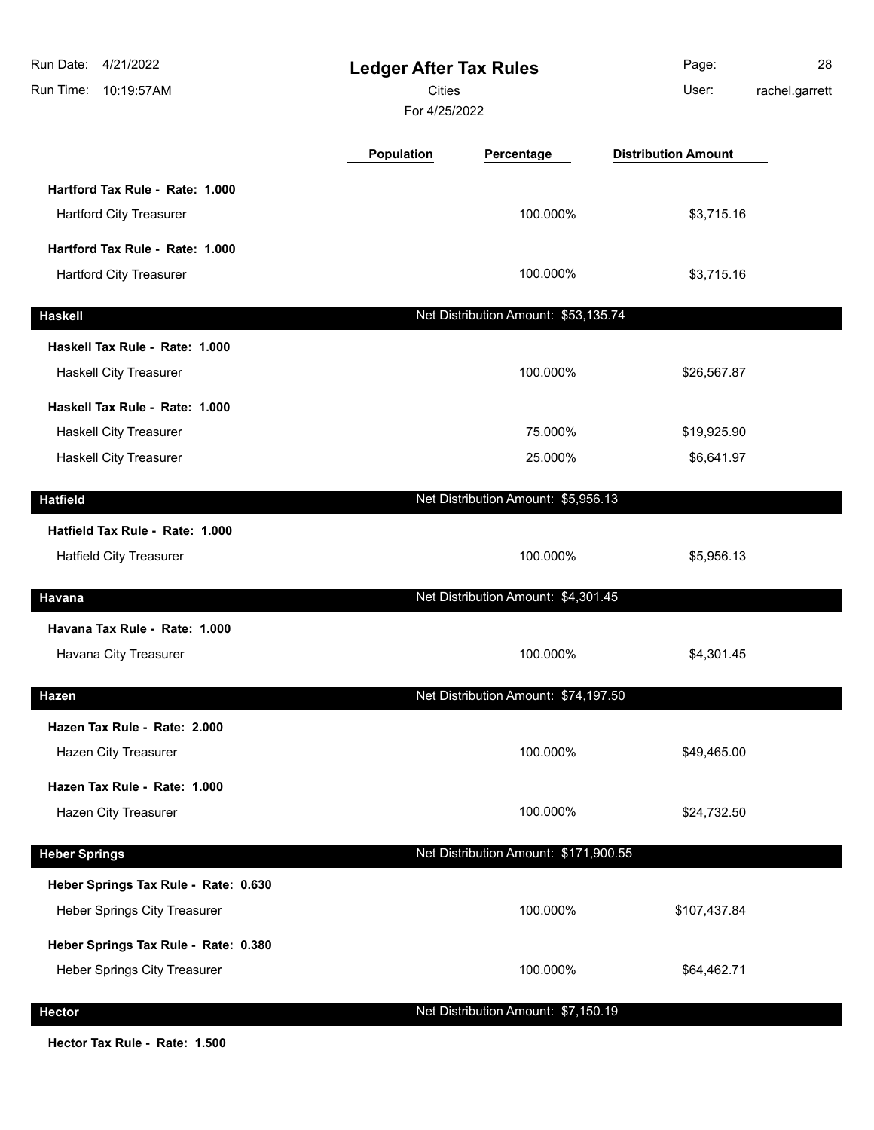| Run Date: 4/21/2022<br>Run Time: 10:19:57AM | <b>Ledger After Tax Rules</b><br><b>Cities</b><br>For 4/25/2022 |                                       | Page:<br>User:             | 28<br>rachel.garrett |
|---------------------------------------------|-----------------------------------------------------------------|---------------------------------------|----------------------------|----------------------|
|                                             | Population                                                      | Percentage                            | <b>Distribution Amount</b> |                      |
| Hartford Tax Rule - Rate: 1.000             |                                                                 |                                       |                            |                      |
| <b>Hartford City Treasurer</b>              |                                                                 | 100.000%                              | \$3,715.16                 |                      |
| Hartford Tax Rule - Rate: 1.000             |                                                                 |                                       |                            |                      |
| <b>Hartford City Treasurer</b>              |                                                                 | 100.000%                              | \$3,715.16                 |                      |
| <b>Haskell</b>                              |                                                                 | Net Distribution Amount: \$53,135.74  |                            |                      |
| Haskell Tax Rule - Rate: 1.000              |                                                                 |                                       |                            |                      |
| <b>Haskell City Treasurer</b>               |                                                                 | 100.000%                              | \$26,567.87                |                      |
| Haskell Tax Rule - Rate: 1.000              |                                                                 |                                       |                            |                      |
| Haskell City Treasurer                      |                                                                 | 75.000%                               | \$19,925.90                |                      |
| <b>Haskell City Treasurer</b>               |                                                                 | 25.000%                               | \$6,641.97                 |                      |
| <b>Hatfield</b>                             |                                                                 | Net Distribution Amount: \$5,956.13   |                            |                      |
| Hatfield Tax Rule - Rate: 1.000             |                                                                 |                                       |                            |                      |
| <b>Hatfield City Treasurer</b>              |                                                                 | 100.000%                              | \$5,956.13                 |                      |
| Havana                                      |                                                                 | Net Distribution Amount: \$4,301.45   |                            |                      |
| Havana Tax Rule - Rate: 1.000               |                                                                 |                                       |                            |                      |
| Havana City Treasurer                       |                                                                 | 100.000%                              | \$4,301.45                 |                      |
| Hazen                                       |                                                                 | Net Distribution Amount: \$74,197.50  |                            |                      |
| Hazen Tax Rule - Rate: 2.000                |                                                                 |                                       |                            |                      |
| <b>Hazen City Treasurer</b>                 |                                                                 | 100.000%                              | \$49,465.00                |                      |
| Hazen Tax Rule - Rate: 1.000                |                                                                 |                                       |                            |                      |
| Hazen City Treasurer                        |                                                                 | 100.000%                              | \$24,732.50                |                      |
| <b>Heber Springs</b>                        |                                                                 | Net Distribution Amount: \$171,900.55 |                            |                      |
| Heber Springs Tax Rule - Rate: 0.630        |                                                                 |                                       |                            |                      |
| Heber Springs City Treasurer                |                                                                 | 100.000%                              | \$107,437.84               |                      |
| Heber Springs Tax Rule - Rate: 0.380        |                                                                 |                                       |                            |                      |
| Heber Springs City Treasurer                |                                                                 | 100.000%                              | \$64,462.71                |                      |
| <b>Hector</b>                               |                                                                 | Net Distribution Amount: \$7,150.19   |                            |                      |

**Hector Tax Rule - Rate: 1.500**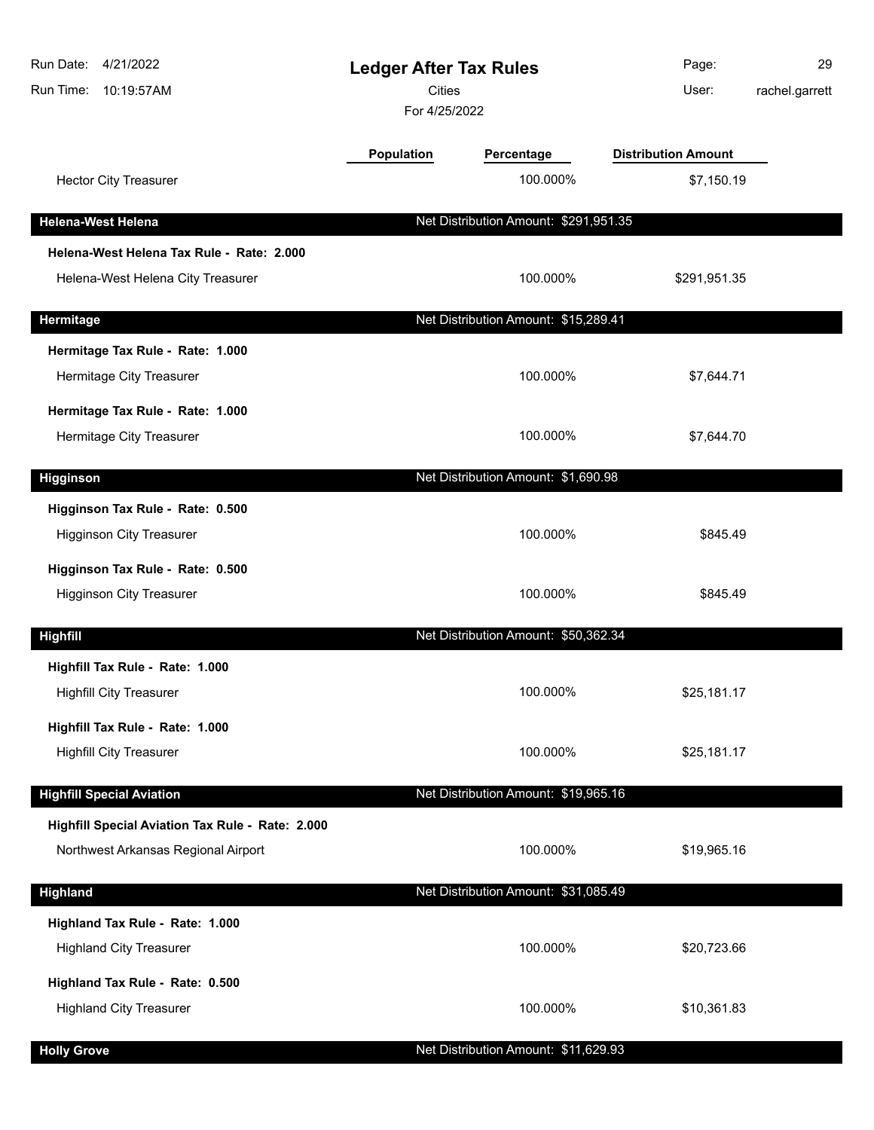| Run Date: 4/21/2022<br>Run Time:<br>10:19:57AM                                          | <b>Ledger After Tax Rules</b><br><b>Cities</b><br>For 4/25/2022 |                                       | Page:<br>User:             | 29<br>rachel.garrett |
|-----------------------------------------------------------------------------------------|-----------------------------------------------------------------|---------------------------------------|----------------------------|----------------------|
|                                                                                         | <b>Population</b>                                               | Percentage                            | <b>Distribution Amount</b> |                      |
| <b>Hector City Treasurer</b>                                                            |                                                                 | 100.000%                              | \$7,150.19                 |                      |
| <b>Helena-West Helena</b>                                                               |                                                                 | Net Distribution Amount: \$291,951.35 |                            |                      |
| Helena-West Helena Tax Rule - Rate: 2.000<br>Helena-West Helena City Treasurer          |                                                                 | 100.000%                              | \$291,951.35               |                      |
| Hermitage                                                                               |                                                                 | Net Distribution Amount: \$15,289.41  |                            |                      |
| Hermitage Tax Rule - Rate: 1.000<br>Hermitage City Treasurer                            |                                                                 | 100.000%                              | \$7,644.71                 |                      |
| Hermitage Tax Rule - Rate: 1.000<br>Hermitage City Treasurer                            |                                                                 | 100.000%                              | \$7,644.70                 |                      |
| Higginson                                                                               |                                                                 | Net Distribution Amount: \$1,690.98   |                            |                      |
| Higginson Tax Rule - Rate: 0.500<br><b>Higginson City Treasurer</b>                     |                                                                 | 100.000%                              | \$845.49                   |                      |
| Higginson Tax Rule - Rate: 0.500<br><b>Higginson City Treasurer</b>                     |                                                                 | 100.000%                              | \$845.49                   |                      |
| <b>Highfill</b>                                                                         |                                                                 | Net Distribution Amount: \$50,362.34  |                            |                      |
| Highfill Tax Rule - Rate: 1.000<br><b>Highfill City Treasurer</b>                       |                                                                 | 100.000%                              | \$25,181.17                |                      |
| Highfill Tax Rule - Rate: 1.000<br><b>Highfill City Treasurer</b>                       |                                                                 | 100.000%                              | \$25,181.17                |                      |
| <b>Highfill Special Aviation</b>                                                        |                                                                 | Net Distribution Amount: \$19,965.16  |                            |                      |
| Highfill Special Aviation Tax Rule - Rate: 2.000<br>Northwest Arkansas Regional Airport |                                                                 | 100.000%                              | \$19,965.16                |                      |
| <b>Highland</b>                                                                         |                                                                 | Net Distribution Amount: \$31,085.49  |                            |                      |
| Highland Tax Rule - Rate: 1.000<br><b>Highland City Treasurer</b>                       |                                                                 | 100.000%                              | \$20,723.66                |                      |
| Highland Tax Rule - Rate: 0.500<br><b>Highland City Treasurer</b>                       |                                                                 | 100.000%                              | \$10,361.83                |                      |
| <b>Holly Grove</b>                                                                      |                                                                 | Net Distribution Amount: \$11,629.93  |                            |                      |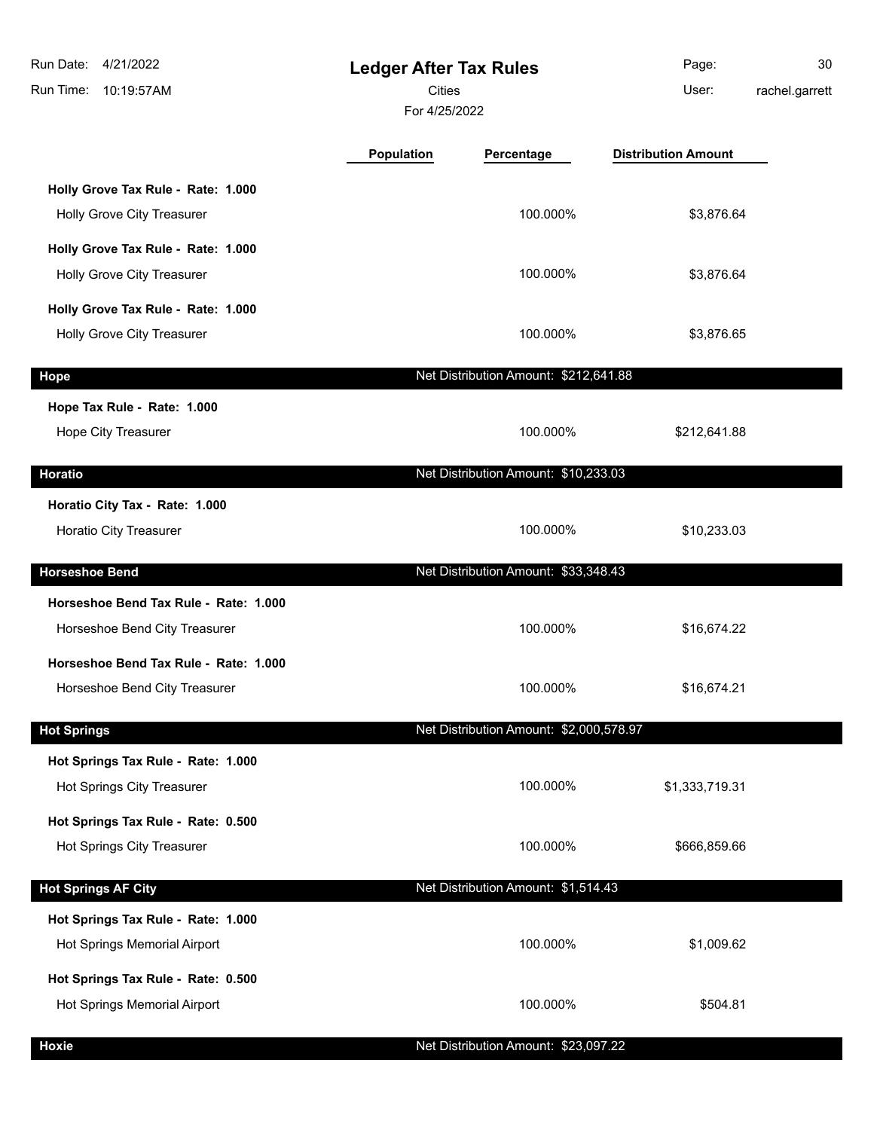| Run Date: 4/21/2022<br>Run Time: 10:19:57AM                      |                   | <b>Ledger After Tax Rules</b><br><b>Cities</b><br>For 4/25/2022 |                            | 30<br>rachel.garrett |
|------------------------------------------------------------------|-------------------|-----------------------------------------------------------------|----------------------------|----------------------|
|                                                                  | <b>Population</b> | Percentage                                                      | <b>Distribution Amount</b> |                      |
| Holly Grove Tax Rule - Rate: 1.000<br>Holly Grove City Treasurer |                   | 100.000%                                                        | \$3,876.64                 |                      |
|                                                                  |                   |                                                                 |                            |                      |
| Holly Grove Tax Rule - Rate: 1.000                               |                   | 100.000%                                                        |                            |                      |
| Holly Grove City Treasurer                                       |                   |                                                                 | \$3,876.64                 |                      |
| Holly Grove Tax Rule - Rate: 1.000                               |                   |                                                                 |                            |                      |
| Holly Grove City Treasurer                                       |                   | 100.000%                                                        | \$3,876.65                 |                      |
| <b>Hope</b>                                                      |                   | Net Distribution Amount: \$212,641.88                           |                            |                      |
| Hope Tax Rule - Rate: 1.000                                      |                   |                                                                 |                            |                      |
| Hope City Treasurer                                              |                   | 100.000%                                                        | \$212,641.88               |                      |
|                                                                  |                   |                                                                 |                            |                      |
| Horatio                                                          |                   | Net Distribution Amount: \$10,233.03                            |                            |                      |
| Horatio City Tax - Rate: 1.000                                   |                   |                                                                 |                            |                      |
| Horatio City Treasurer                                           |                   | 100.000%                                                        | \$10,233.03                |                      |
| <b>Horseshoe Bend</b>                                            |                   | Net Distribution Amount: \$33,348.43                            |                            |                      |
| Horseshoe Bend Tax Rule - Rate: 1.000                            |                   |                                                                 |                            |                      |
| Horseshoe Bend City Treasurer                                    |                   | 100.000%                                                        | \$16,674.22                |                      |
| Horseshoe Bend Tax Rule - Rate: 1.000                            |                   |                                                                 |                            |                      |
| Horseshoe Bend City Treasurer                                    |                   | 100.000%                                                        | \$16,674.21                |                      |
|                                                                  |                   |                                                                 |                            |                      |
| <b>Hot Springs</b>                                               |                   | Net Distribution Amount: \$2,000,578.97                         |                            |                      |
| Hot Springs Tax Rule - Rate: 1.000                               |                   |                                                                 |                            |                      |
| Hot Springs City Treasurer                                       |                   | 100.000%                                                        | \$1,333,719.31             |                      |
| Hot Springs Tax Rule - Rate: 0.500                               |                   |                                                                 |                            |                      |
| Hot Springs City Treasurer                                       |                   | 100.000%                                                        | \$666,859.66               |                      |
| <b>Hot Springs AF City</b>                                       |                   | Net Distribution Amount: \$1,514.43                             |                            |                      |
| Hot Springs Tax Rule - Rate: 1.000                               |                   |                                                                 |                            |                      |
| Hot Springs Memorial Airport                                     |                   | 100.000%                                                        | \$1,009.62                 |                      |
|                                                                  |                   |                                                                 |                            |                      |
| Hot Springs Tax Rule - Rate: 0.500                               |                   |                                                                 |                            |                      |
| Hot Springs Memorial Airport                                     |                   | 100.000%                                                        | \$504.81                   |                      |
| <b>Hoxie</b>                                                     |                   | Net Distribution Amount: \$23,097.22                            |                            |                      |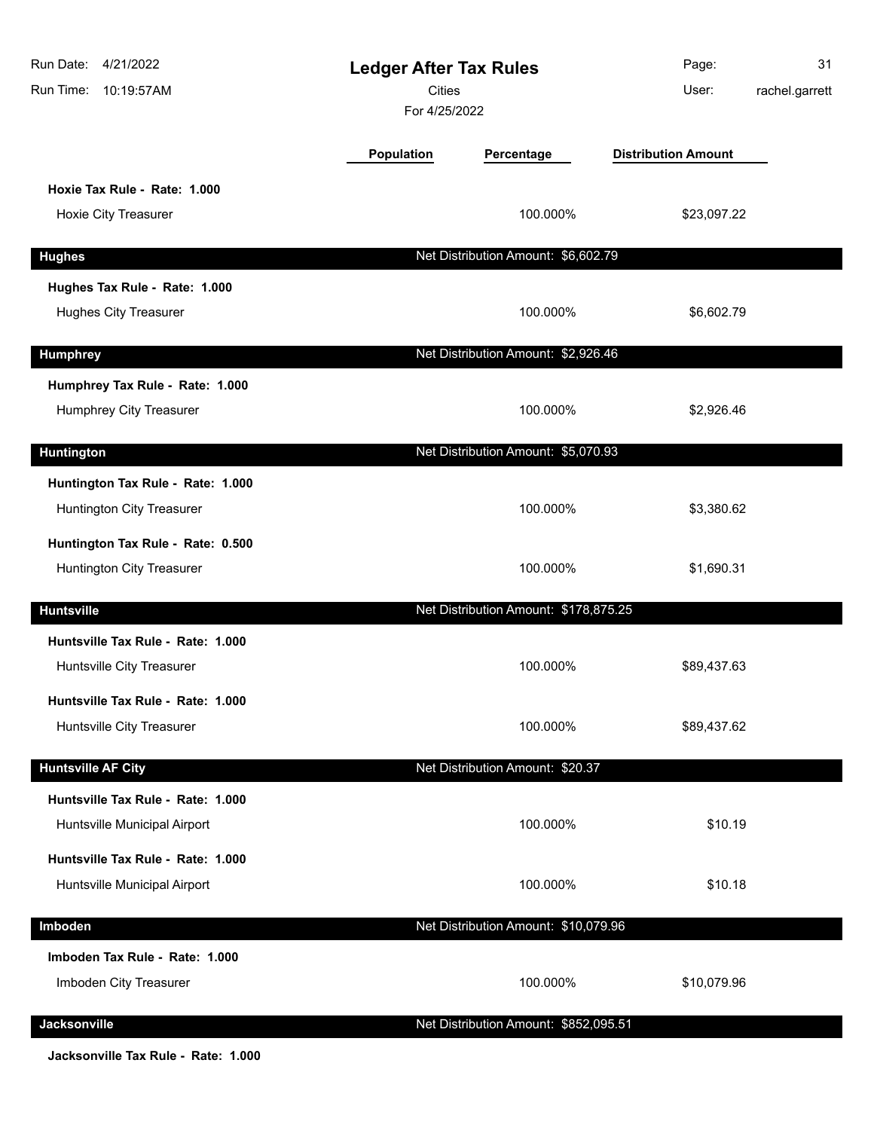| Run Date: 4/21/2022<br>Run Time: 10:19:57AM                       | <b>Ledger After Tax Rules</b><br><b>Cities</b><br>For 4/25/2022 |                                       | Page:<br>User:             | 31<br>rachel.garrett |
|-------------------------------------------------------------------|-----------------------------------------------------------------|---------------------------------------|----------------------------|----------------------|
|                                                                   | <b>Population</b>                                               | Percentage                            | <b>Distribution Amount</b> |                      |
| Hoxie Tax Rule - Rate: 1.000<br><b>Hoxie City Treasurer</b>       |                                                                 | 100.000%                              | \$23,097.22                |                      |
| <b>Hughes</b>                                                     |                                                                 | Net Distribution Amount: \$6,602.79   |                            |                      |
| Hughes Tax Rule - Rate: 1.000<br><b>Hughes City Treasurer</b>     |                                                                 | 100.000%                              | \$6,602.79                 |                      |
| <b>Humphrey</b>                                                   |                                                                 | Net Distribution Amount: \$2,926.46   |                            |                      |
| Humphrey Tax Rule - Rate: 1.000<br>Humphrey City Treasurer        |                                                                 | 100.000%                              | \$2,926.46                 |                      |
| <b>Huntington</b>                                                 |                                                                 | Net Distribution Amount: \$5,070.93   |                            |                      |
| Huntington Tax Rule - Rate: 1.000<br>Huntington City Treasurer    |                                                                 | 100.000%                              | \$3,380.62                 |                      |
| Huntington Tax Rule - Rate: 0.500<br>Huntington City Treasurer    |                                                                 | 100.000%                              | \$1,690.31                 |                      |
| <b>Huntsville</b>                                                 |                                                                 | Net Distribution Amount: \$178,875.25 |                            |                      |
| Huntsville Tax Rule - Rate: 1.000<br>Huntsville City Treasurer    |                                                                 | 100.000%                              | \$89,437.63                |                      |
| Huntsville Tax Rule - Rate: 1.000<br>Huntsville City Treasurer    |                                                                 | 100.000%                              | \$89,437.62                |                      |
| <b>Huntsville AF City</b>                                         |                                                                 | Net Distribution Amount: \$20.37      |                            |                      |
| Huntsville Tax Rule - Rate: 1.000<br>Huntsville Municipal Airport |                                                                 | 100.000%                              | \$10.19                    |                      |
| Huntsville Tax Rule - Rate: 1.000<br>Huntsville Municipal Airport |                                                                 | 100.000%                              | \$10.18                    |                      |
| Imboden                                                           |                                                                 | Net Distribution Amount: \$10,079.96  |                            |                      |
| Imboden Tax Rule - Rate: 1.000<br>Imboden City Treasurer          |                                                                 | 100.000%                              | \$10,079.96                |                      |
| Jacksonville                                                      |                                                                 | Net Distribution Amount: \$852,095.51 |                            |                      |

**Jacksonville Tax Rule - Rate: 1.000**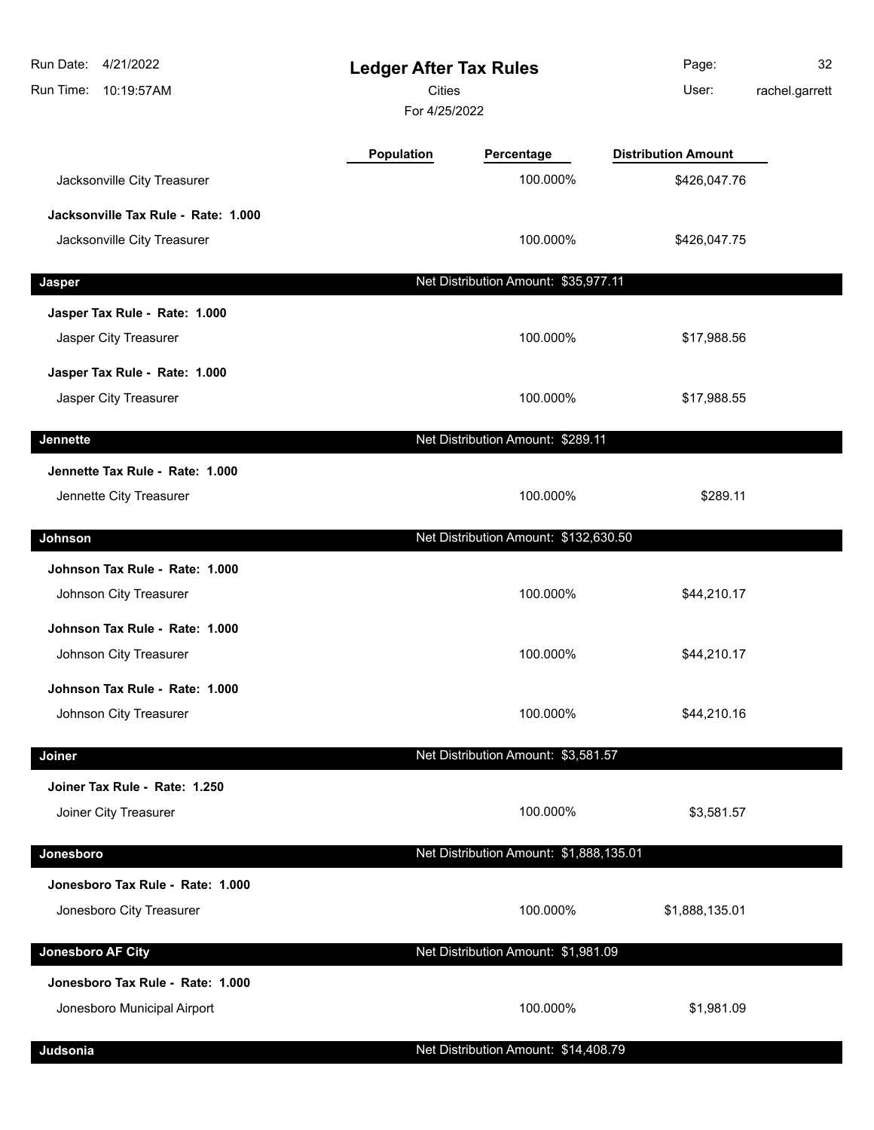| Run Date:<br>4/21/2022<br>Run Time:<br>10:19:57AM | <b>Ledger After Tax Rules</b><br><b>Cities</b><br>For 4/25/2022 |                                         | Page:<br>User:             | 32<br>rachel.garrett |
|---------------------------------------------------|-----------------------------------------------------------------|-----------------------------------------|----------------------------|----------------------|
|                                                   | <b>Population</b>                                               | Percentage                              | <b>Distribution Amount</b> |                      |
| Jacksonville City Treasurer                       |                                                                 | 100.000%                                | \$426,047.76               |                      |
| Jacksonville Tax Rule - Rate: 1.000               |                                                                 |                                         |                            |                      |
| Jacksonville City Treasurer                       |                                                                 | 100.000%                                | \$426,047.75               |                      |
| Jasper                                            |                                                                 | Net Distribution Amount: \$35,977.11    |                            |                      |
| Jasper Tax Rule - Rate: 1.000                     |                                                                 |                                         |                            |                      |
| Jasper City Treasurer                             |                                                                 | 100.000%                                | \$17,988.56                |                      |
| Jasper Tax Rule - Rate: 1.000                     |                                                                 |                                         |                            |                      |
| Jasper City Treasurer                             |                                                                 | 100.000%                                | \$17,988.55                |                      |
| <b>Jennette</b>                                   |                                                                 | Net Distribution Amount: \$289.11       |                            |                      |
| Jennette Tax Rule - Rate: 1.000                   |                                                                 |                                         |                            |                      |
| Jennette City Treasurer                           |                                                                 | 100.000%                                | \$289.11                   |                      |
| Johnson                                           |                                                                 | Net Distribution Amount: \$132,630.50   |                            |                      |
| Johnson Tax Rule - Rate: 1.000                    |                                                                 |                                         |                            |                      |
| Johnson City Treasurer                            |                                                                 | 100.000%                                | \$44,210.17                |                      |
| Johnson Tax Rule - Rate: 1.000                    |                                                                 |                                         |                            |                      |
| Johnson City Treasurer                            |                                                                 | 100.000%                                | \$44,210.17                |                      |
| Johnson Tax Rule - Rate: 1.000                    |                                                                 |                                         |                            |                      |
| Johnson City Treasurer                            |                                                                 | 100.000%                                | \$44,210.16                |                      |
| Joiner                                            |                                                                 | Net Distribution Amount: \$3,581.57     |                            |                      |
| Joiner Tax Rule - Rate: 1.250                     |                                                                 |                                         |                            |                      |
| Joiner City Treasurer                             |                                                                 | 100.000%                                | \$3,581.57                 |                      |
| Jonesboro                                         |                                                                 | Net Distribution Amount: \$1,888,135.01 |                            |                      |
| Jonesboro Tax Rule - Rate: 1.000                  |                                                                 |                                         |                            |                      |
| Jonesboro City Treasurer                          |                                                                 | 100.000%                                | \$1,888,135.01             |                      |
| <b>Jonesboro AF City</b>                          |                                                                 | Net Distribution Amount: \$1,981.09     |                            |                      |
| Jonesboro Tax Rule - Rate: 1.000                  |                                                                 |                                         |                            |                      |
| Jonesboro Municipal Airport                       |                                                                 | 100.000%                                | \$1,981.09                 |                      |
| Judsonia                                          |                                                                 | Net Distribution Amount: \$14,408.79    |                            |                      |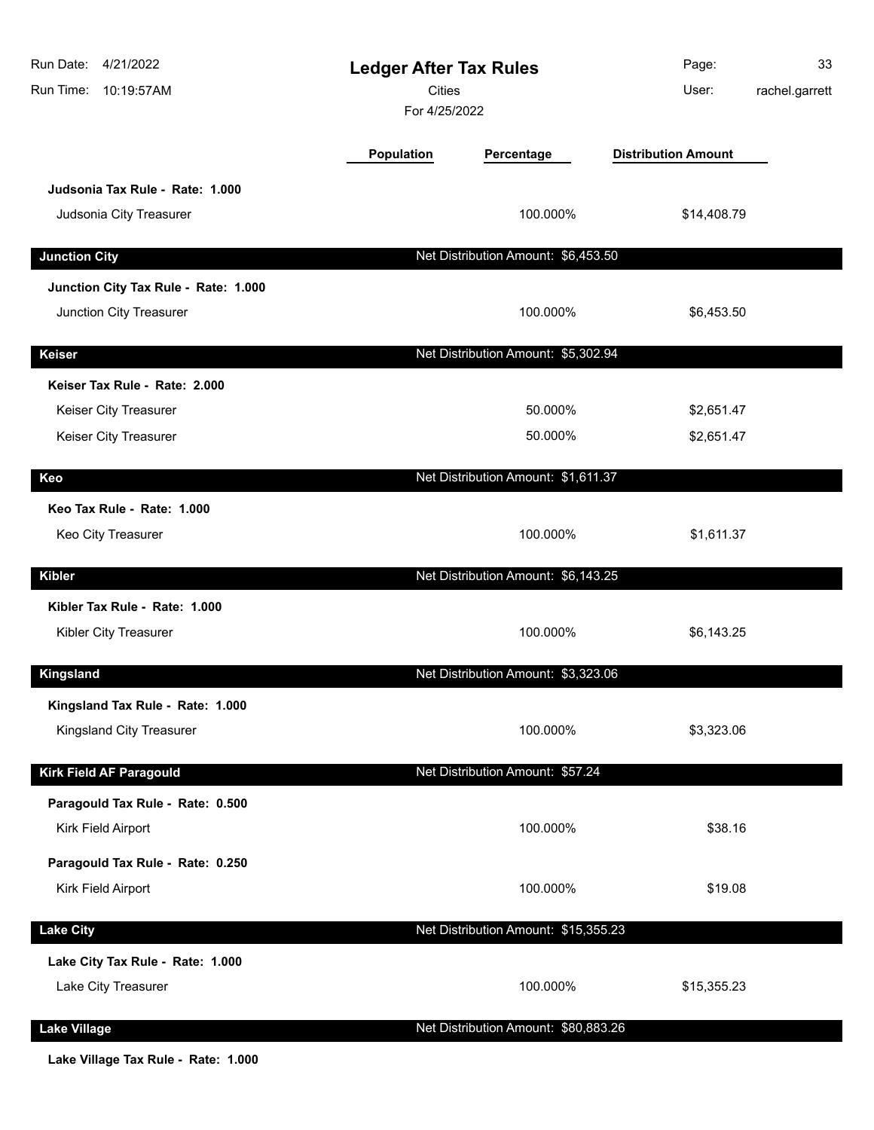| Run Date: 4/21/2022<br>Run Time: 10:19:57AM | <b>Ledger After Tax Rules</b><br><b>Cities</b><br>For 4/25/2022 |                                      | Page:<br>User:             | 33<br>rachel.garrett |
|---------------------------------------------|-----------------------------------------------------------------|--------------------------------------|----------------------------|----------------------|
|                                             | <b>Population</b>                                               | Percentage                           | <b>Distribution Amount</b> |                      |
| Judsonia Tax Rule - Rate: 1.000             |                                                                 |                                      |                            |                      |
| Judsonia City Treasurer                     |                                                                 | 100.000%                             | \$14,408.79                |                      |
| <b>Junction City</b>                        |                                                                 | Net Distribution Amount: \$6,453.50  |                            |                      |
| Junction City Tax Rule - Rate: 1.000        |                                                                 |                                      |                            |                      |
| Junction City Treasurer                     |                                                                 | 100.000%                             | \$6,453.50                 |                      |
| <b>Keiser</b>                               |                                                                 | Net Distribution Amount: \$5,302.94  |                            |                      |
| Keiser Tax Rule - Rate: 2.000               |                                                                 |                                      |                            |                      |
| Keiser City Treasurer                       |                                                                 | 50.000%                              | \$2,651.47                 |                      |
| Keiser City Treasurer                       |                                                                 | 50.000%                              | \$2,651.47                 |                      |
| Keo                                         |                                                                 | Net Distribution Amount: \$1,611.37  |                            |                      |
| Keo Tax Rule - Rate: 1.000                  |                                                                 |                                      |                            |                      |
| Keo City Treasurer                          |                                                                 | 100.000%                             | \$1,611.37                 |                      |
| <b>Kibler</b>                               |                                                                 | Net Distribution Amount: \$6,143.25  |                            |                      |
| Kibler Tax Rule - Rate: 1.000               |                                                                 |                                      |                            |                      |
| Kibler City Treasurer                       |                                                                 | 100.000%                             | \$6,143.25                 |                      |
| Kingsland                                   |                                                                 | Net Distribution Amount: \$3,323.06  |                            |                      |
| Kingsland Tax Rule - Rate: 1.000            |                                                                 |                                      |                            |                      |
| Kingsland City Treasurer                    |                                                                 | 100.000%                             | \$3,323.06                 |                      |
| Kirk Field AF Paragould                     |                                                                 | Net Distribution Amount: \$57.24     |                            |                      |
| Paragould Tax Rule - Rate: 0.500            |                                                                 |                                      |                            |                      |
| Kirk Field Airport                          |                                                                 | 100.000%                             | \$38.16                    |                      |
| Paragould Tax Rule - Rate: 0.250            |                                                                 |                                      |                            |                      |
| Kirk Field Airport                          |                                                                 | 100.000%                             | \$19.08                    |                      |
| <b>Lake City</b>                            |                                                                 | Net Distribution Amount: \$15,355.23 |                            |                      |
| Lake City Tax Rule - Rate: 1.000            |                                                                 |                                      |                            |                      |
| Lake City Treasurer                         |                                                                 | 100.000%                             | \$15,355.23                |                      |
| <b>Lake Village</b>                         |                                                                 | Net Distribution Amount: \$80,883.26 |                            |                      |

**Lake Village Tax Rule - Rate: 1.000**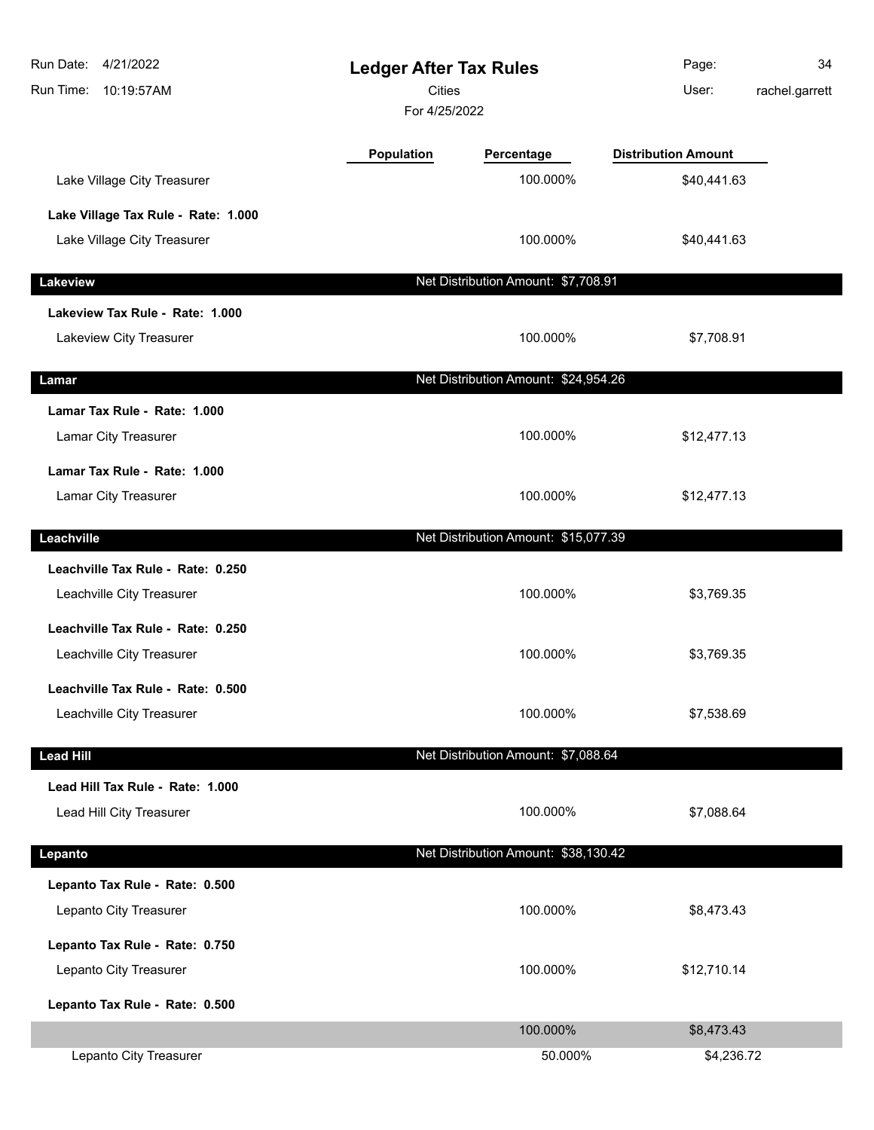| Run Date:<br>4/21/2022<br>Run Time: 10:19:57AM | <b>Ledger After Tax Rules</b><br><b>Cities</b><br>For 4/25/2022 |                                      | Page:<br>User:             | 34<br>rachel.garrett |
|------------------------------------------------|-----------------------------------------------------------------|--------------------------------------|----------------------------|----------------------|
|                                                | Population                                                      | Percentage                           | <b>Distribution Amount</b> |                      |
| Lake Village City Treasurer                    |                                                                 | 100.000%                             | \$40,441.63                |                      |
| Lake Village Tax Rule - Rate: 1.000            |                                                                 |                                      |                            |                      |
| Lake Village City Treasurer                    |                                                                 | 100.000%                             | \$40,441.63                |                      |
| Lakeview                                       |                                                                 | Net Distribution Amount: \$7,708.91  |                            |                      |
| Lakeview Tax Rule - Rate: 1.000                |                                                                 |                                      |                            |                      |
| Lakeview City Treasurer                        |                                                                 | 100.000%                             | \$7,708.91                 |                      |
| Lamar                                          |                                                                 | Net Distribution Amount: \$24,954.26 |                            |                      |
| Lamar Tax Rule - Rate: 1.000                   |                                                                 |                                      |                            |                      |
| Lamar City Treasurer                           |                                                                 | 100.000%                             | \$12,477.13                |                      |
| Lamar Tax Rule - Rate: 1.000                   |                                                                 |                                      |                            |                      |
| Lamar City Treasurer                           |                                                                 | 100.000%                             | \$12,477.13                |                      |
| Leachville                                     |                                                                 | Net Distribution Amount: \$15,077.39 |                            |                      |
| Leachville Tax Rule - Rate: 0.250              |                                                                 |                                      |                            |                      |
| Leachville City Treasurer                      |                                                                 | 100.000%                             | \$3,769.35                 |                      |
| Leachville Tax Rule - Rate: 0.250              |                                                                 |                                      |                            |                      |
| Leachville City Treasurer                      |                                                                 | 100.000%                             | \$3,769.35                 |                      |
| Leachville Tax Rule - Rate: 0.500              |                                                                 |                                      |                            |                      |
| Leachville City Treasurer                      |                                                                 | 100.000%                             | \$7,538.69                 |                      |
| <b>Lead Hill</b>                               |                                                                 | Net Distribution Amount: \$7,088.64  |                            |                      |
| Lead Hill Tax Rule - Rate: 1.000               |                                                                 |                                      |                            |                      |
| Lead Hill City Treasurer                       |                                                                 | 100.000%                             | \$7,088.64                 |                      |
| Lepanto                                        |                                                                 | Net Distribution Amount: \$38,130.42 |                            |                      |
| Lepanto Tax Rule - Rate: 0.500                 |                                                                 |                                      |                            |                      |
| Lepanto City Treasurer                         |                                                                 | 100.000%                             | \$8,473.43                 |                      |
| Lepanto Tax Rule - Rate: 0.750                 |                                                                 |                                      |                            |                      |
| Lepanto City Treasurer                         |                                                                 | 100.000%                             | \$12,710.14                |                      |
| Lepanto Tax Rule - Rate: 0.500                 |                                                                 |                                      |                            |                      |
|                                                |                                                                 | 100.000%                             | \$8,473.43                 |                      |
| Lepanto City Treasurer                         |                                                                 | 50.000%                              | \$4,236.72                 |                      |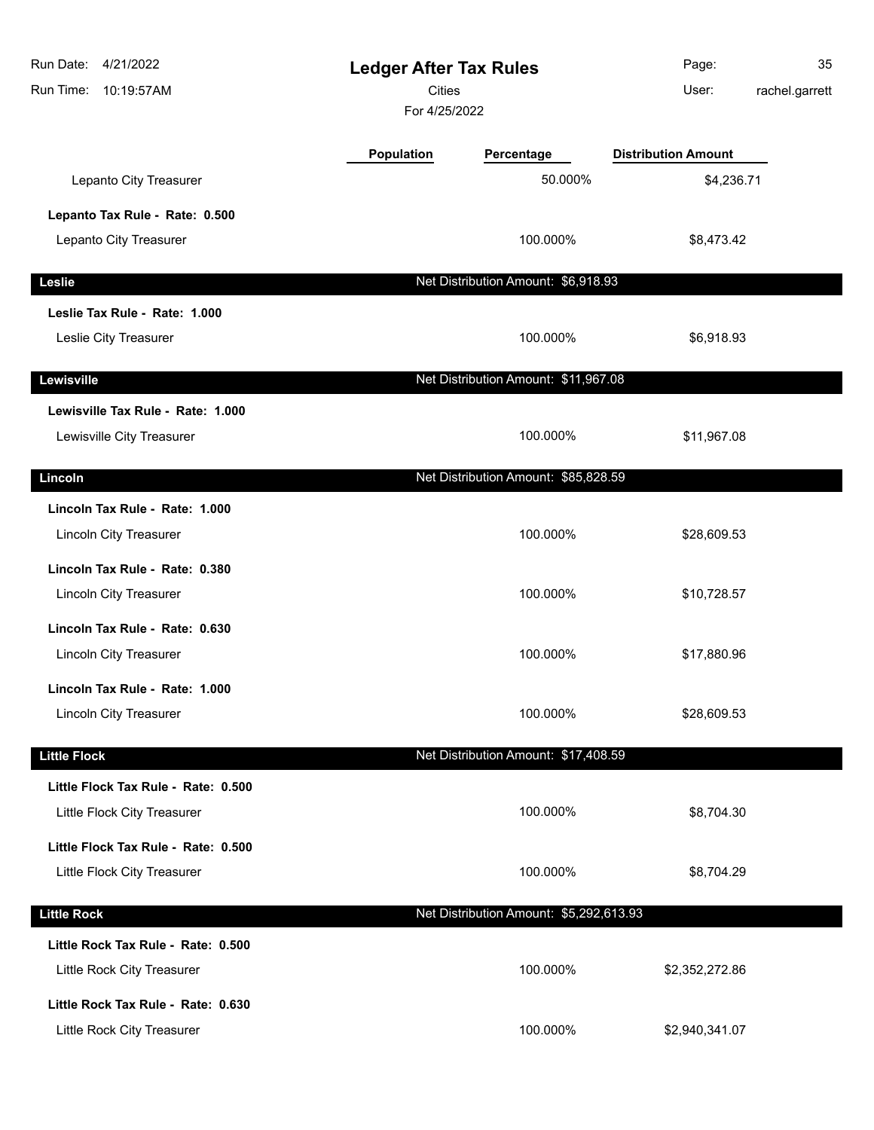| Run Date: 4/21/2022<br>Run Time:<br>10:19:57AM                     | <b>Ledger After Tax Rules</b><br><b>Cities</b><br>For 4/25/2022 |                                         | Page:<br>User:             | 35<br>rachel.garrett |
|--------------------------------------------------------------------|-----------------------------------------------------------------|-----------------------------------------|----------------------------|----------------------|
|                                                                    | <b>Population</b>                                               | Percentage                              | <b>Distribution Amount</b> |                      |
| Lepanto City Treasurer                                             |                                                                 | 50.000%                                 | \$4,236.71                 |                      |
| Lepanto Tax Rule - Rate: 0.500                                     |                                                                 |                                         |                            |                      |
| Lepanto City Treasurer                                             |                                                                 | 100.000%                                | \$8,473.42                 |                      |
| Leslie                                                             |                                                                 | Net Distribution Amount: \$6,918.93     |                            |                      |
| Leslie Tax Rule - Rate: 1.000                                      |                                                                 |                                         |                            |                      |
| Leslie City Treasurer                                              |                                                                 | 100.000%                                | \$6,918.93                 |                      |
| Lewisville                                                         |                                                                 | Net Distribution Amount: \$11,967.08    |                            |                      |
| Lewisville Tax Rule - Rate: 1.000                                  |                                                                 |                                         |                            |                      |
| Lewisville City Treasurer                                          |                                                                 | 100.000%                                | \$11,967.08                |                      |
| Lincoln                                                            |                                                                 | Net Distribution Amount: \$85,828.59    |                            |                      |
| Lincoln Tax Rule - Rate: 1.000                                     |                                                                 |                                         |                            |                      |
| <b>Lincoln City Treasurer</b>                                      |                                                                 | 100.000%                                | \$28,609.53                |                      |
| Lincoln Tax Rule - Rate: 0.380<br>Lincoln City Treasurer           |                                                                 | 100.000%                                | \$10,728.57                |                      |
| Lincoln Tax Rule - Rate: 0.630<br><b>Lincoln City Treasurer</b>    |                                                                 | 100.000%                                | \$17,880.96                |                      |
| Lincoln Tax Rule - Rate: 1.000                                     |                                                                 |                                         |                            |                      |
| <b>Lincoln City Treasurer</b>                                      |                                                                 | 100.000%                                | \$28,609.53                |                      |
| <b>Little Flock</b>                                                |                                                                 | Net Distribution Amount: \$17,408.59    |                            |                      |
| Little Flock Tax Rule - Rate: 0.500<br>Little Flock City Treasurer |                                                                 | 100.000%                                | \$8,704.30                 |                      |
| Little Flock Tax Rule - Rate: 0.500<br>Little Flock City Treasurer |                                                                 | 100.000%                                | \$8,704.29                 |                      |
| <b>Little Rock</b>                                                 |                                                                 | Net Distribution Amount: \$5,292,613.93 |                            |                      |
| Little Rock Tax Rule - Rate: 0.500<br>Little Rock City Treasurer   |                                                                 | 100.000%                                | \$2,352,272.86             |                      |
| Little Rock Tax Rule - Rate: 0.630<br>Little Rock City Treasurer   |                                                                 | 100.000%                                | \$2,940,341.07             |                      |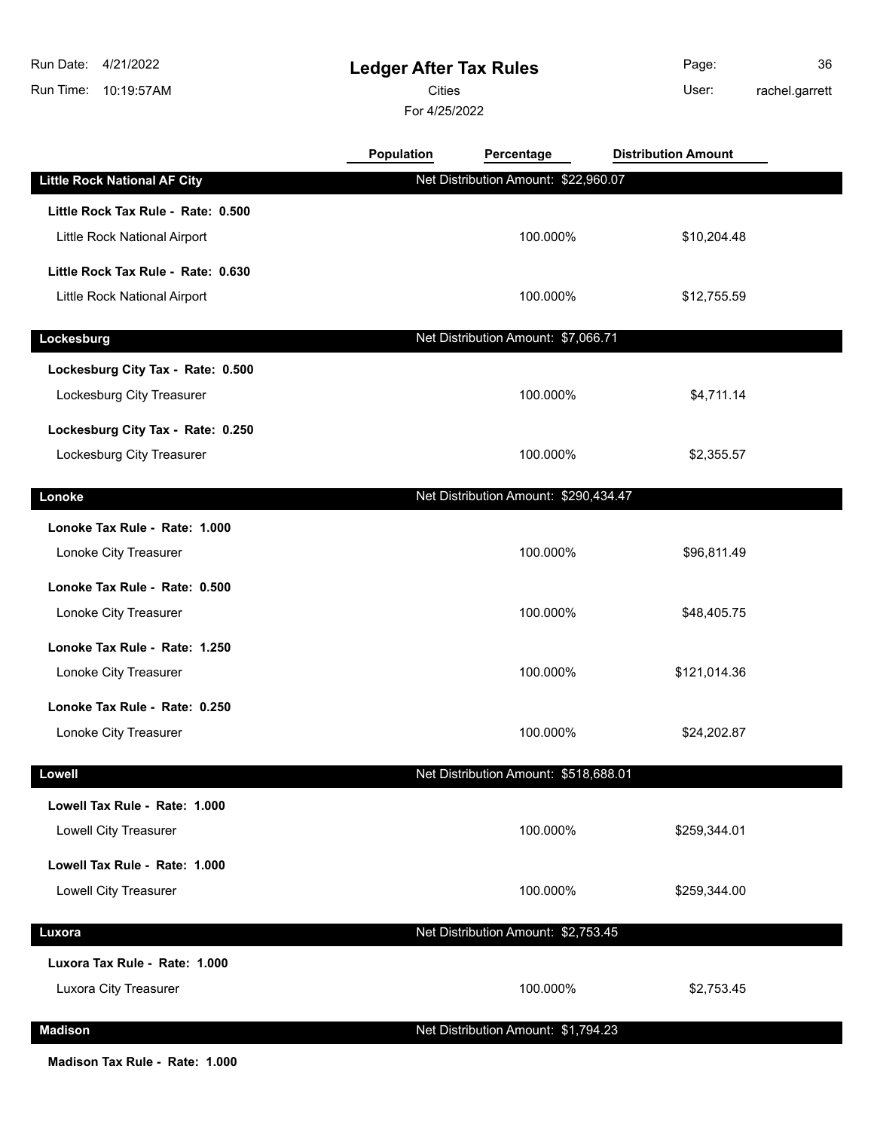## **Ledger After Tax Rules**

Cities User:

For 4/25/2022

Page: 36 rachel.garrett

**Madison Tax Rule - Rate: 1.000**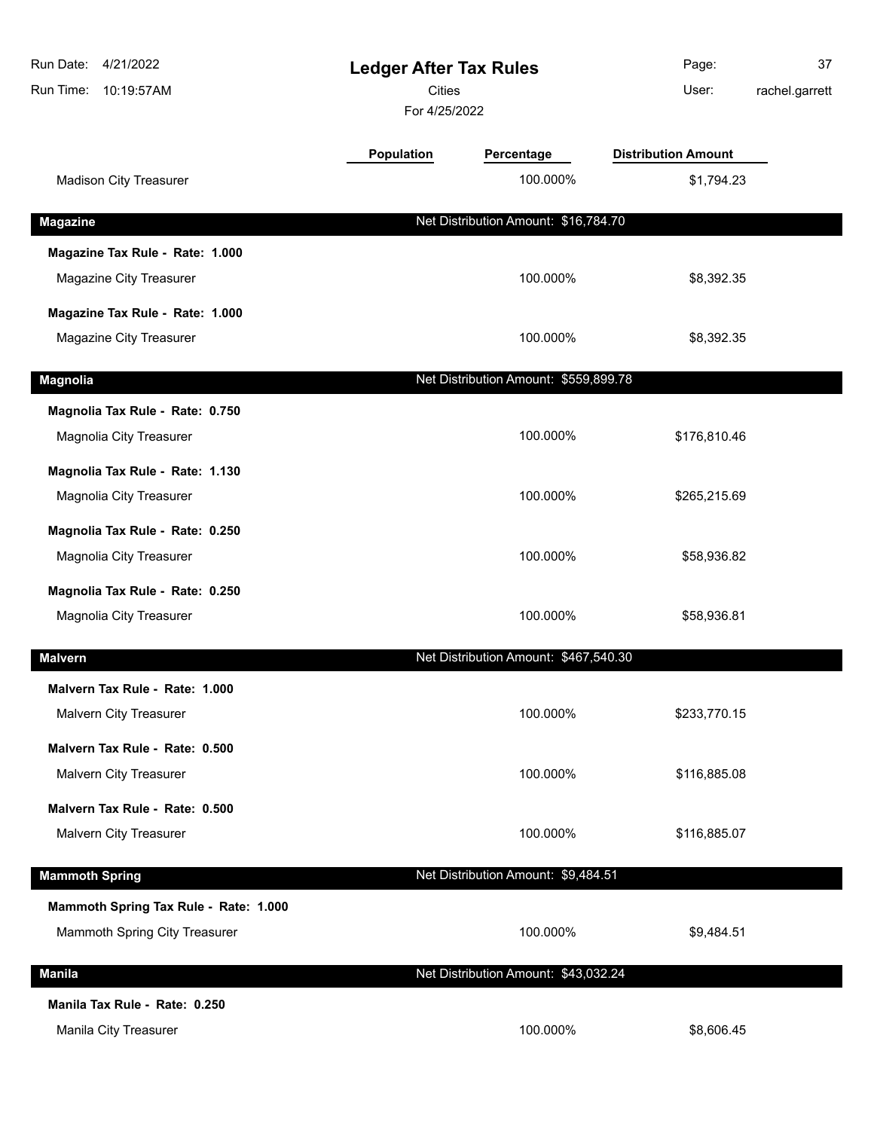| Run Date:<br>4/21/2022<br>Run Time:<br>10:19:57AM | <b>Ledger After Tax Rules</b><br>Cities<br>For 4/25/2022 |                                       | Page:<br>User:             | 37<br>rachel.garrett |
|---------------------------------------------------|----------------------------------------------------------|---------------------------------------|----------------------------|----------------------|
|                                                   | <b>Population</b>                                        | Percentage                            | <b>Distribution Amount</b> |                      |
| <b>Madison City Treasurer</b>                     |                                                          | 100.000%                              | \$1,794.23                 |                      |
| <b>Magazine</b>                                   |                                                          | Net Distribution Amount: \$16,784.70  |                            |                      |
| Magazine Tax Rule - Rate: 1.000                   |                                                          |                                       |                            |                      |
| Magazine City Treasurer                           |                                                          | 100.000%                              | \$8,392.35                 |                      |
| Magazine Tax Rule - Rate: 1.000                   |                                                          |                                       |                            |                      |
| Magazine City Treasurer                           |                                                          | 100.000%                              | \$8,392.35                 |                      |
| <b>Magnolia</b>                                   |                                                          | Net Distribution Amount: \$559,899.78 |                            |                      |
| Magnolia Tax Rule - Rate: 0.750                   |                                                          |                                       |                            |                      |
| Magnolia City Treasurer                           |                                                          | 100.000%                              | \$176,810.46               |                      |
| Magnolia Tax Rule - Rate: 1.130                   |                                                          |                                       |                            |                      |
| Magnolia City Treasurer                           |                                                          | 100.000%                              | \$265,215.69               |                      |
| Magnolia Tax Rule - Rate: 0.250                   |                                                          |                                       |                            |                      |
| Magnolia City Treasurer                           |                                                          | 100.000%                              | \$58,936.82                |                      |
| Magnolia Tax Rule - Rate: 0.250                   |                                                          |                                       |                            |                      |
| Magnolia City Treasurer                           |                                                          | 100.000%                              | \$58,936.81                |                      |
| <b>Malvern</b>                                    |                                                          | Net Distribution Amount: \$467,540.30 |                            |                      |
| Malvern Tax Rule - Rate: 1.000                    |                                                          |                                       |                            |                      |
| Malvern City Treasurer                            |                                                          | 100.000%                              | \$233,770.15               |                      |
| Malvern Tax Rule - Rate: 0.500                    |                                                          |                                       |                            |                      |
| Malvern City Treasurer                            |                                                          | 100.000%                              | \$116,885.08               |                      |
| Malvern Tax Rule - Rate: 0.500                    |                                                          |                                       |                            |                      |
| Malvern City Treasurer                            |                                                          | 100.000%                              | \$116,885.07               |                      |
| <b>Mammoth Spring</b>                             |                                                          | Net Distribution Amount: \$9,484.51   |                            |                      |
| Mammoth Spring Tax Rule - Rate: 1.000             |                                                          |                                       |                            |                      |
| Mammoth Spring City Treasurer                     |                                                          | 100.000%                              | \$9,484.51                 |                      |
| <b>Manila</b>                                     |                                                          | Net Distribution Amount: \$43,032.24  |                            |                      |
| Manila Tax Rule - Rate: 0.250                     |                                                          |                                       |                            |                      |
| Manila City Treasurer                             |                                                          | 100.000%                              | \$8,606.45                 |                      |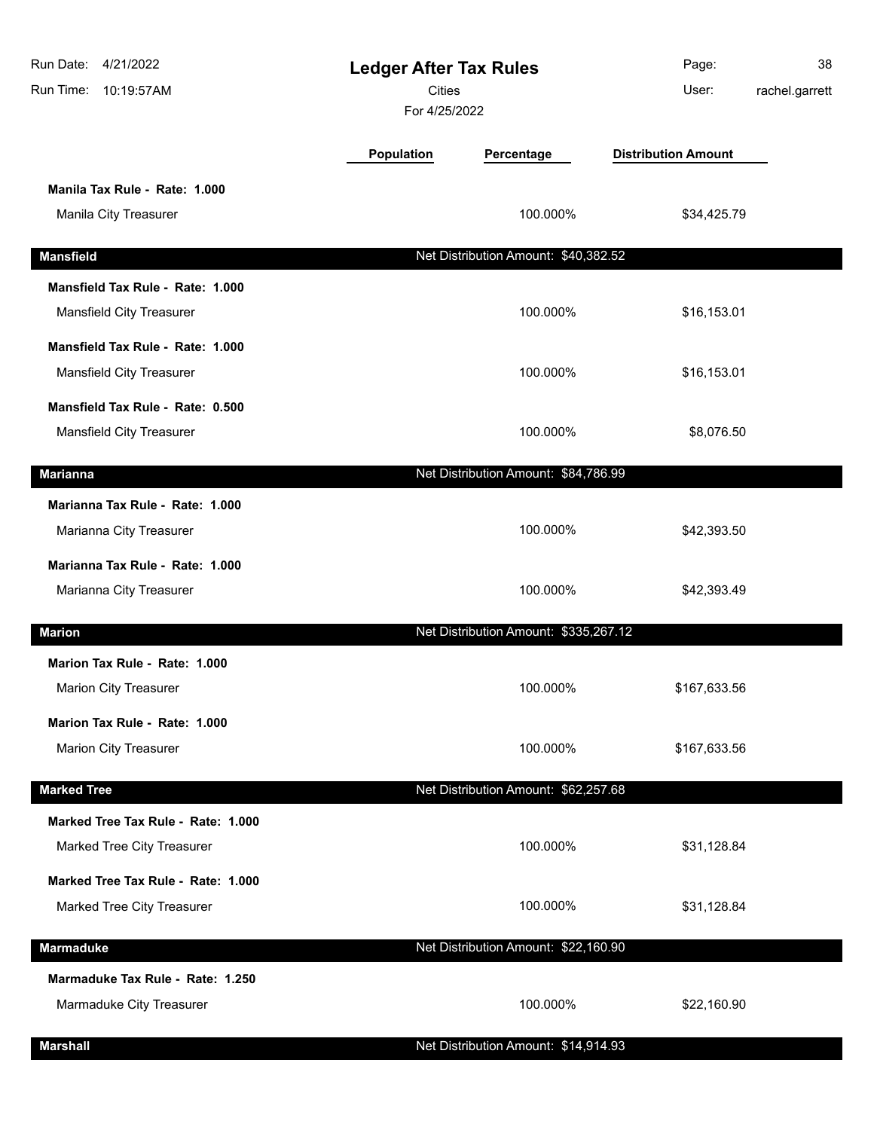| Run Date:<br>4/21/2022<br>Run Time: 10:19:57AM                   | <b>Ledger After Tax Rules</b><br><b>Cities</b><br>For 4/25/2022 |                                       | Page:<br>User:             | 38<br>rachel.garrett |
|------------------------------------------------------------------|-----------------------------------------------------------------|---------------------------------------|----------------------------|----------------------|
|                                                                  | <b>Population</b>                                               | Percentage                            | <b>Distribution Amount</b> |                      |
| Manila Tax Rule - Rate: 1.000<br>Manila City Treasurer           |                                                                 | 100.000%                              | \$34,425.79                |                      |
| <b>Mansfield</b>                                                 |                                                                 | Net Distribution Amount: \$40,382.52  |                            |                      |
| Mansfield Tax Rule - Rate: 1.000<br>Mansfield City Treasurer     |                                                                 | 100.000%                              | \$16,153.01                |                      |
| Mansfield Tax Rule - Rate: 1.000<br>Mansfield City Treasurer     |                                                                 | 100.000%                              | \$16,153.01                |                      |
| Mansfield Tax Rule - Rate: 0.500<br>Mansfield City Treasurer     |                                                                 | 100.000%                              | \$8,076.50                 |                      |
| <b>Marianna</b>                                                  |                                                                 | Net Distribution Amount: \$84,786.99  |                            |                      |
| Marianna Tax Rule - Rate: 1.000<br>Marianna City Treasurer       |                                                                 | 100.000%                              | \$42,393.50                |                      |
| Marianna Tax Rule - Rate: 1.000<br>Marianna City Treasurer       |                                                                 | 100.000%                              | \$42,393.49                |                      |
| <b>Marion</b>                                                    |                                                                 | Net Distribution Amount: \$335,267.12 |                            |                      |
| Marion Tax Rule - Rate: 1.000<br><b>Marion City Treasurer</b>    |                                                                 | 100.000%                              | \$167,633.56               |                      |
| Marion Tax Rule - Rate: 1.000<br><b>Marion City Treasurer</b>    |                                                                 | 100.000%                              | \$167,633.56               |                      |
| <b>Marked Tree</b>                                               |                                                                 | Net Distribution Amount: \$62,257.68  |                            |                      |
| Marked Tree Tax Rule - Rate: 1.000<br>Marked Tree City Treasurer |                                                                 | 100.000%                              | \$31,128.84                |                      |
| Marked Tree Tax Rule - Rate: 1.000<br>Marked Tree City Treasurer |                                                                 | 100.000%                              | \$31,128.84                |                      |
| <b>Marmaduke</b>                                                 |                                                                 | Net Distribution Amount: \$22,160.90  |                            |                      |
| Marmaduke Tax Rule - Rate: 1.250<br>Marmaduke City Treasurer     |                                                                 | 100.000%                              | \$22,160.90                |                      |
| <b>Marshall</b>                                                  |                                                                 | Net Distribution Amount: \$14,914.93  |                            |                      |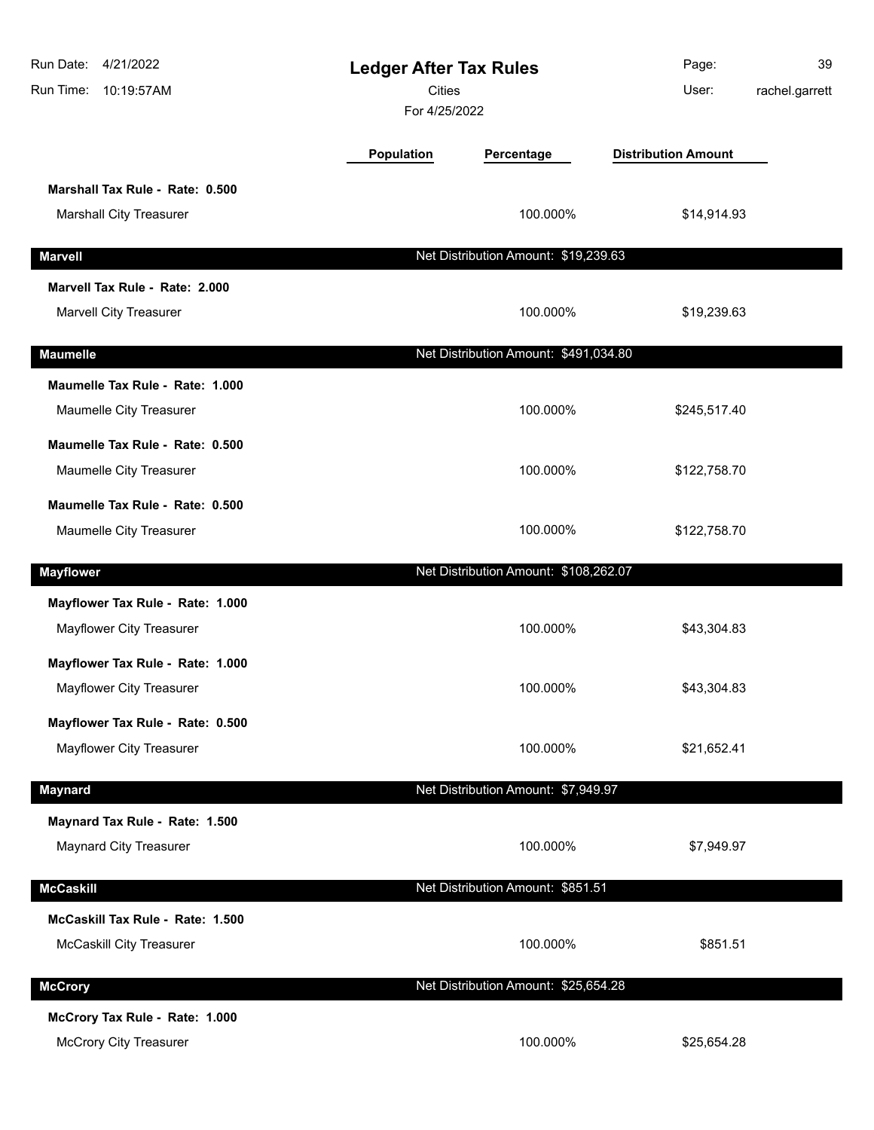| Run Date: 4/21/2022<br>Run Time:<br>10:19:57AM | <b>Ledger After Tax Rules</b><br><b>Cities</b><br>For 4/25/2022 |                                       | Page:<br>User:             | 39<br>rachel.garrett |
|------------------------------------------------|-----------------------------------------------------------------|---------------------------------------|----------------------------|----------------------|
|                                                | Population                                                      | Percentage                            | <b>Distribution Amount</b> |                      |
| Marshall Tax Rule - Rate: 0.500                |                                                                 |                                       |                            |                      |
| <b>Marshall City Treasurer</b>                 |                                                                 | 100.000%                              | \$14,914.93                |                      |
| <b>Marvell</b>                                 |                                                                 | Net Distribution Amount: \$19,239.63  |                            |                      |
| Marvell Tax Rule - Rate: 2.000                 |                                                                 |                                       |                            |                      |
| Marvell City Treasurer                         |                                                                 | 100.000%                              | \$19,239.63                |                      |
| <b>Maumelle</b>                                |                                                                 | Net Distribution Amount: \$491,034.80 |                            |                      |
| Maumelle Tax Rule - Rate: 1.000                |                                                                 |                                       |                            |                      |
| Maumelle City Treasurer                        |                                                                 | 100.000%                              | \$245,517.40               |                      |
| Maumelle Tax Rule - Rate: 0.500                |                                                                 |                                       |                            |                      |
| Maumelle City Treasurer                        |                                                                 | 100.000%                              | \$122,758.70               |                      |
| Maumelle Tax Rule - Rate: 0.500                |                                                                 |                                       |                            |                      |
| Maumelle City Treasurer                        |                                                                 | 100.000%                              | \$122,758.70               |                      |
| <b>Mayflower</b>                               |                                                                 | Net Distribution Amount: \$108,262.07 |                            |                      |
| Mayflower Tax Rule - Rate: 1.000               |                                                                 |                                       |                            |                      |
| <b>Mayflower City Treasurer</b>                |                                                                 | 100.000%                              | \$43,304.83                |                      |
| Mayflower Tax Rule - Rate: 1.000               |                                                                 |                                       |                            |                      |
| <b>Mayflower City Treasurer</b>                |                                                                 | 100.000%                              | \$43,304.83                |                      |
| Mayflower Tax Rule - Rate: 0.500               |                                                                 |                                       |                            |                      |
| Mayflower City Treasurer                       |                                                                 | 100.000%                              | \$21,652.41                |                      |
| <b>Maynard</b>                                 |                                                                 | Net Distribution Amount: \$7,949.97   |                            |                      |
| Maynard Tax Rule - Rate: 1.500                 |                                                                 |                                       |                            |                      |
| <b>Maynard City Treasurer</b>                  |                                                                 | 100.000%                              | \$7,949.97                 |                      |
| <b>McCaskill</b>                               |                                                                 | Net Distribution Amount: \$851.51     |                            |                      |
| McCaskill Tax Rule - Rate: 1.500               |                                                                 |                                       |                            |                      |
| <b>McCaskill City Treasurer</b>                |                                                                 | 100.000%                              | \$851.51                   |                      |
| <b>McCrory</b>                                 |                                                                 | Net Distribution Amount: \$25,654.28  |                            |                      |
| McCrory Tax Rule - Rate: 1.000                 |                                                                 |                                       |                            |                      |
| <b>McCrory City Treasurer</b>                  |                                                                 | 100.000%                              | \$25,654.28                |                      |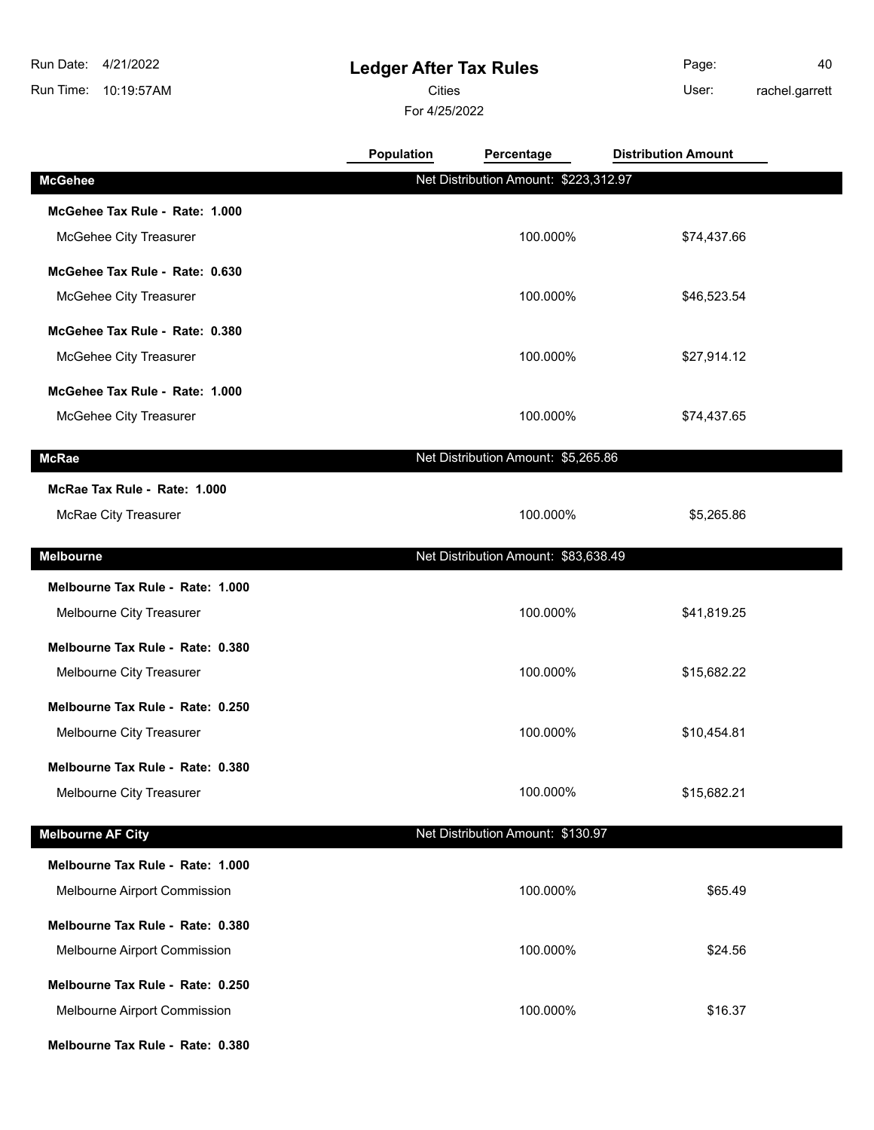## **Ledger After Tax Rules**

Cities User:

For 4/25/2022

Page: 40 rachel.garrett

|                                  | Population | Percentage                            | <b>Distribution Amount</b> |  |
|----------------------------------|------------|---------------------------------------|----------------------------|--|
| <b>McGehee</b>                   |            | Net Distribution Amount: \$223,312.97 |                            |  |
| McGehee Tax Rule - Rate: 1.000   |            |                                       |                            |  |
| McGehee City Treasurer           |            | 100.000%                              | \$74,437.66                |  |
| McGehee Tax Rule - Rate: 0.630   |            |                                       |                            |  |
| McGehee City Treasurer           |            | 100.000%                              | \$46,523.54                |  |
| McGehee Tax Rule - Rate: 0.380   |            |                                       |                            |  |
| McGehee City Treasurer           |            | 100.000%                              | \$27,914.12                |  |
| McGehee Tax Rule - Rate: 1.000   |            |                                       |                            |  |
| McGehee City Treasurer           |            | 100.000%                              | \$74,437.65                |  |
| <b>McRae</b>                     |            | Net Distribution Amount: \$5,265.86   |                            |  |
| McRae Tax Rule - Rate: 1.000     |            |                                       |                            |  |
| McRae City Treasurer             |            | 100.000%                              | \$5,265.86                 |  |
| <b>Melbourne</b>                 |            | Net Distribution Amount: \$83,638.49  |                            |  |
| Melbourne Tax Rule - Rate: 1.000 |            |                                       |                            |  |
| Melbourne City Treasurer         |            | 100.000%                              | \$41,819.25                |  |
| Melbourne Tax Rule - Rate: 0.380 |            |                                       |                            |  |
| Melbourne City Treasurer         |            | 100.000%                              | \$15,682.22                |  |
| Melbourne Tax Rule - Rate: 0.250 |            |                                       |                            |  |
| Melbourne City Treasurer         |            | 100.000%                              | \$10,454.81                |  |
| Melbourne Tax Rule - Rate: 0.380 |            |                                       |                            |  |
| Melbourne City Treasurer         |            | 100.000%                              | \$15,682.21                |  |
| <b>Melbourne AF City</b>         |            | Net Distribution Amount: \$130.97     |                            |  |
| Melbourne Tax Rule - Rate: 1.000 |            |                                       |                            |  |
| Melbourne Airport Commission     |            | 100.000%                              | \$65.49                    |  |
| Melbourne Tax Rule - Rate: 0.380 |            |                                       |                            |  |
| Melbourne Airport Commission     |            | 100.000%                              | \$24.56                    |  |
| Melbourne Tax Rule - Rate: 0.250 |            |                                       |                            |  |
| Melbourne Airport Commission     |            | 100.000%                              | \$16.37                    |  |
| Melbourne Tax Rule - Rate: 0.380 |            |                                       |                            |  |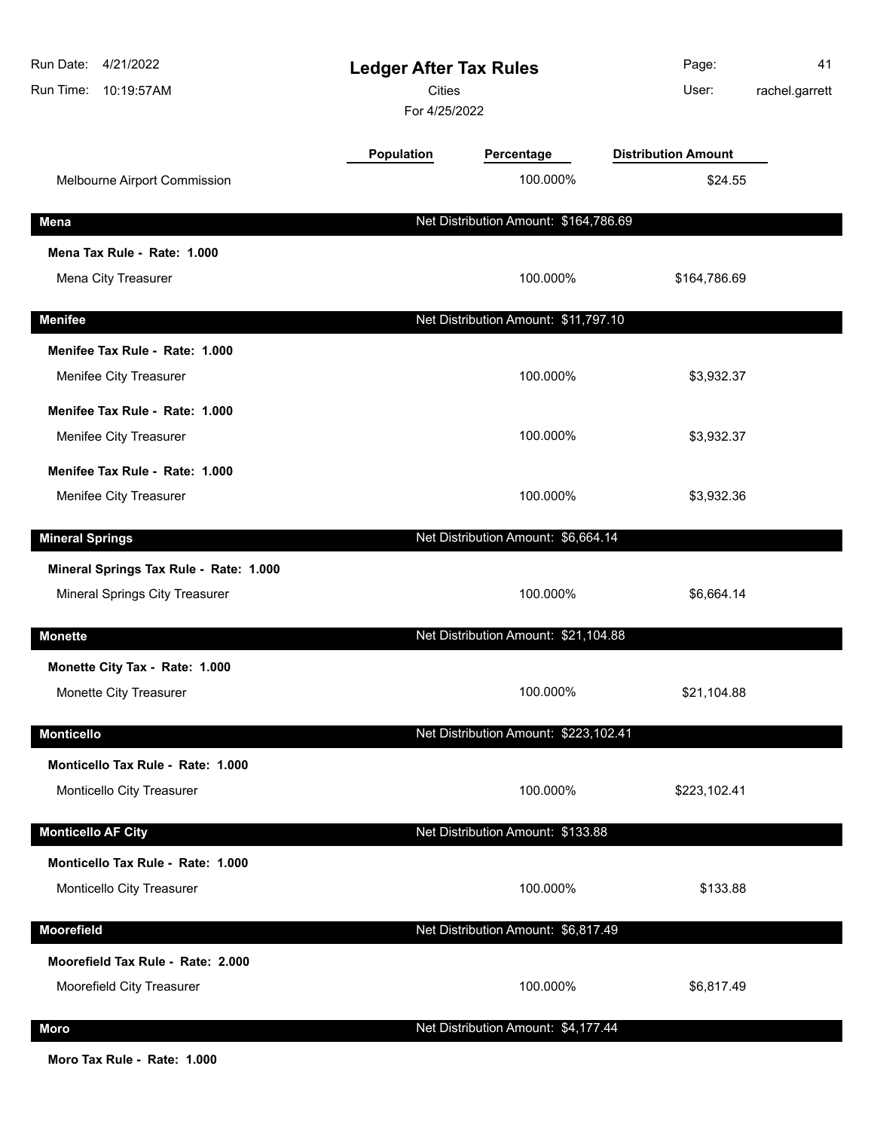| Run Date: 4/21/2022<br>Run Time: 10:19:57AM | <b>Ledger After Tax Rules</b><br>Cities<br>For 4/25/2022 |                                       | Page:<br>User:             | 41<br>rachel.garrett |
|---------------------------------------------|----------------------------------------------------------|---------------------------------------|----------------------------|----------------------|
|                                             | Population                                               | Percentage                            | <b>Distribution Amount</b> |                      |
| Melbourne Airport Commission                |                                                          | 100.000%                              | \$24.55                    |                      |
| Mena                                        |                                                          | Net Distribution Amount: \$164,786.69 |                            |                      |
| Mena Tax Rule - Rate: 1.000                 |                                                          |                                       |                            |                      |
| Mena City Treasurer                         |                                                          | 100.000%                              | \$164,786.69               |                      |
| <b>Menifee</b>                              |                                                          | Net Distribution Amount: \$11,797.10  |                            |                      |
| Menifee Tax Rule - Rate: 1.000              |                                                          |                                       |                            |                      |
| Menifee City Treasurer                      |                                                          | 100.000%                              | \$3,932.37                 |                      |
| Menifee Tax Rule - Rate: 1.000              |                                                          |                                       |                            |                      |
| Menifee City Treasurer                      |                                                          | 100.000%                              | \$3,932.37                 |                      |
| Menifee Tax Rule - Rate: 1.000              |                                                          |                                       |                            |                      |
| Menifee City Treasurer                      |                                                          | 100.000%                              | \$3,932.36                 |                      |
| <b>Mineral Springs</b>                      |                                                          | Net Distribution Amount: \$6,664.14   |                            |                      |
| Mineral Springs Tax Rule - Rate: 1.000      |                                                          |                                       |                            |                      |
| Mineral Springs City Treasurer              |                                                          | 100.000%                              | \$6,664.14                 |                      |
| <b>Monette</b>                              |                                                          | Net Distribution Amount: \$21,104.88  |                            |                      |
| Monette City Tax - Rate: 1.000              |                                                          |                                       |                            |                      |
| Monette City Treasurer                      |                                                          | 100.000%                              | \$21,104.88                |                      |
| <b>Monticello</b>                           |                                                          | Net Distribution Amount: \$223,102.41 |                            |                      |
| Monticello Tax Rule - Rate: 1.000           |                                                          |                                       |                            |                      |
| Monticello City Treasurer                   |                                                          | 100.000%                              | \$223,102.41               |                      |
| <b>Monticello AF City</b>                   |                                                          | Net Distribution Amount: \$133.88     |                            |                      |
| Monticello Tax Rule - Rate: 1.000           |                                                          |                                       |                            |                      |
| Monticello City Treasurer                   |                                                          | 100.000%                              | \$133.88                   |                      |
| <b>Moorefield</b>                           |                                                          | Net Distribution Amount: \$6,817.49   |                            |                      |
| Moorefield Tax Rule - Rate: 2.000           |                                                          |                                       |                            |                      |
| Moorefield City Treasurer                   |                                                          | 100.000%                              | \$6,817.49                 |                      |
| <b>Moro</b>                                 |                                                          | Net Distribution Amount: \$4,177.44   |                            |                      |

**Moro Tax Rule - Rate: 1.000**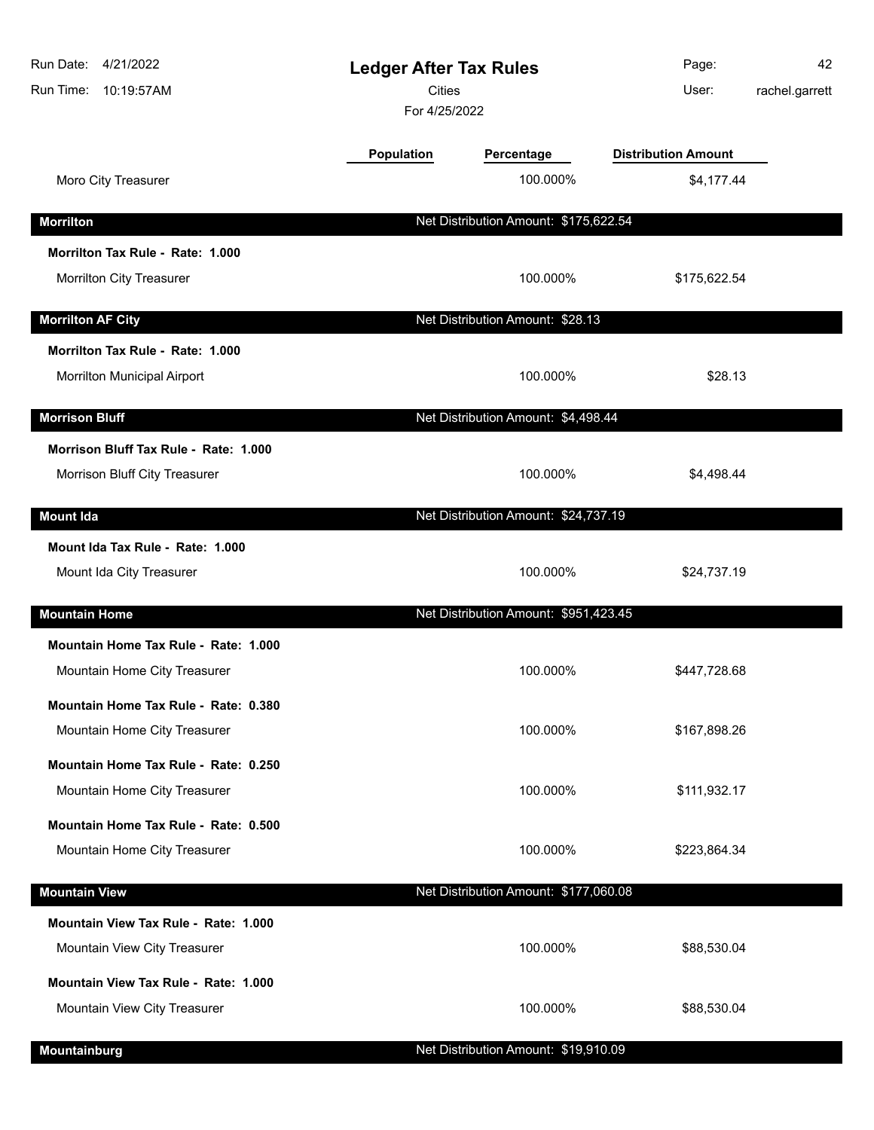| Run Date:<br>4/21/2022<br>Run Time: 10:19:57AM | <b>Ledger After Tax Rules</b><br><b>Cities</b><br>For 4/25/2022 |                                       | Page:<br>User:             | 42<br>rachel.garrett |
|------------------------------------------------|-----------------------------------------------------------------|---------------------------------------|----------------------------|----------------------|
|                                                | <b>Population</b>                                               | Percentage                            | <b>Distribution Amount</b> |                      |
| Moro City Treasurer                            |                                                                 | 100.000%                              | \$4,177.44                 |                      |
| <b>Morrilton</b>                               |                                                                 | Net Distribution Amount: \$175,622.54 |                            |                      |
| Morrilton Tax Rule - Rate: 1.000               |                                                                 |                                       |                            |                      |
| Morrilton City Treasurer                       |                                                                 | 100.000%                              | \$175,622.54               |                      |
| <b>Morrilton AF City</b>                       |                                                                 | Net Distribution Amount: \$28.13      |                            |                      |
| Morrilton Tax Rule - Rate: 1.000               |                                                                 |                                       |                            |                      |
| Morrilton Municipal Airport                    |                                                                 | 100.000%                              | \$28.13                    |                      |
| <b>Morrison Bluff</b>                          |                                                                 | Net Distribution Amount: \$4,498.44   |                            |                      |
| Morrison Bluff Tax Rule - Rate: 1.000          |                                                                 |                                       |                            |                      |
| Morrison Bluff City Treasurer                  |                                                                 | 100.000%                              | \$4,498.44                 |                      |
| <b>Mount Ida</b>                               |                                                                 | Net Distribution Amount: \$24,737.19  |                            |                      |
| Mount Ida Tax Rule - Rate: 1.000               |                                                                 |                                       |                            |                      |
| Mount Ida City Treasurer                       |                                                                 | 100.000%                              | \$24,737.19                |                      |
| <b>Mountain Home</b>                           |                                                                 | Net Distribution Amount: \$951,423.45 |                            |                      |
| Mountain Home Tax Rule - Rate: 1.000           |                                                                 |                                       |                            |                      |
| Mountain Home City Treasurer                   |                                                                 | 100.000%                              | \$447,728.68               |                      |
| Mountain Home Tax Rule - Rate: 0.380           |                                                                 |                                       |                            |                      |
| Mountain Home City Treasurer                   |                                                                 | 100.000%                              | \$167,898.26               |                      |
| Mountain Home Tax Rule - Rate: 0.250           |                                                                 |                                       |                            |                      |
| Mountain Home City Treasurer                   |                                                                 | 100.000%                              | \$111,932.17               |                      |
| Mountain Home Tax Rule - Rate: 0.500           |                                                                 |                                       |                            |                      |
| Mountain Home City Treasurer                   |                                                                 | 100.000%                              | \$223,864.34               |                      |
| <b>Mountain View</b>                           |                                                                 | Net Distribution Amount: \$177,060.08 |                            |                      |
| Mountain View Tax Rule - Rate: 1.000           |                                                                 |                                       |                            |                      |
| Mountain View City Treasurer                   |                                                                 | 100.000%                              | \$88,530.04                |                      |
| Mountain View Tax Rule - Rate: 1.000           |                                                                 |                                       |                            |                      |
| Mountain View City Treasurer                   |                                                                 | 100.000%                              | \$88,530.04                |                      |
| Mountainburg                                   |                                                                 | Net Distribution Amount: \$19,910.09  |                            |                      |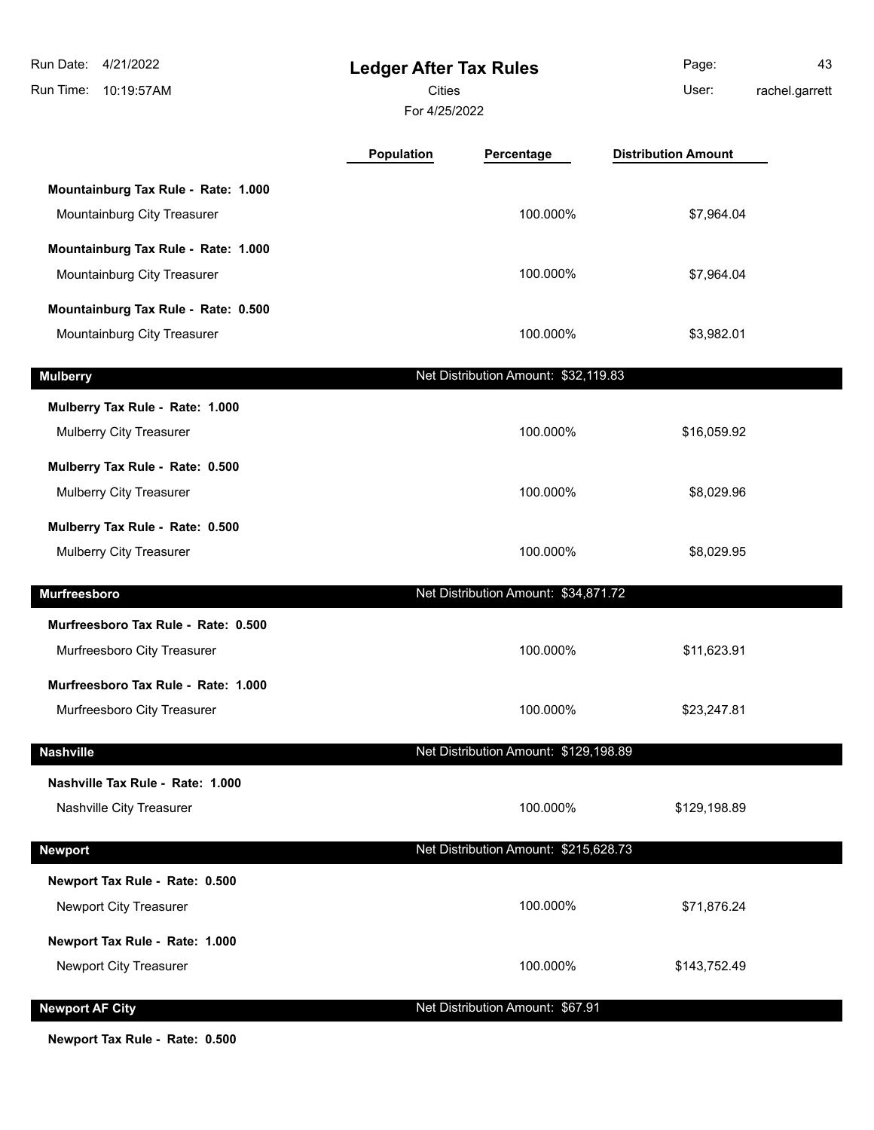| Run Date: 4/21/2022<br>Run Time: 10:19:57AM                        | <b>Ledger After Tax Rules</b><br><b>Cities</b><br>For 4/25/2022 |                                       | Page:<br>User:             | 43<br>rachel.garrett |
|--------------------------------------------------------------------|-----------------------------------------------------------------|---------------------------------------|----------------------------|----------------------|
|                                                                    | <b>Population</b>                                               | Percentage                            | <b>Distribution Amount</b> |                      |
| Mountainburg Tax Rule - Rate: 1.000<br>Mountainburg City Treasurer |                                                                 | 100.000%                              | \$7,964.04                 |                      |
| Mountainburg Tax Rule - Rate: 1.000<br>Mountainburg City Treasurer |                                                                 | 100.000%                              | \$7,964.04                 |                      |
| Mountainburg Tax Rule - Rate: 0.500<br>Mountainburg City Treasurer |                                                                 | 100.000%                              | \$3,982.01                 |                      |
| <b>Mulberry</b>                                                    |                                                                 | Net Distribution Amount: \$32,119.83  |                            |                      |
| Mulberry Tax Rule - Rate: 1.000<br>Mulberry City Treasurer         |                                                                 | 100.000%                              | \$16,059.92                |                      |
| Mulberry Tax Rule - Rate: 0.500<br>Mulberry City Treasurer         |                                                                 | 100.000%                              | \$8,029.96                 |                      |
| Mulberry Tax Rule - Rate: 0.500<br>Mulberry City Treasurer         |                                                                 | 100.000%                              | \$8,029.95                 |                      |
| Murfreesboro                                                       |                                                                 | Net Distribution Amount: \$34,871.72  |                            |                      |
| Murfreesboro Tax Rule - Rate: 0.500<br>Murfreesboro City Treasurer |                                                                 | 100.000%                              | \$11,623.91                |                      |
| Murfreesboro Tax Rule - Rate: 1.000<br>Murfreesboro City Treasurer |                                                                 | 100.000%                              | \$23,247.81                |                      |
| <b>Nashville</b>                                                   |                                                                 | Net Distribution Amount: \$129,198.89 |                            |                      |
| Nashville Tax Rule - Rate: 1.000<br>Nashville City Treasurer       |                                                                 | 100.000%                              | \$129,198.89               |                      |
| <b>Newport</b>                                                     |                                                                 | Net Distribution Amount: \$215,628.73 |                            |                      |
| Newport Tax Rule - Rate: 0.500<br>Newport City Treasurer           |                                                                 | 100.000%                              | \$71,876.24                |                      |
| Newport Tax Rule - Rate: 1.000<br>Newport City Treasurer           |                                                                 | 100.000%                              | \$143,752.49               |                      |
| <b>Newport AF City</b>                                             |                                                                 | Net Distribution Amount: \$67.91      |                            |                      |

**Newport Tax Rule - Rate: 0.500**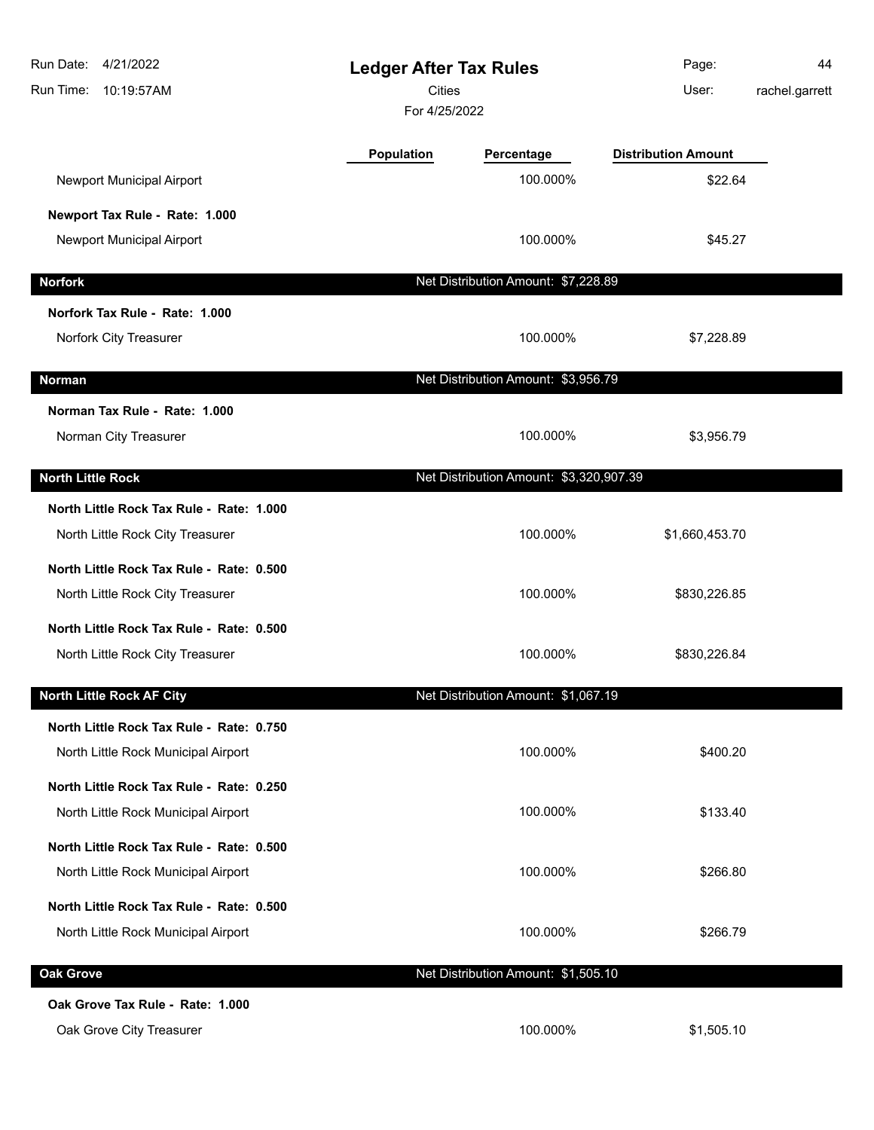| Run Date:<br>4/21/2022<br>Run Time: 10:19:57AM | <b>Ledger After Tax Rules</b><br><b>Cities</b><br>For 4/25/2022 |                                         | Page:<br>User:             | 44<br>rachel.garrett |
|------------------------------------------------|-----------------------------------------------------------------|-----------------------------------------|----------------------------|----------------------|
|                                                | Population                                                      | Percentage                              | <b>Distribution Amount</b> |                      |
| Newport Municipal Airport                      |                                                                 | 100.000%                                | \$22.64                    |                      |
| Newport Tax Rule - Rate: 1.000                 |                                                                 |                                         |                            |                      |
| Newport Municipal Airport                      |                                                                 | 100.000%                                | \$45.27                    |                      |
| <b>Norfork</b>                                 |                                                                 | Net Distribution Amount: \$7,228.89     |                            |                      |
| Norfork Tax Rule - Rate: 1.000                 |                                                                 |                                         |                            |                      |
| Norfork City Treasurer                         |                                                                 | 100.000%                                | \$7,228.89                 |                      |
| <b>Norman</b>                                  |                                                                 | Net Distribution Amount: \$3,956.79     |                            |                      |
| Norman Tax Rule - Rate: 1.000                  |                                                                 |                                         |                            |                      |
| Norman City Treasurer                          |                                                                 | 100.000%                                | \$3,956.79                 |                      |
| <b>North Little Rock</b>                       |                                                                 | Net Distribution Amount: \$3,320,907.39 |                            |                      |
| North Little Rock Tax Rule - Rate: 1.000       |                                                                 |                                         |                            |                      |
| North Little Rock City Treasurer               |                                                                 | 100.000%                                | \$1,660,453.70             |                      |
| North Little Rock Tax Rule - Rate: 0.500       |                                                                 |                                         |                            |                      |
| North Little Rock City Treasurer               |                                                                 | 100.000%                                | \$830,226.85               |                      |
| North Little Rock Tax Rule - Rate: 0.500       |                                                                 |                                         |                            |                      |
| North Little Rock City Treasurer               |                                                                 | 100.000%                                | \$830,226.84               |                      |
| <b>North Little Rock AF City</b>               |                                                                 | Net Distribution Amount: \$1,067.19     |                            |                      |
| North Little Rock Tax Rule - Rate: 0.750       |                                                                 |                                         |                            |                      |
| North Little Rock Municipal Airport            |                                                                 | 100.000%                                | \$400.20                   |                      |
| North Little Rock Tax Rule - Rate: 0.250       |                                                                 |                                         |                            |                      |
| North Little Rock Municipal Airport            |                                                                 | 100.000%                                | \$133.40                   |                      |
| North Little Rock Tax Rule - Rate: 0.500       |                                                                 |                                         |                            |                      |
| North Little Rock Municipal Airport            |                                                                 | 100.000%                                | \$266.80                   |                      |
| North Little Rock Tax Rule - Rate: 0.500       |                                                                 |                                         |                            |                      |
| North Little Rock Municipal Airport            |                                                                 | 100.000%                                | \$266.79                   |                      |
| <b>Oak Grove</b>                               |                                                                 | Net Distribution Amount: \$1,505.10     |                            |                      |
| Oak Grove Tax Rule - Rate: 1.000               |                                                                 |                                         |                            |                      |
| Oak Grove City Treasurer                       |                                                                 | 100.000%                                | \$1,505.10                 |                      |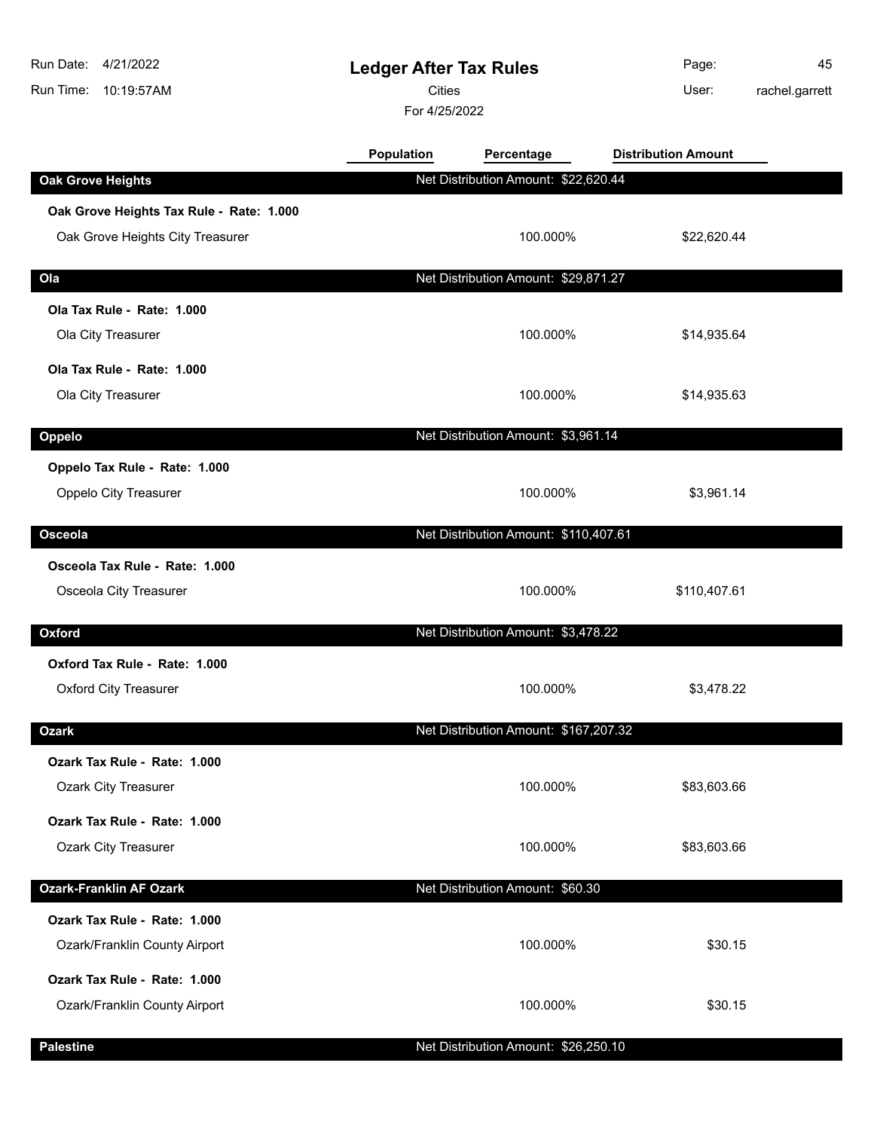| 4/21/2022<br>Run Date:<br>Run Time: 10:19:57AM                               | <b>Ledger After Tax Rules</b><br>Cities<br>For 4/25/2022 |                                       | Page:<br>User:             | 45<br>rachel.garrett |
|------------------------------------------------------------------------------|----------------------------------------------------------|---------------------------------------|----------------------------|----------------------|
|                                                                              | Population                                               | Percentage                            | <b>Distribution Amount</b> |                      |
| <b>Oak Grove Heights</b>                                                     |                                                          | Net Distribution Amount: \$22,620.44  |                            |                      |
| Oak Grove Heights Tax Rule - Rate: 1.000<br>Oak Grove Heights City Treasurer |                                                          | 100.000%                              | \$22,620.44                |                      |
| Ola                                                                          |                                                          | Net Distribution Amount: \$29,871.27  |                            |                      |
| Ola Tax Rule - Rate: 1.000<br>Ola City Treasurer                             |                                                          | 100.000%                              | \$14,935.64                |                      |
| Ola Tax Rule - Rate: 1.000<br>Ola City Treasurer                             |                                                          | 100.000%                              | \$14,935.63                |                      |
| Oppelo                                                                       |                                                          | Net Distribution Amount: \$3,961.14   |                            |                      |
| Oppelo Tax Rule - Rate: 1.000<br><b>Oppelo City Treasurer</b>                |                                                          | 100.000%                              | \$3,961.14                 |                      |
| Osceola                                                                      |                                                          | Net Distribution Amount: \$110,407.61 |                            |                      |
| Osceola Tax Rule - Rate: 1.000<br>Osceola City Treasurer                     |                                                          | 100.000%                              | \$110,407.61               |                      |
| Oxford                                                                       |                                                          | Net Distribution Amount: \$3,478.22   |                            |                      |
| Oxford Tax Rule - Rate: 1.000<br><b>Oxford City Treasurer</b>                |                                                          | 100.000%                              | \$3,478.22                 |                      |
| <b>Ozark</b>                                                                 |                                                          | Net Distribution Amount: \$167,207.32 |                            |                      |
| Ozark Tax Rule - Rate: 1.000<br><b>Ozark City Treasurer</b>                  |                                                          | 100.000%                              | \$83,603.66                |                      |
| Ozark Tax Rule - Rate: 1.000<br><b>Ozark City Treasurer</b>                  |                                                          | 100.000%                              | \$83,603.66                |                      |
| <b>Ozark-Franklin AF Ozark</b>                                               |                                                          | Net Distribution Amount: \$60.30      |                            |                      |
| Ozark Tax Rule - Rate: 1.000<br>Ozark/Franklin County Airport                |                                                          | 100.000%                              | \$30.15                    |                      |
| Ozark Tax Rule - Rate: 1.000<br>Ozark/Franklin County Airport                |                                                          | 100.000%                              | \$30.15                    |                      |
| <b>Palestine</b>                                                             |                                                          | Net Distribution Amount: \$26,250.10  |                            |                      |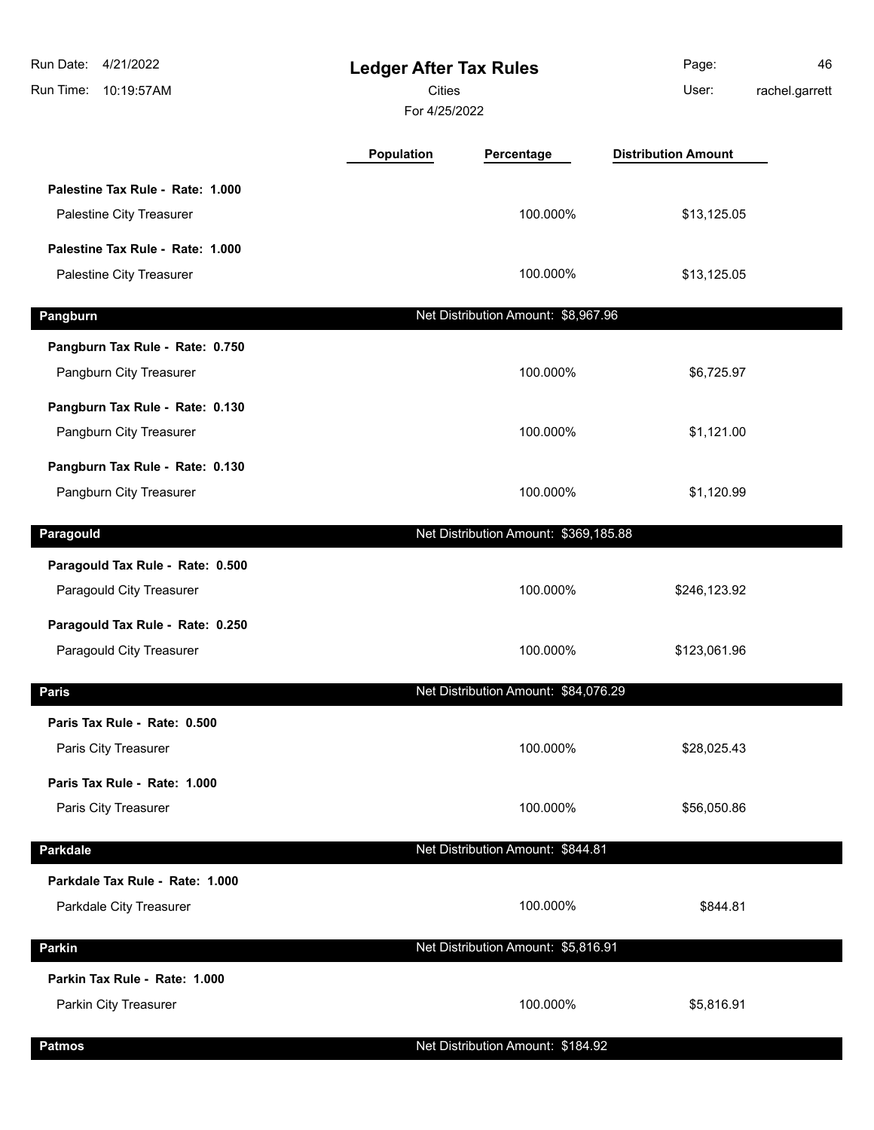| Run Date:<br>4/21/2022<br>Run Time:<br>10:19:57AM            |                   | <b>Ledger After Tax Rules</b><br><b>Cities</b><br>For 4/25/2022 |                            | 46<br>rachel.garrett |
|--------------------------------------------------------------|-------------------|-----------------------------------------------------------------|----------------------------|----------------------|
|                                                              | <b>Population</b> | Percentage                                                      | <b>Distribution Amount</b> |                      |
| Palestine Tax Rule - Rate: 1.000<br>Palestine City Treasurer |                   | 100.000%                                                        | \$13,125.05                |                      |
| Palestine Tax Rule - Rate: 1.000                             |                   |                                                                 |                            |                      |
| Palestine City Treasurer                                     |                   | 100.000%                                                        | \$13,125.05                |                      |
| Pangburn                                                     |                   | Net Distribution Amount: \$8,967.96                             |                            |                      |
| Pangburn Tax Rule - Rate: 0.750                              |                   |                                                                 |                            |                      |
| Pangburn City Treasurer                                      |                   | 100.000%                                                        | \$6,725.97                 |                      |
| Pangburn Tax Rule - Rate: 0.130                              |                   |                                                                 |                            |                      |
| Pangburn City Treasurer                                      |                   | 100.000%                                                        | \$1,121.00                 |                      |
| Pangburn Tax Rule - Rate: 0.130                              |                   |                                                                 |                            |                      |
| Pangburn City Treasurer                                      |                   | 100.000%                                                        | \$1,120.99                 |                      |
| Paragould                                                    |                   | Net Distribution Amount: \$369,185.88                           |                            |                      |
| Paragould Tax Rule - Rate: 0.500                             |                   |                                                                 |                            |                      |
| Paragould City Treasurer                                     |                   | 100.000%                                                        | \$246,123.92               |                      |
| Paragould Tax Rule - Rate: 0.250                             |                   |                                                                 |                            |                      |
| Paragould City Treasurer                                     |                   | 100.000%                                                        | \$123,061.96               |                      |
| <b>Paris</b>                                                 |                   | Net Distribution Amount: \$84,076.29                            |                            |                      |
| Paris Tax Rule - Rate: 0.500                                 |                   |                                                                 |                            |                      |
| Paris City Treasurer                                         |                   | 100.000%                                                        | \$28,025.43                |                      |
| Paris Tax Rule - Rate: 1.000                                 |                   |                                                                 |                            |                      |
| Paris City Treasurer                                         |                   | 100.000%                                                        | \$56,050.86                |                      |
| <b>Parkdale</b>                                              |                   | Net Distribution Amount: \$844.81                               |                            |                      |
| Parkdale Tax Rule - Rate: 1.000                              |                   |                                                                 |                            |                      |
| Parkdale City Treasurer                                      |                   | 100.000%                                                        | \$844.81                   |                      |
| <b>Parkin</b>                                                |                   | Net Distribution Amount: \$5,816.91                             |                            |                      |
| Parkin Tax Rule - Rate: 1.000                                |                   |                                                                 |                            |                      |
| Parkin City Treasurer                                        |                   | 100.000%                                                        | \$5,816.91                 |                      |
| <b>Patmos</b>                                                |                   | Net Distribution Amount: \$184.92                               |                            |                      |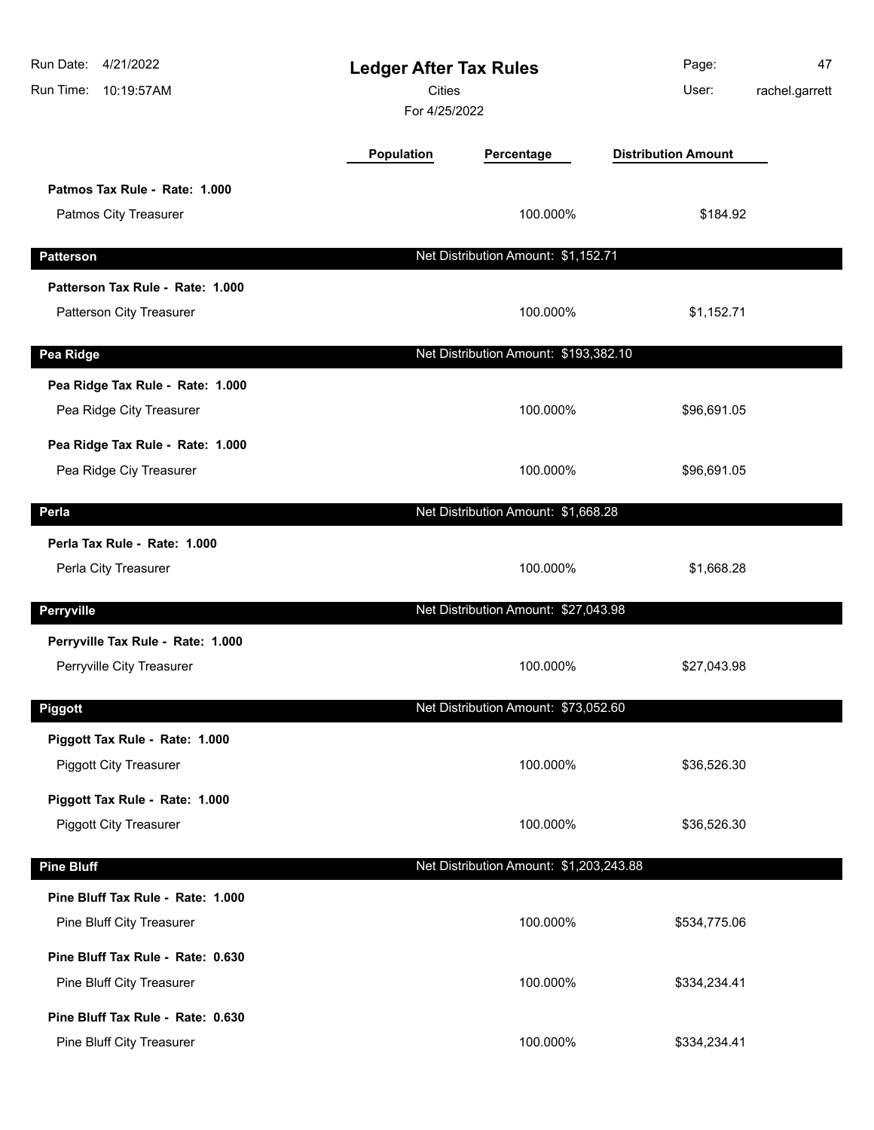| Run Date: 4/21/2022<br>Run Time: 10:19:57AM                     |            | <b>Ledger After Tax Rules</b><br><b>Cities</b><br>For 4/25/2022 |                            | 47<br>rachel.garrett |
|-----------------------------------------------------------------|------------|-----------------------------------------------------------------|----------------------------|----------------------|
|                                                                 | Population | Percentage                                                      | <b>Distribution Amount</b> |                      |
| Patmos Tax Rule - Rate: 1.000<br>Patmos City Treasurer          |            | 100.000%                                                        | \$184.92                   |                      |
| <b>Patterson</b>                                                |            | Net Distribution Amount: \$1,152.71                             |                            |                      |
| Patterson Tax Rule - Rate: 1.000<br>Patterson City Treasurer    |            | 100.000%                                                        | \$1,152.71                 |                      |
| Pea Ridge                                                       |            | Net Distribution Amount: \$193,382.10                           |                            |                      |
| Pea Ridge Tax Rule - Rate: 1.000<br>Pea Ridge City Treasurer    |            | 100.000%                                                        | \$96,691.05                |                      |
| Pea Ridge Tax Rule - Rate: 1.000<br>Pea Ridge Ciy Treasurer     |            | 100.000%                                                        | \$96,691.05                |                      |
| Perla                                                           |            | Net Distribution Amount: \$1,668.28                             |                            |                      |
| Perla Tax Rule - Rate: 1.000<br>Perla City Treasurer            |            | 100.000%                                                        | \$1,668.28                 |                      |
| Perryville                                                      |            | Net Distribution Amount: \$27,043.98                            |                            |                      |
| Perryville Tax Rule - Rate: 1.000<br>Perryville City Treasurer  |            | 100.000%                                                        | \$27,043.98                |                      |
| Piggott                                                         |            | Net Distribution Amount: \$73,052.60                            |                            |                      |
| Piggott Tax Rule - Rate: 1.000<br><b>Piggott City Treasurer</b> |            | 100.000%                                                        | \$36,526.30                |                      |
| Piggott Tax Rule - Rate: 1.000<br><b>Piggott City Treasurer</b> |            | 100.000%                                                        | \$36,526.30                |                      |
| <b>Pine Bluff</b>                                               |            | Net Distribution Amount: \$1,203,243.88                         |                            |                      |
| Pine Bluff Tax Rule - Rate: 1.000<br>Pine Bluff City Treasurer  |            | 100.000%                                                        | \$534,775.06               |                      |
| Pine Bluff Tax Rule - Rate: 0.630<br>Pine Bluff City Treasurer  |            | 100.000%                                                        | \$334,234.41               |                      |
| Pine Bluff Tax Rule - Rate: 0.630<br>Pine Bluff City Treasurer  |            | 100.000%                                                        | \$334,234.41               |                      |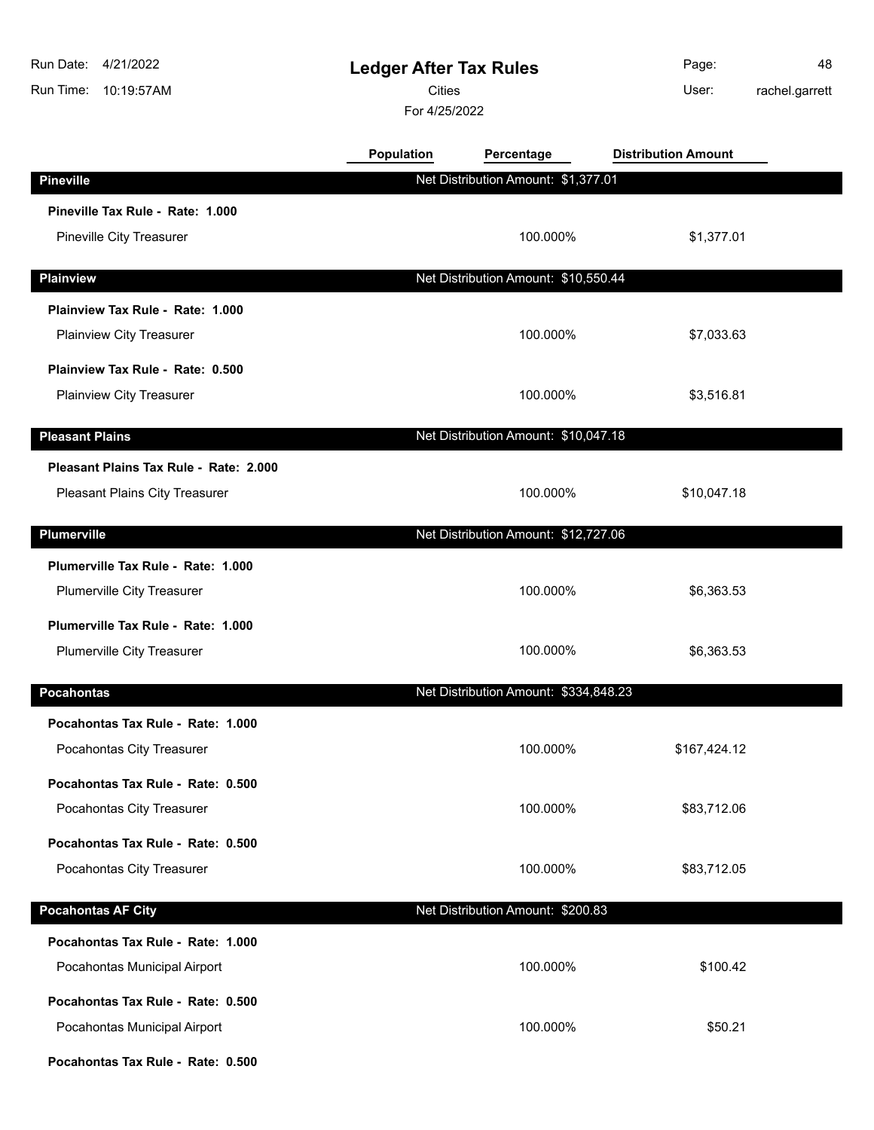| Run Date: 4/21/2022<br><b>Ledger After Tax Rules</b><br><b>Cities</b><br>Run Time: 10:19:57AM<br>For 4/25/2022 |            |                                       | Page:<br>User:             | 48<br>rachel.garrett |
|----------------------------------------------------------------------------------------------------------------|------------|---------------------------------------|----------------------------|----------------------|
|                                                                                                                | Population | Percentage                            | <b>Distribution Amount</b> |                      |
| <b>Pineville</b>                                                                                               |            | Net Distribution Amount: \$1,377.01   |                            |                      |
| Pineville Tax Rule - Rate: 1.000                                                                               |            |                                       |                            |                      |
| Pineville City Treasurer                                                                                       |            | 100.000%                              | \$1,377.01                 |                      |
| <b>Plainview</b>                                                                                               |            | Net Distribution Amount: \$10,550.44  |                            |                      |
| Plainview Tax Rule - Rate: 1.000                                                                               |            |                                       |                            |                      |
| Plainview City Treasurer                                                                                       |            | 100.000%                              | \$7,033.63                 |                      |
| Plainview Tax Rule - Rate: 0.500                                                                               |            |                                       |                            |                      |
| Plainview City Treasurer                                                                                       |            | 100.000%                              | \$3,516.81                 |                      |
| <b>Pleasant Plains</b>                                                                                         |            | Net Distribution Amount: \$10,047.18  |                            |                      |
| Pleasant Plains Tax Rule - Rate: 2.000                                                                         |            |                                       |                            |                      |
| Pleasant Plains City Treasurer                                                                                 |            | 100.000%                              | \$10,047.18                |                      |
| Plumerville                                                                                                    |            | Net Distribution Amount: \$12,727.06  |                            |                      |
| Plumerville Tax Rule - Rate: 1.000                                                                             |            |                                       |                            |                      |
| Plumerville City Treasurer                                                                                     |            | 100.000%                              | \$6,363.53                 |                      |
| Plumerville Tax Rule - Rate: 1.000                                                                             |            |                                       |                            |                      |
| Plumerville City Treasurer                                                                                     |            | 100.000%                              | \$6,363.53                 |                      |
| <b>Pocahontas</b>                                                                                              |            | Net Distribution Amount: \$334,848.23 |                            |                      |
| Pocahontas Tax Rule - Rate: 1.000                                                                              |            |                                       |                            |                      |
| Pocahontas City Treasurer                                                                                      |            | 100.000%                              | \$167,424.12               |                      |
| Pocahontas Tax Rule - Rate: 0.500                                                                              |            |                                       |                            |                      |
| Pocahontas City Treasurer                                                                                      |            | 100.000%                              | \$83,712.06                |                      |
| Pocahontas Tax Rule - Rate: 0.500                                                                              |            |                                       |                            |                      |
| Pocahontas City Treasurer                                                                                      |            | 100.000%                              | \$83,712.05                |                      |
| <b>Pocahontas AF City</b>                                                                                      |            | Net Distribution Amount: \$200.83     |                            |                      |
| Pocahontas Tax Rule - Rate: 1.000                                                                              |            |                                       |                            |                      |
| Pocahontas Municipal Airport                                                                                   |            | 100.000%                              | \$100.42                   |                      |
| Pocahontas Tax Rule - Rate: 0.500                                                                              |            |                                       |                            |                      |
| Pocahontas Municipal Airport                                                                                   |            | 100.000%                              | \$50.21                    |                      |
| Pocahontas Tax Rule - Rate: 0.500                                                                              |            |                                       |                            |                      |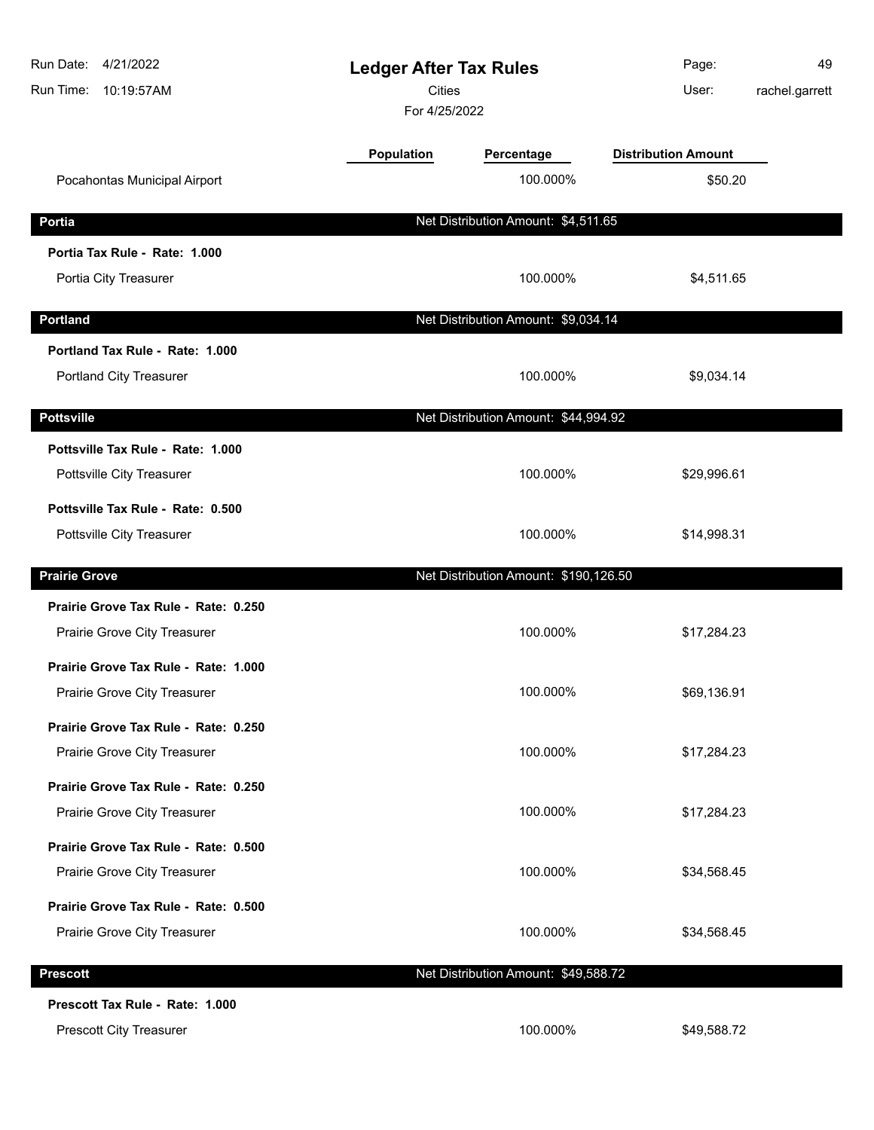| Run Date: 4/21/2022<br>Run Time: 10:19:57AM                    | <b>Ledger After Tax Rules</b><br><b>Cities</b><br>For 4/25/2022 |                                       | Page:<br>User:             | 49<br>rachel.garrett |
|----------------------------------------------------------------|-----------------------------------------------------------------|---------------------------------------|----------------------------|----------------------|
|                                                                | <b>Population</b>                                               | Percentage                            | <b>Distribution Amount</b> |                      |
| Pocahontas Municipal Airport                                   |                                                                 | 100.000%                              | \$50.20                    |                      |
| <b>Portia</b>                                                  |                                                                 | Net Distribution Amount: \$4,511.65   |                            |                      |
| Portia Tax Rule - Rate: 1.000                                  |                                                                 |                                       |                            |                      |
| Portia City Treasurer                                          |                                                                 | 100.000%                              | \$4,511.65                 |                      |
| <b>Portland</b>                                                |                                                                 | Net Distribution Amount: \$9,034.14   |                            |                      |
| Portland Tax Rule - Rate: 1.000                                |                                                                 |                                       |                            |                      |
| Portland City Treasurer                                        |                                                                 | 100.000%                              | \$9,034.14                 |                      |
| <b>Pottsville</b>                                              |                                                                 | Net Distribution Amount: \$44,994.92  |                            |                      |
| Pottsville Tax Rule - Rate: 1.000<br>Pottsville City Treasurer |                                                                 | 100.000%                              | \$29,996.61                |                      |
| Pottsville Tax Rule - Rate: 0.500<br>Pottsville City Treasurer |                                                                 | 100.000%                              | \$14,998.31                |                      |
| <b>Prairie Grove</b>                                           |                                                                 | Net Distribution Amount: \$190,126.50 |                            |                      |
| Prairie Grove Tax Rule - Rate: 0.250                           |                                                                 |                                       |                            |                      |
| Prairie Grove City Treasurer                                   |                                                                 | 100.000%                              | \$17,284.23                |                      |
| Prairie Grove Tax Rule - Rate: 1.000                           |                                                                 |                                       |                            |                      |
| Prairie Grove City Treasurer                                   |                                                                 | 100.000%                              | \$69,136.91                |                      |
| Prairie Grove Tax Rule - Rate: 0.250                           |                                                                 |                                       |                            |                      |
| Prairie Grove City Treasurer                                   |                                                                 | 100.000%                              | \$17,284.23                |                      |
| Prairie Grove Tax Rule - Rate: 0.250                           |                                                                 |                                       |                            |                      |
| Prairie Grove City Treasurer                                   |                                                                 | 100.000%                              | \$17,284.23                |                      |
| Prairie Grove Tax Rule - Rate: 0.500                           |                                                                 |                                       |                            |                      |
| Prairie Grove City Treasurer                                   |                                                                 | 100.000%                              | \$34,568.45                |                      |
| Prairie Grove Tax Rule - Rate: 0.500                           |                                                                 |                                       |                            |                      |
| Prairie Grove City Treasurer                                   |                                                                 | 100.000%                              | \$34,568.45                |                      |
| <b>Prescott</b>                                                |                                                                 | Net Distribution Amount: \$49,588.72  |                            |                      |
| Prescott Tax Rule - Rate: 1.000                                |                                                                 |                                       |                            |                      |
| Prescott City Treasurer                                        |                                                                 | 100.000%                              | \$49,588.72                |                      |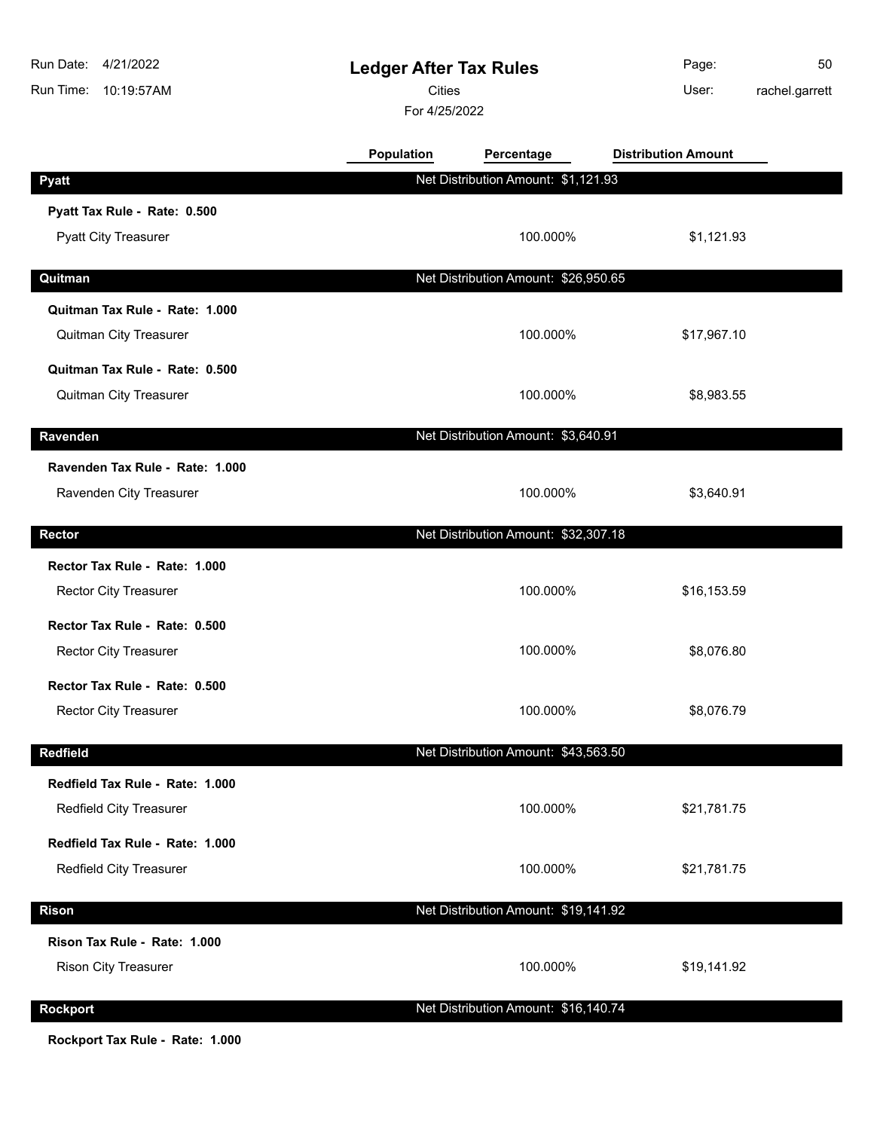| Run Date:<br>4/21/2022<br>Run Time: 10:19:57AM | <b>Ledger After Tax Rules</b><br>Cities<br>For 4/25/2022 |                                      | Page:<br>User:             | 50<br>rachel.garrett |
|------------------------------------------------|----------------------------------------------------------|--------------------------------------|----------------------------|----------------------|
|                                                | Population                                               | Percentage                           | <b>Distribution Amount</b> |                      |
| <b>Pyatt</b>                                   |                                                          | Net Distribution Amount: \$1,121.93  |                            |                      |
| Pyatt Tax Rule - Rate: 0.500                   |                                                          |                                      |                            |                      |
| <b>Pyatt City Treasurer</b>                    |                                                          | 100.000%                             | \$1,121.93                 |                      |
| Quitman                                        |                                                          | Net Distribution Amount: \$26,950.65 |                            |                      |
| Quitman Tax Rule - Rate: 1.000                 |                                                          |                                      |                            |                      |
| Quitman City Treasurer                         |                                                          | 100.000%                             | \$17,967.10                |                      |
| Quitman Tax Rule - Rate: 0.500                 |                                                          |                                      |                            |                      |
| Quitman City Treasurer                         |                                                          | 100.000%                             | \$8,983.55                 |                      |
| Ravenden                                       |                                                          | Net Distribution Amount: \$3,640.91  |                            |                      |
| Ravenden Tax Rule - Rate: 1.000                |                                                          |                                      |                            |                      |
| Ravenden City Treasurer                        |                                                          | 100.000%                             | \$3,640.91                 |                      |
| Rector                                         |                                                          | Net Distribution Amount: \$32,307.18 |                            |                      |
| Rector Tax Rule - Rate: 1.000                  |                                                          |                                      |                            |                      |
| <b>Rector City Treasurer</b>                   |                                                          | 100.000%                             | \$16,153.59                |                      |
| Rector Tax Rule - Rate: 0.500                  |                                                          |                                      |                            |                      |
| <b>Rector City Treasurer</b>                   |                                                          | 100.000%                             | \$8,076.80                 |                      |
| Rector Tax Rule - Rate: 0.500                  |                                                          |                                      |                            |                      |
| <b>Rector City Treasurer</b>                   |                                                          | 100.000%                             | \$8,076.79                 |                      |
| <b>Redfield</b>                                |                                                          | Net Distribution Amount: \$43,563.50 |                            |                      |
| Redfield Tax Rule - Rate: 1.000                |                                                          |                                      |                            |                      |
| Redfield City Treasurer                        |                                                          | 100.000%                             | \$21,781.75                |                      |
| Redfield Tax Rule - Rate: 1.000                |                                                          |                                      |                            |                      |
| <b>Redfield City Treasurer</b>                 |                                                          | 100.000%                             | \$21,781.75                |                      |
| <b>Rison</b>                                   |                                                          | Net Distribution Amount: \$19,141.92 |                            |                      |
| Rison Tax Rule - Rate: 1.000                   |                                                          |                                      |                            |                      |
| <b>Rison City Treasurer</b>                    |                                                          | 100.000%                             | \$19,141.92                |                      |
| <b>Rockport</b>                                |                                                          | Net Distribution Amount: \$16,140.74 |                            |                      |
| Rockport Tax Rule - Rate: 1.000                |                                                          |                                      |                            |                      |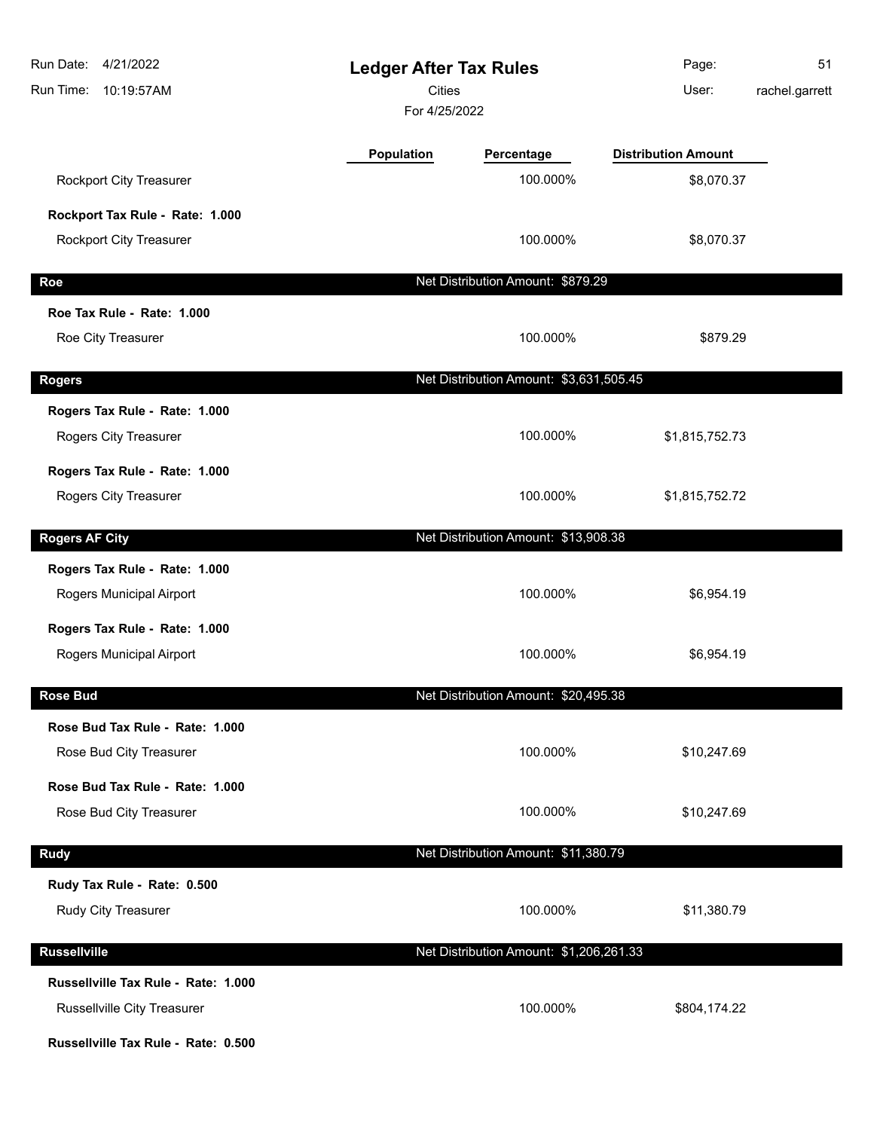| 4/21/2022<br>Run Date:<br>Run Time:<br>10:19:57AM | <b>Ledger After Tax Rules</b><br>Cities<br>For 4/25/2022 |                                         | Page:<br>User:             | 51<br>rachel.garrett |
|---------------------------------------------------|----------------------------------------------------------|-----------------------------------------|----------------------------|----------------------|
|                                                   | Population                                               | Percentage                              | <b>Distribution Amount</b> |                      |
| Rockport City Treasurer                           |                                                          | 100.000%                                | \$8,070.37                 |                      |
| Rockport Tax Rule - Rate: 1.000                   |                                                          |                                         |                            |                      |
| Rockport City Treasurer                           |                                                          | 100.000%                                | \$8,070.37                 |                      |
| <b>Roe</b>                                        |                                                          | Net Distribution Amount: \$879.29       |                            |                      |
| Roe Tax Rule - Rate: 1.000                        |                                                          |                                         |                            |                      |
| Roe City Treasurer                                |                                                          | 100.000%                                | \$879.29                   |                      |
| <b>Rogers</b>                                     |                                                          | Net Distribution Amount: \$3,631,505.45 |                            |                      |
| Rogers Tax Rule - Rate: 1.000                     |                                                          |                                         |                            |                      |
| Rogers City Treasurer                             |                                                          | 100.000%                                | \$1,815,752.73             |                      |
| Rogers Tax Rule - Rate: 1.000                     |                                                          |                                         |                            |                      |
| Rogers City Treasurer                             |                                                          | 100.000%                                | \$1,815,752.72             |                      |
| <b>Rogers AF City</b>                             |                                                          | Net Distribution Amount: \$13,908.38    |                            |                      |
| Rogers Tax Rule - Rate: 1.000                     |                                                          |                                         |                            |                      |
| Rogers Municipal Airport                          |                                                          | 100.000%                                | \$6,954.19                 |                      |
| Rogers Tax Rule - Rate: 1.000                     |                                                          |                                         |                            |                      |
| Rogers Municipal Airport                          |                                                          | 100.000%                                | \$6,954.19                 |                      |
| <b>Rose Bud</b>                                   |                                                          | Net Distribution Amount: \$20,495.38    |                            |                      |
| Rose Bud Tax Rule - Rate: 1.000                   |                                                          |                                         |                            |                      |
| Rose Bud City Treasurer                           |                                                          | 100.000%                                | \$10,247.69                |                      |
| Rose Bud Tax Rule - Rate: 1.000                   |                                                          |                                         |                            |                      |
| Rose Bud City Treasurer                           |                                                          | 100.000%                                | \$10,247.69                |                      |
| <b>Rudy</b>                                       |                                                          | Net Distribution Amount: \$11,380.79    |                            |                      |
| Rudy Tax Rule - Rate: 0.500                       |                                                          |                                         |                            |                      |
| Rudy City Treasurer                               |                                                          | 100.000%                                | \$11,380.79                |                      |
| <b>Russellville</b>                               |                                                          | Net Distribution Amount: \$1,206,261.33 |                            |                      |
| Russellville Tax Rule - Rate: 1.000               |                                                          |                                         |                            |                      |
| Russellville City Treasurer                       |                                                          | 100.000%                                | \$804,174.22               |                      |
| Russellville Tax Rule - Rate: 0.500               |                                                          |                                         |                            |                      |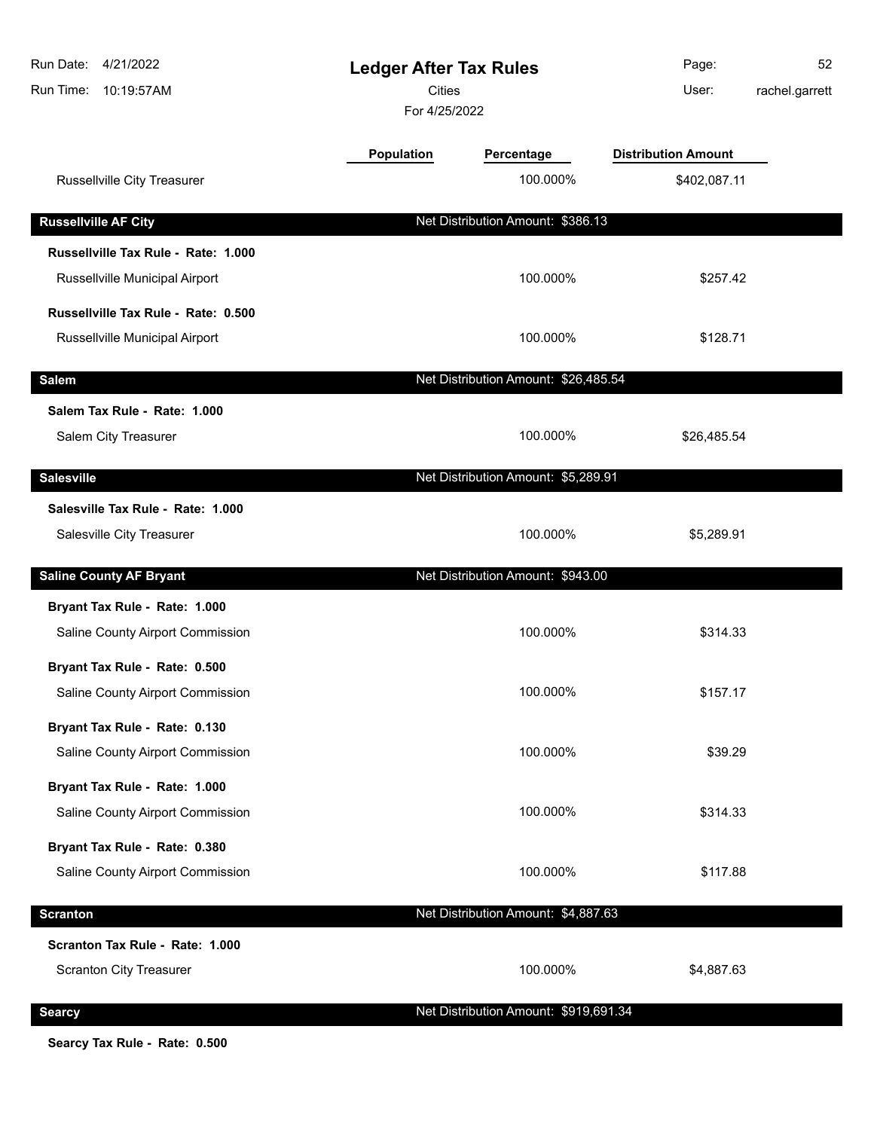| Run Date:<br>4/21/2022<br><b>Ledger After Tax Rules</b><br><b>Cities</b><br>Run Time:<br>10:19:57AM<br>For 4/25/2022 |                   | Page:<br>User:                        | 52<br>rachel.garrett       |  |
|----------------------------------------------------------------------------------------------------------------------|-------------------|---------------------------------------|----------------------------|--|
|                                                                                                                      | <b>Population</b> | Percentage                            | <b>Distribution Amount</b> |  |
| Russellville City Treasurer                                                                                          |                   | 100.000%                              | \$402,087.11               |  |
| <b>Russellville AF City</b>                                                                                          |                   | Net Distribution Amount: \$386.13     |                            |  |
| Russellville Tax Rule - Rate: 1.000                                                                                  |                   |                                       |                            |  |
| Russellville Municipal Airport                                                                                       |                   | 100.000%                              | \$257.42                   |  |
| Russellville Tax Rule - Rate: 0.500                                                                                  |                   |                                       |                            |  |
| Russellville Municipal Airport                                                                                       |                   | 100.000%                              | \$128.71                   |  |
| <b>Salem</b>                                                                                                         |                   | Net Distribution Amount: \$26,485.54  |                            |  |
| Salem Tax Rule - Rate: 1.000                                                                                         |                   |                                       |                            |  |
| Salem City Treasurer                                                                                                 |                   | 100.000%                              | \$26,485.54                |  |
| <b>Salesville</b>                                                                                                    |                   | Net Distribution Amount: \$5,289.91   |                            |  |
| Salesville Tax Rule - Rate: 1.000                                                                                    |                   |                                       |                            |  |
| Salesville City Treasurer                                                                                            |                   | 100.000%                              | \$5,289.91                 |  |
| <b>Saline County AF Bryant</b>                                                                                       |                   | Net Distribution Amount: \$943.00     |                            |  |
| Bryant Tax Rule - Rate: 1.000                                                                                        |                   |                                       |                            |  |
| Saline County Airport Commission                                                                                     |                   | 100.000%                              | \$314.33                   |  |
| Bryant Tax Rule - Rate: 0.500                                                                                        |                   |                                       |                            |  |
| Saline County Airport Commission                                                                                     |                   | 100.000%                              | \$157.17                   |  |
| Bryant Tax Rule - Rate: 0.130                                                                                        |                   |                                       |                            |  |
| Saline County Airport Commission                                                                                     |                   | 100.000%                              | \$39.29                    |  |
| Bryant Tax Rule - Rate: 1.000                                                                                        |                   |                                       |                            |  |
| Saline County Airport Commission                                                                                     |                   | 100.000%                              | \$314.33                   |  |
| Bryant Tax Rule - Rate: 0.380                                                                                        |                   |                                       |                            |  |
| Saline County Airport Commission                                                                                     |                   | 100.000%                              | \$117.88                   |  |
| <b>Scranton</b>                                                                                                      |                   | Net Distribution Amount: \$4,887.63   |                            |  |
| Scranton Tax Rule - Rate: 1.000                                                                                      |                   |                                       |                            |  |
| <b>Scranton City Treasurer</b>                                                                                       |                   | 100.000%                              | \$4,887.63                 |  |
| <b>Searcy</b>                                                                                                        |                   | Net Distribution Amount: \$919,691.34 |                            |  |
|                                                                                                                      |                   |                                       |                            |  |

**Searcy Tax Rule - Rate: 0.500**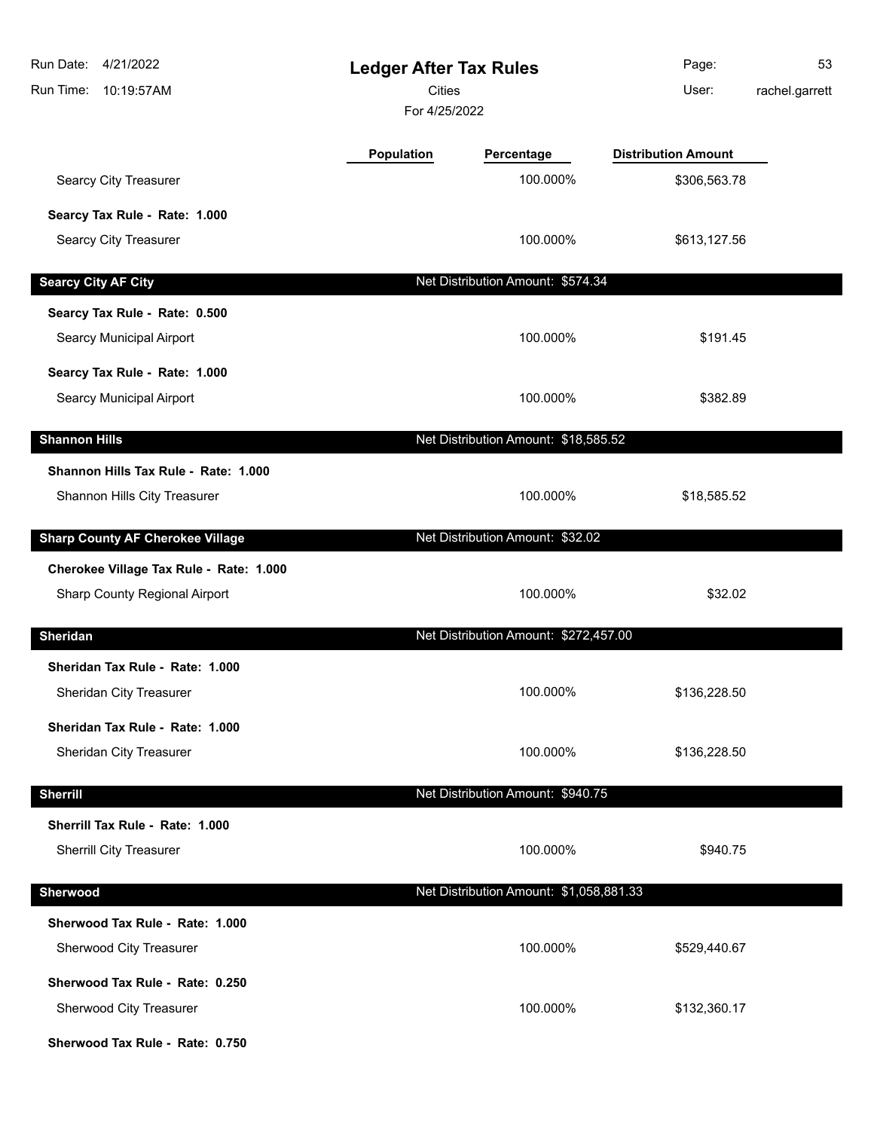| Run Date: 4/21/2022<br>Run Time:<br>10:19:57AM | <b>Ledger After Tax Rules</b><br><b>Cities</b><br>For 4/25/2022 |                                         | Page:<br>User:             | 53<br>rachel.garrett |
|------------------------------------------------|-----------------------------------------------------------------|-----------------------------------------|----------------------------|----------------------|
|                                                | Population                                                      | Percentage                              | <b>Distribution Amount</b> |                      |
| Searcy City Treasurer                          |                                                                 | 100.000%                                | \$306,563.78               |                      |
| Searcy Tax Rule - Rate: 1.000                  |                                                                 |                                         |                            |                      |
| Searcy City Treasurer                          |                                                                 | 100.000%                                | \$613,127.56               |                      |
| <b>Searcy City AF City</b>                     |                                                                 | Net Distribution Amount: \$574.34       |                            |                      |
| Searcy Tax Rule - Rate: 0.500                  |                                                                 |                                         |                            |                      |
| <b>Searcy Municipal Airport</b>                |                                                                 | 100.000%                                | \$191.45                   |                      |
| Searcy Tax Rule - Rate: 1.000                  |                                                                 |                                         |                            |                      |
| Searcy Municipal Airport                       |                                                                 | 100.000%                                | \$382.89                   |                      |
| <b>Shannon Hills</b>                           |                                                                 | Net Distribution Amount: \$18,585.52    |                            |                      |
| Shannon Hills Tax Rule - Rate: 1.000           |                                                                 |                                         |                            |                      |
| Shannon Hills City Treasurer                   |                                                                 | 100.000%                                | \$18,585.52                |                      |
| <b>Sharp County AF Cherokee Village</b>        |                                                                 | Net Distribution Amount: \$32.02        |                            |                      |
| Cherokee Village Tax Rule - Rate: 1.000        |                                                                 |                                         |                            |                      |
| Sharp County Regional Airport                  |                                                                 | 100.000%                                | \$32.02                    |                      |
| <b>Sheridan</b>                                |                                                                 | Net Distribution Amount: \$272,457.00   |                            |                      |
| Sheridan Tax Rule - Rate: 1.000                |                                                                 |                                         |                            |                      |
| Sheridan City Treasurer                        |                                                                 | 100.000%                                | \$136,228.50               |                      |
| Sheridan Tax Rule - Rate: 1.000                |                                                                 |                                         |                            |                      |
| Sheridan City Treasurer                        |                                                                 | 100.000%                                | \$136,228.50               |                      |
| Sherrill                                       |                                                                 | Net Distribution Amount: \$940.75       |                            |                      |
| Sherrill Tax Rule - Rate: 1.000                |                                                                 |                                         |                            |                      |
| <b>Sherrill City Treasurer</b>                 |                                                                 | 100.000%                                | \$940.75                   |                      |
| Sherwood                                       |                                                                 | Net Distribution Amount: \$1,058,881.33 |                            |                      |
| Sherwood Tax Rule - Rate: 1.000                |                                                                 |                                         |                            |                      |
| Sherwood City Treasurer                        |                                                                 | 100.000%                                | \$529,440.67               |                      |
| Sherwood Tax Rule - Rate: 0.250                |                                                                 |                                         |                            |                      |
| Sherwood City Treasurer                        |                                                                 | 100.000%                                | \$132,360.17               |                      |
| Sherwood Tax Rule - Rate: 0.750                |                                                                 |                                         |                            |                      |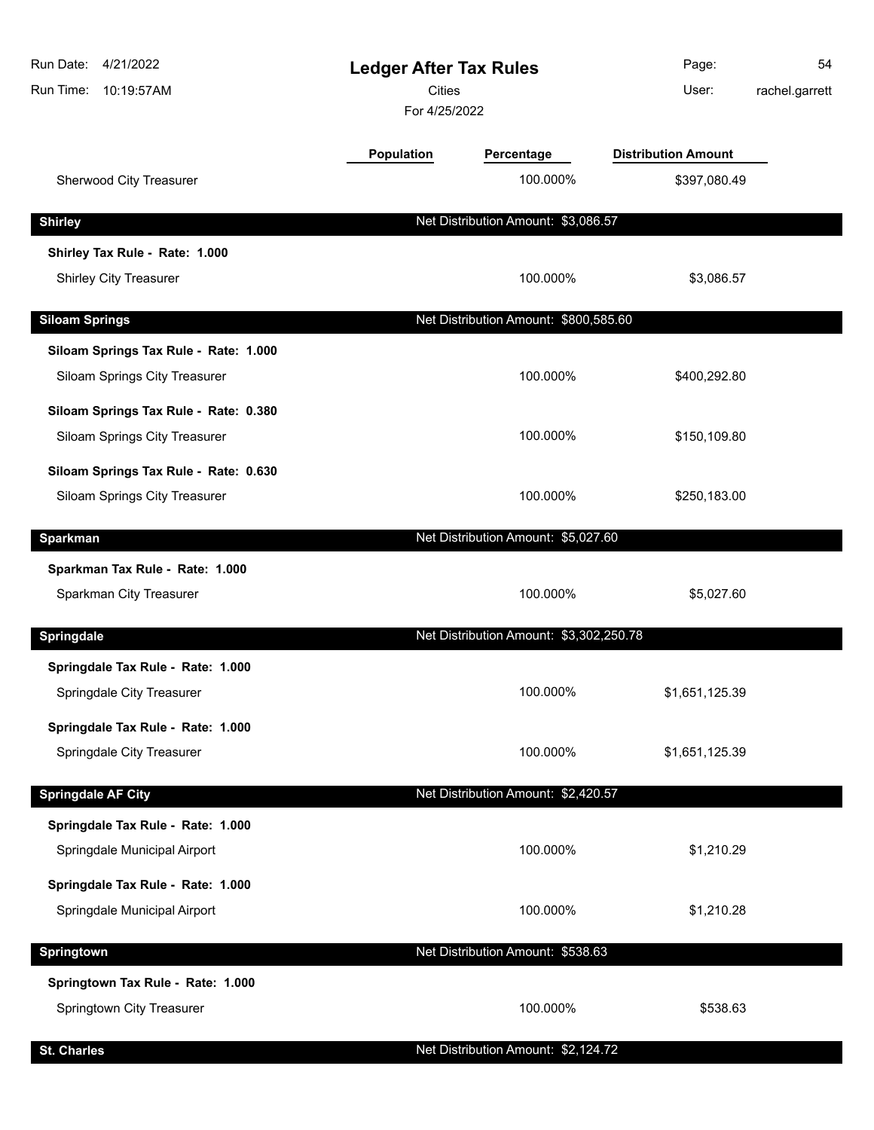| Run Date: 4/21/2022<br>Run Time:<br>10:19:57AM | <b>Ledger After Tax Rules</b><br><b>Cities</b><br>For 4/25/2022 |                                         | Page:<br>User:             | 54<br>rachel.garrett |
|------------------------------------------------|-----------------------------------------------------------------|-----------------------------------------|----------------------------|----------------------|
|                                                | <b>Population</b>                                               | Percentage                              | <b>Distribution Amount</b> |                      |
| Sherwood City Treasurer                        |                                                                 | 100.000%                                | \$397,080.49               |                      |
| <b>Shirley</b>                                 |                                                                 | Net Distribution Amount: \$3,086.57     |                            |                      |
| Shirley Tax Rule - Rate: 1.000                 |                                                                 |                                         |                            |                      |
| <b>Shirley City Treasurer</b>                  |                                                                 | 100.000%                                | \$3,086.57                 |                      |
| <b>Siloam Springs</b>                          |                                                                 | Net Distribution Amount: \$800,585.60   |                            |                      |
| Siloam Springs Tax Rule - Rate: 1.000          |                                                                 |                                         |                            |                      |
| Siloam Springs City Treasurer                  |                                                                 | 100.000%                                | \$400,292.80               |                      |
| Siloam Springs Tax Rule - Rate: 0.380          |                                                                 |                                         |                            |                      |
| Siloam Springs City Treasurer                  |                                                                 | 100.000%                                | \$150,109.80               |                      |
| Siloam Springs Tax Rule - Rate: 0.630          |                                                                 |                                         |                            |                      |
| Siloam Springs City Treasurer                  |                                                                 | 100.000%                                | \$250,183.00               |                      |
| Sparkman                                       |                                                                 | Net Distribution Amount: \$5,027.60     |                            |                      |
| Sparkman Tax Rule - Rate: 1.000                |                                                                 |                                         |                            |                      |
| Sparkman City Treasurer                        |                                                                 | 100.000%                                | \$5,027.60                 |                      |
| <b>Springdale</b>                              |                                                                 | Net Distribution Amount: \$3,302,250.78 |                            |                      |
| Springdale Tax Rule - Rate: 1.000              |                                                                 |                                         |                            |                      |
| Springdale City Treasurer                      |                                                                 | 100.000%                                | \$1,651,125.39             |                      |
| Springdale Tax Rule - Rate: 1.000              |                                                                 |                                         |                            |                      |
| Springdale City Treasurer                      |                                                                 | 100.000%                                | \$1,651,125.39             |                      |
| <b>Springdale AF City</b>                      |                                                                 | Net Distribution Amount: \$2,420.57     |                            |                      |
| Springdale Tax Rule - Rate: 1.000              |                                                                 |                                         |                            |                      |
| Springdale Municipal Airport                   |                                                                 | 100.000%                                | \$1,210.29                 |                      |
| Springdale Tax Rule - Rate: 1.000              |                                                                 |                                         |                            |                      |
| Springdale Municipal Airport                   |                                                                 | 100.000%                                | \$1,210.28                 |                      |
| Springtown                                     |                                                                 | Net Distribution Amount: \$538.63       |                            |                      |
| Springtown Tax Rule - Rate: 1.000              |                                                                 |                                         |                            |                      |
| Springtown City Treasurer                      |                                                                 | 100.000%                                | \$538.63                   |                      |
| <b>St. Charles</b>                             |                                                                 | Net Distribution Amount: \$2,124.72     |                            |                      |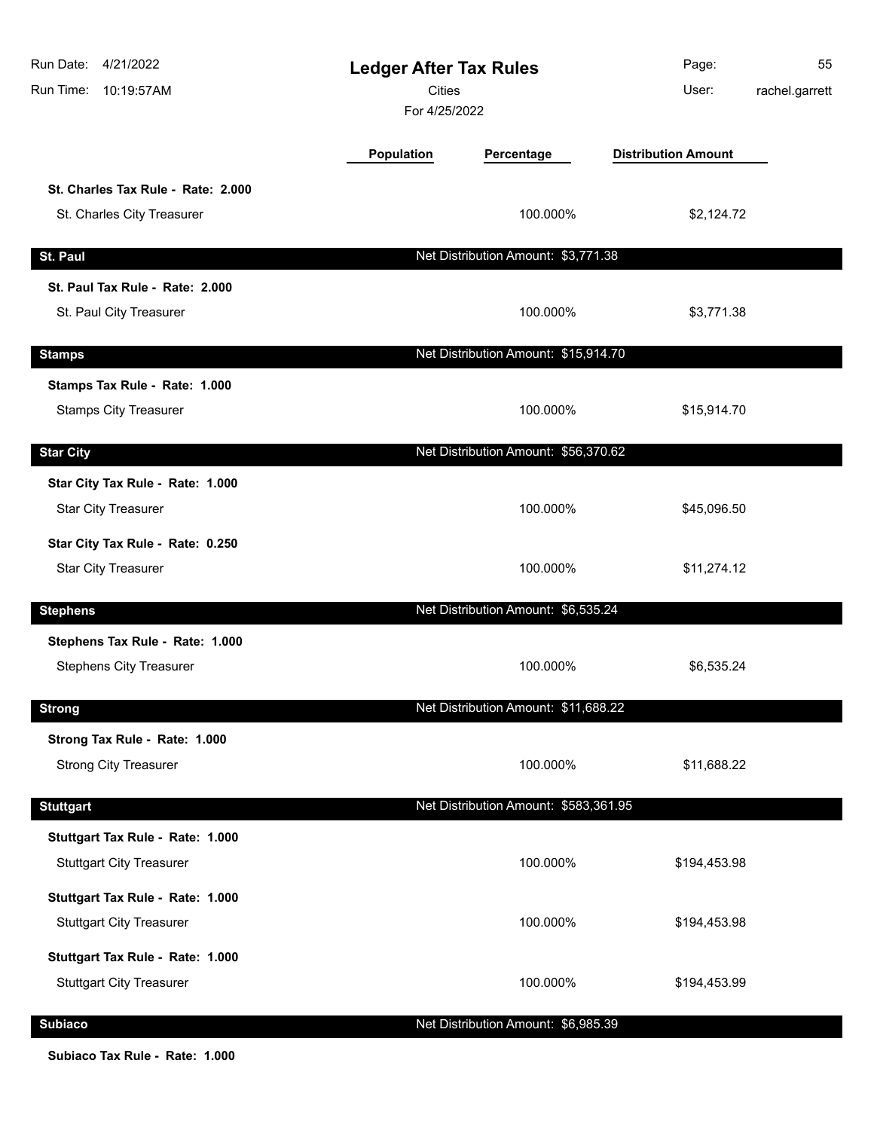| Run Date: 4/21/2022<br>Run Time: 10:19:57AM                         | <b>Ledger After Tax Rules</b><br><b>Cities</b><br>For 4/25/2022 |                                       | Page:<br>User:             | 55<br>rachel.garrett |
|---------------------------------------------------------------------|-----------------------------------------------------------------|---------------------------------------|----------------------------|----------------------|
|                                                                     | <b>Population</b>                                               | Percentage                            | <b>Distribution Amount</b> |                      |
| St. Charles Tax Rule - Rate: 2.000<br>St. Charles City Treasurer    |                                                                 | 100.000%                              | \$2,124.72                 |                      |
| St. Paul                                                            |                                                                 | Net Distribution Amount: \$3,771.38   |                            |                      |
| St. Paul Tax Rule - Rate: 2.000                                     |                                                                 |                                       |                            |                      |
| St. Paul City Treasurer                                             |                                                                 | 100.000%                              | \$3,771.38                 |                      |
| <b>Stamps</b>                                                       |                                                                 | Net Distribution Amount: \$15,914.70  |                            |                      |
| Stamps Tax Rule - Rate: 1.000<br><b>Stamps City Treasurer</b>       |                                                                 | 100.000%                              | \$15,914.70                |                      |
| <b>Star City</b>                                                    |                                                                 | Net Distribution Amount: \$56,370.62  |                            |                      |
| Star City Tax Rule - Rate: 1.000<br><b>Star City Treasurer</b>      |                                                                 | 100.000%                              | \$45,096.50                |                      |
| Star City Tax Rule - Rate: 0.250<br><b>Star City Treasurer</b>      |                                                                 | 100.000%                              | \$11,274.12                |                      |
| <b>Stephens</b>                                                     |                                                                 | Net Distribution Amount: \$6,535.24   |                            |                      |
| Stephens Tax Rule - Rate: 1.000<br><b>Stephens City Treasurer</b>   |                                                                 | 100.000%                              | \$6,535.24                 |                      |
| <b>Strong</b>                                                       |                                                                 | Net Distribution Amount: \$11,688.22  |                            |                      |
| Strong Tax Rule - Rate: 1.000<br><b>Strong City Treasurer</b>       |                                                                 | 100.000%                              | \$11,688.22                |                      |
| <b>Stuttgart</b>                                                    |                                                                 | Net Distribution Amount: \$583,361.95 |                            |                      |
| Stuttgart Tax Rule - Rate: 1.000<br><b>Stuttgart City Treasurer</b> |                                                                 | 100.000%                              | \$194,453.98               |                      |
| Stuttgart Tax Rule - Rate: 1.000<br><b>Stuttgart City Treasurer</b> |                                                                 | 100.000%                              | \$194,453.98               |                      |
| Stuttgart Tax Rule - Rate: 1.000<br><b>Stuttgart City Treasurer</b> |                                                                 | 100.000%                              | \$194,453.99               |                      |
| <b>Subiaco</b>                                                      |                                                                 | Net Distribution Amount: \$6,985.39   |                            |                      |

**Subiaco Tax Rule - Rate: 1.000**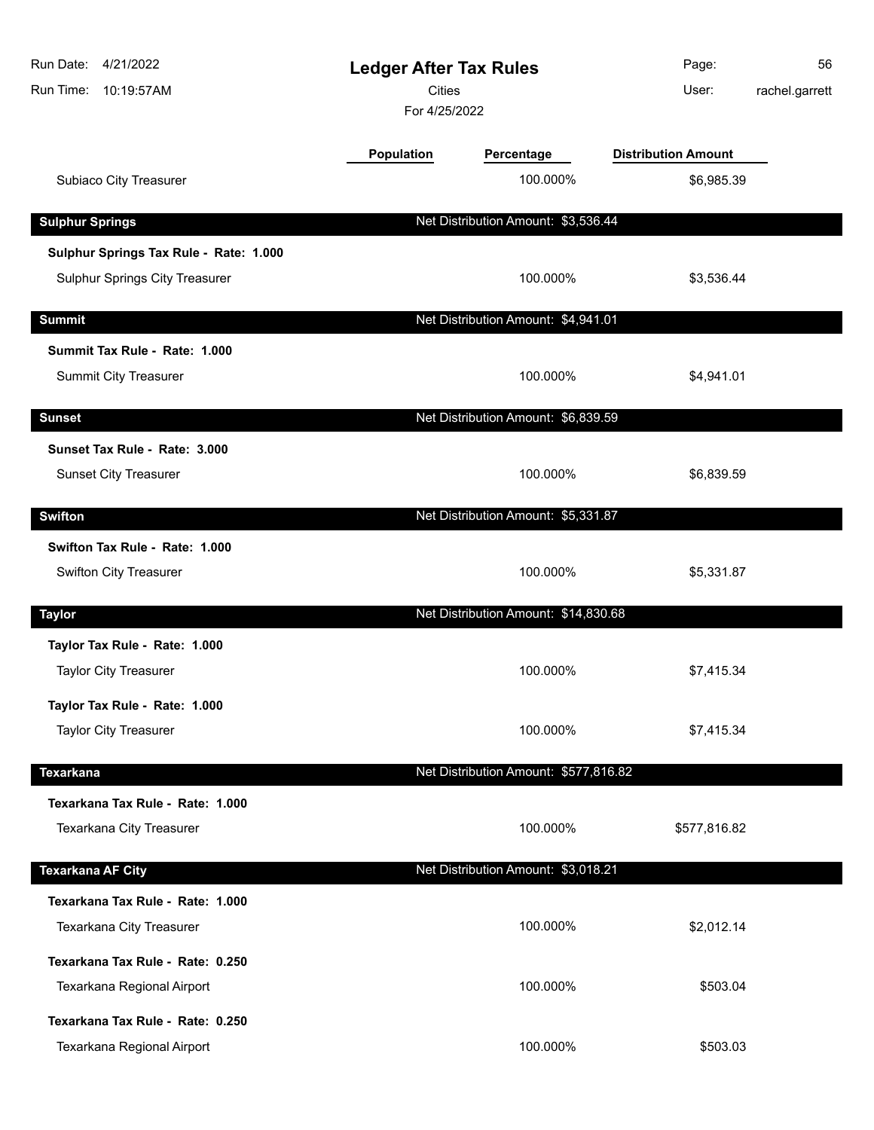| Run Date:<br>4/21/2022<br>Run Time:<br>10:19:57AM              | <b>Ledger After Tax Rules</b><br><b>Cities</b><br>For 4/25/2022 |                                       | Page:<br>User:             | 56<br>rachel.garrett |
|----------------------------------------------------------------|-----------------------------------------------------------------|---------------------------------------|----------------------------|----------------------|
|                                                                | Population                                                      | Percentage                            | <b>Distribution Amount</b> |                      |
| Subiaco City Treasurer                                         |                                                                 | 100.000%                              | \$6,985.39                 |                      |
| <b>Sulphur Springs</b>                                         |                                                                 | Net Distribution Amount: \$3,536.44   |                            |                      |
| Sulphur Springs Tax Rule - Rate: 1.000                         |                                                                 |                                       |                            |                      |
| Sulphur Springs City Treasurer                                 |                                                                 | 100.000%                              | \$3,536.44                 |                      |
| <b>Summit</b>                                                  |                                                                 | Net Distribution Amount: \$4,941.01   |                            |                      |
| Summit Tax Rule - Rate: 1.000                                  |                                                                 |                                       |                            |                      |
| <b>Summit City Treasurer</b>                                   |                                                                 | 100.000%                              | \$4,941.01                 |                      |
| <b>Sunset</b>                                                  |                                                                 | Net Distribution Amount: \$6,839.59   |                            |                      |
| Sunset Tax Rule - Rate: 3.000<br><b>Sunset City Treasurer</b>  |                                                                 | 100.000%                              | \$6,839.59                 |                      |
| <b>Swifton</b>                                                 |                                                                 | Net Distribution Amount: \$5,331.87   |                            |                      |
| Swifton Tax Rule - Rate: 1.000<br>Swifton City Treasurer       |                                                                 | 100.000%                              | \$5,331.87                 |                      |
| <b>Taylor</b>                                                  |                                                                 | Net Distribution Amount: \$14,830.68  |                            |                      |
| Taylor Tax Rule - Rate: 1.000<br><b>Taylor City Treasurer</b>  |                                                                 | 100.000%                              | \$7,415.34                 |                      |
| Taylor Tax Rule - Rate: 1.000<br><b>Taylor City Treasurer</b>  |                                                                 | 100.000%                              | \$7,415.34                 |                      |
| <b>Texarkana</b>                                               |                                                                 | Net Distribution Amount: \$577,816.82 |                            |                      |
| Texarkana Tax Rule - Rate: 1.000<br>Texarkana City Treasurer   |                                                                 | 100.000%                              | \$577,816.82               |                      |
| <b>Texarkana AF City</b>                                       |                                                                 | Net Distribution Amount: \$3,018.21   |                            |                      |
| Texarkana Tax Rule - Rate: 1.000<br>Texarkana City Treasurer   |                                                                 | 100.000%                              | \$2,012.14                 |                      |
| Texarkana Tax Rule - Rate: 0.250<br>Texarkana Regional Airport |                                                                 | 100.000%                              | \$503.04                   |                      |
| Texarkana Tax Rule - Rate: 0.250<br>Texarkana Regional Airport |                                                                 | 100.000%                              | \$503.03                   |                      |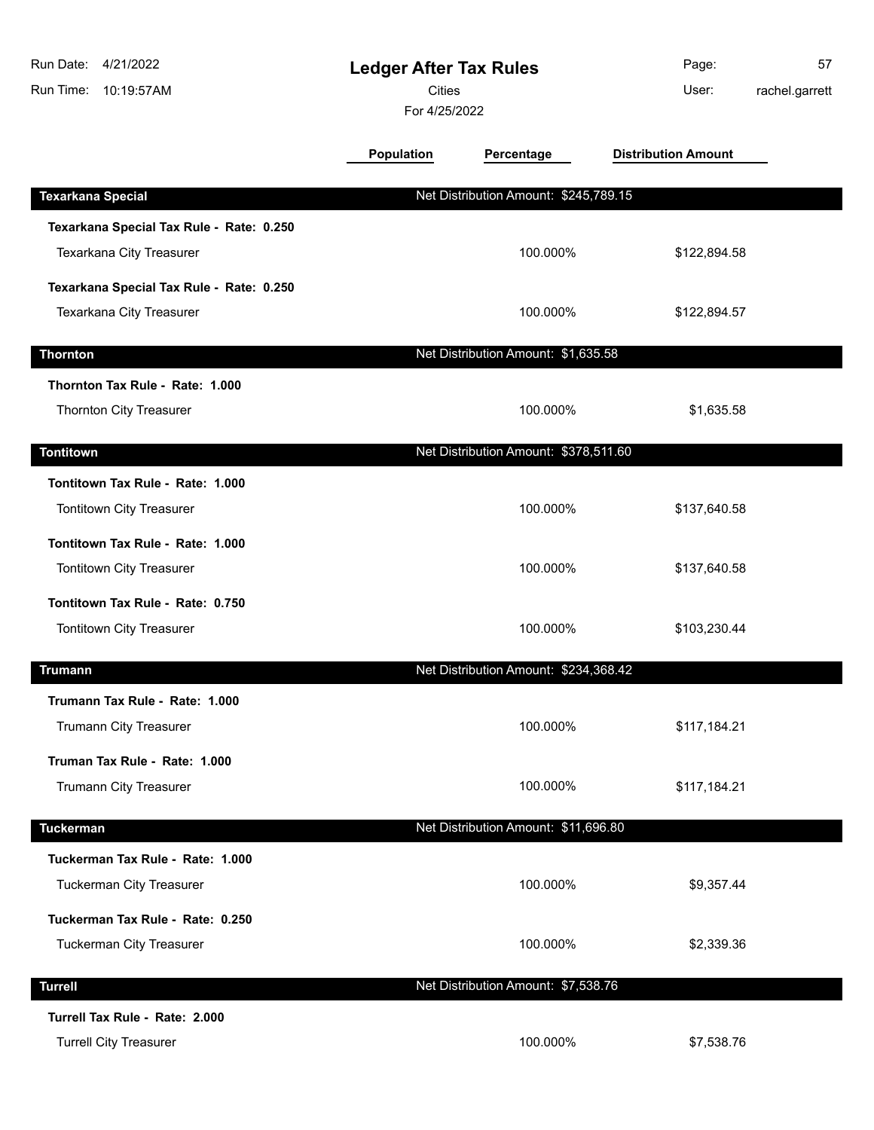| Run Date: 4/21/2022<br>Run Time: 10:19:57AM | <b>Ledger After Tax Rules</b><br><b>Cities</b><br>For 4/25/2022 |                                       | Page:<br>User:             | 57<br>rachel.garrett |
|---------------------------------------------|-----------------------------------------------------------------|---------------------------------------|----------------------------|----------------------|
|                                             | <b>Population</b>                                               | Percentage                            | <b>Distribution Amount</b> |                      |
| <b>Texarkana Special</b>                    |                                                                 | Net Distribution Amount: \$245,789.15 |                            |                      |
| Texarkana Special Tax Rule - Rate: 0.250    |                                                                 |                                       |                            |                      |
| Texarkana City Treasurer                    |                                                                 | 100.000%                              | \$122,894.58               |                      |
| Texarkana Special Tax Rule - Rate: 0.250    |                                                                 |                                       |                            |                      |
| Texarkana City Treasurer                    |                                                                 | 100.000%                              | \$122,894.57               |                      |
| <b>Thornton</b>                             |                                                                 | Net Distribution Amount: \$1,635.58   |                            |                      |
| Thornton Tax Rule - Rate: 1.000             |                                                                 |                                       |                            |                      |
| <b>Thornton City Treasurer</b>              |                                                                 | 100.000%                              | \$1,635.58                 |                      |
| <b>Tontitown</b>                            |                                                                 | Net Distribution Amount: \$378,511.60 |                            |                      |
| Tontitown Tax Rule - Rate: 1.000            |                                                                 |                                       |                            |                      |
| <b>Tontitown City Treasurer</b>             |                                                                 | 100.000%                              | \$137,640.58               |                      |
| Tontitown Tax Rule - Rate: 1.000            |                                                                 |                                       |                            |                      |
| Tontitown City Treasurer                    |                                                                 | 100.000%                              | \$137,640.58               |                      |
| Tontitown Tax Rule - Rate: 0.750            |                                                                 |                                       |                            |                      |
| <b>Tontitown City Treasurer</b>             |                                                                 | 100.000%                              | \$103,230.44               |                      |
| <b>Trumann</b>                              |                                                                 | Net Distribution Amount: \$234,368.42 |                            |                      |
| Trumann Tax Rule - Rate: 1.000              |                                                                 |                                       |                            |                      |
| Trumann City Treasurer                      |                                                                 | 100.000%                              | \$117,184.21               |                      |
| Truman Tax Rule - Rate: 1.000               |                                                                 |                                       |                            |                      |
| Trumann City Treasurer                      |                                                                 | 100.000%                              | \$117,184.21               |                      |
| <b>Tuckerman</b>                            |                                                                 | Net Distribution Amount: \$11,696.80  |                            |                      |
| Tuckerman Tax Rule - Rate: 1.000            |                                                                 |                                       |                            |                      |
| <b>Tuckerman City Treasurer</b>             |                                                                 | 100.000%                              | \$9,357.44                 |                      |
| Tuckerman Tax Rule - Rate: 0.250            |                                                                 |                                       |                            |                      |
| <b>Tuckerman City Treasurer</b>             |                                                                 | 100.000%                              | \$2,339.36                 |                      |
| <b>Turrell</b>                              |                                                                 | Net Distribution Amount: \$7,538.76   |                            |                      |
| Turrell Tax Rule - Rate: 2.000              |                                                                 |                                       |                            |                      |
| <b>Turrell City Treasurer</b>               |                                                                 | 100.000%                              | \$7,538.76                 |                      |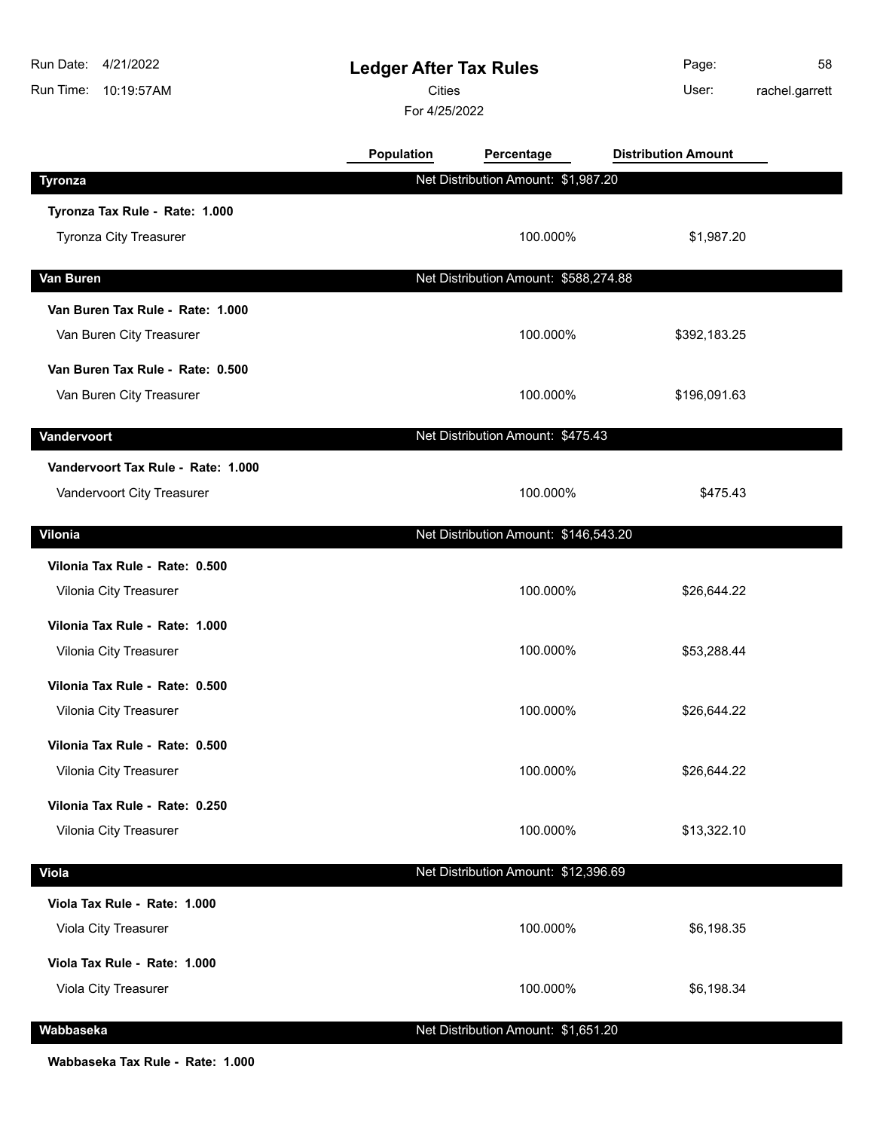| Run Date:<br>4/21/2022<br>Run Time: 10:19:57AM | <b>Ledger After Tax Rules</b><br><b>Cities</b><br>For 4/25/2022 |                                       | Page:<br>User:             | 58<br>rachel.garrett |
|------------------------------------------------|-----------------------------------------------------------------|---------------------------------------|----------------------------|----------------------|
|                                                | <b>Population</b>                                               | Percentage                            | <b>Distribution Amount</b> |                      |
| <b>Tyronza</b>                                 |                                                                 | Net Distribution Amount: \$1,987.20   |                            |                      |
| Tyronza Tax Rule - Rate: 1.000                 |                                                                 |                                       |                            |                      |
| Tyronza City Treasurer                         |                                                                 | 100.000%                              | \$1,987.20                 |                      |
| Van Buren                                      |                                                                 | Net Distribution Amount: \$588,274.88 |                            |                      |
| Van Buren Tax Rule - Rate: 1.000               |                                                                 |                                       |                            |                      |
| Van Buren City Treasurer                       |                                                                 | 100.000%                              | \$392,183.25               |                      |
| Van Buren Tax Rule - Rate: 0.500               |                                                                 |                                       |                            |                      |
| Van Buren City Treasurer                       |                                                                 | 100.000%                              | \$196,091.63               |                      |
| Vandervoort                                    |                                                                 | Net Distribution Amount: \$475.43     |                            |                      |
| Vandervoort Tax Rule - Rate: 1.000             |                                                                 |                                       |                            |                      |
| Vandervoort City Treasurer                     |                                                                 | 100.000%                              | \$475.43                   |                      |
| Vilonia                                        |                                                                 | Net Distribution Amount: \$146,543.20 |                            |                      |
| Vilonia Tax Rule - Rate: 0.500                 |                                                                 |                                       |                            |                      |
| Vilonia City Treasurer                         |                                                                 | 100.000%                              | \$26,644.22                |                      |
| Vilonia Tax Rule - Rate: 1.000                 |                                                                 |                                       |                            |                      |
| Vilonia City Treasurer                         |                                                                 | 100.000%                              | \$53,288.44                |                      |
| Vilonia Tax Rule - Rate: 0.500                 |                                                                 |                                       |                            |                      |
| Vilonia City Treasurer                         |                                                                 | 100.000%                              | \$26,644.22                |                      |
| Vilonia Tax Rule - Rate: 0.500                 |                                                                 |                                       |                            |                      |
| Vilonia City Treasurer                         |                                                                 | 100.000%                              | \$26,644.22                |                      |
| Vilonia Tax Rule - Rate: 0.250                 |                                                                 |                                       |                            |                      |
| Vilonia City Treasurer                         |                                                                 | 100.000%                              | \$13,322.10                |                      |
| <b>Viola</b>                                   |                                                                 | Net Distribution Amount: \$12,396.69  |                            |                      |
| Viola Tax Rule - Rate: 1.000                   |                                                                 |                                       |                            |                      |
| Viola City Treasurer                           |                                                                 | 100.000%                              | \$6,198.35                 |                      |
| Viola Tax Rule - Rate: 1.000                   |                                                                 |                                       |                            |                      |
| Viola City Treasurer                           |                                                                 | 100.000%                              | \$6,198.34                 |                      |
| Wabbaseka                                      |                                                                 | Net Distribution Amount: \$1,651.20   |                            |                      |

**Wabbaseka Tax Rule - Rate: 1.000**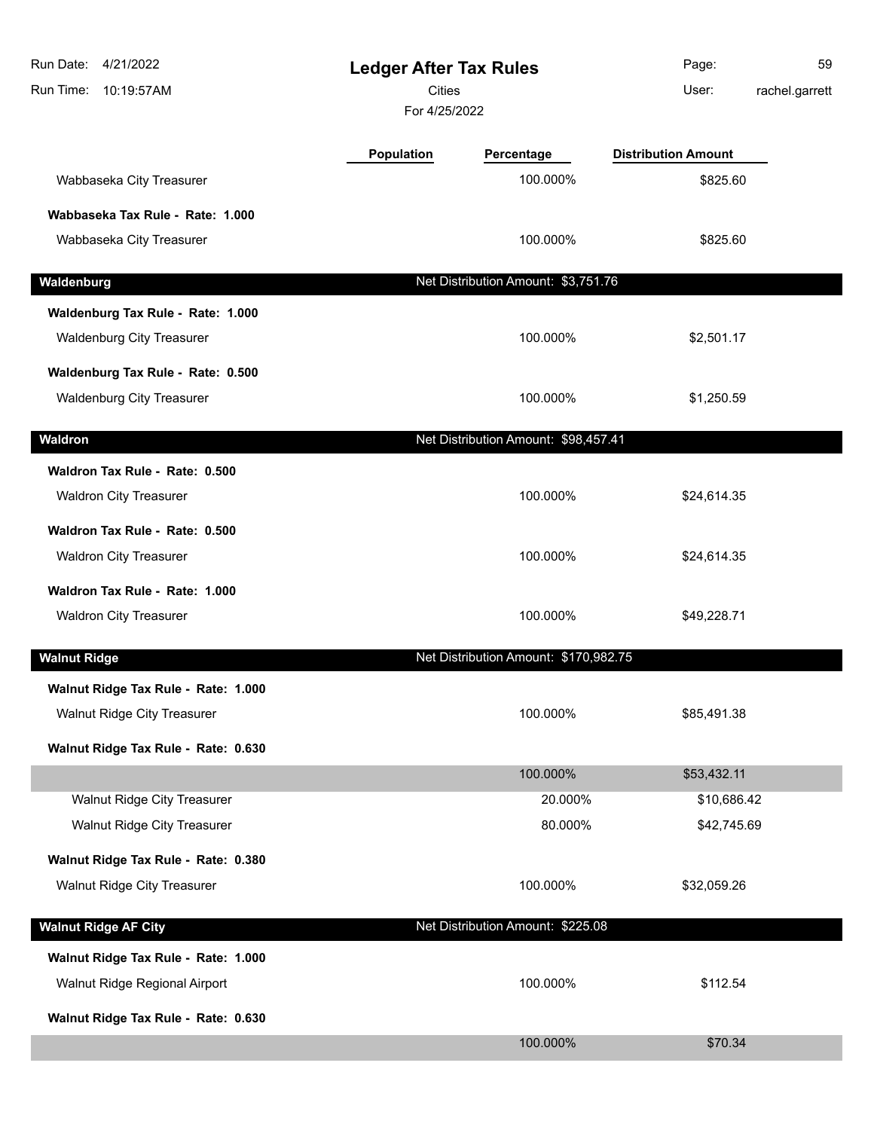| Run Date:<br>4/21/2022<br>Run Time:<br>10:19:57AM | <b>Ledger After Tax Rules</b><br><b>Cities</b><br>For 4/25/2022 |                                       | Page:<br>User:             | 59<br>rachel.garrett |
|---------------------------------------------------|-----------------------------------------------------------------|---------------------------------------|----------------------------|----------------------|
|                                                   | <b>Population</b>                                               | Percentage                            | <b>Distribution Amount</b> |                      |
| Wabbaseka City Treasurer                          |                                                                 | 100.000%                              | \$825.60                   |                      |
| Wabbaseka Tax Rule - Rate: 1.000                  |                                                                 |                                       |                            |                      |
| Wabbaseka City Treasurer                          |                                                                 | 100.000%                              | \$825.60                   |                      |
| Waldenburg                                        |                                                                 | Net Distribution Amount: \$3,751.76   |                            |                      |
| Waldenburg Tax Rule - Rate: 1.000                 |                                                                 |                                       |                            |                      |
| <b>Waldenburg City Treasurer</b>                  |                                                                 | 100.000%                              | \$2,501.17                 |                      |
| Waldenburg Tax Rule - Rate: 0.500                 |                                                                 |                                       |                            |                      |
| <b>Waldenburg City Treasurer</b>                  |                                                                 | 100.000%                              | \$1,250.59                 |                      |
| Waldron                                           |                                                                 | Net Distribution Amount: \$98,457.41  |                            |                      |
| Waldron Tax Rule - Rate: 0.500                    |                                                                 |                                       |                            |                      |
| <b>Waldron City Treasurer</b>                     |                                                                 | 100.000%                              | \$24,614.35                |                      |
| Waldron Tax Rule - Rate: 0.500                    |                                                                 |                                       |                            |                      |
| <b>Waldron City Treasurer</b>                     |                                                                 | 100.000%                              | \$24,614.35                |                      |
| Waldron Tax Rule - Rate: 1.000                    |                                                                 |                                       |                            |                      |
| <b>Waldron City Treasurer</b>                     |                                                                 | 100.000%                              | \$49,228.71                |                      |
| <b>Walnut Ridge</b>                               |                                                                 | Net Distribution Amount: \$170,982.75 |                            |                      |
| Walnut Ridge Tax Rule - Rate: 1.000               |                                                                 |                                       |                            |                      |
| <b>Walnut Ridge City Treasurer</b>                |                                                                 | 100.000%                              | \$85,491.38                |                      |
| Walnut Ridge Tax Rule - Rate: 0.630               |                                                                 |                                       |                            |                      |
|                                                   |                                                                 | 100.000%                              | \$53,432.11                |                      |
| Walnut Ridge City Treasurer                       |                                                                 | 20.000%                               | \$10,686.42                |                      |
| <b>Walnut Ridge City Treasurer</b>                |                                                                 | 80.000%                               | \$42,745.69                |                      |
| Walnut Ridge Tax Rule - Rate: 0.380               |                                                                 |                                       |                            |                      |
| <b>Walnut Ridge City Treasurer</b>                |                                                                 | 100.000%                              | \$32,059.26                |                      |
| <b>Walnut Ridge AF City</b>                       |                                                                 | Net Distribution Amount: \$225.08     |                            |                      |
| Walnut Ridge Tax Rule - Rate: 1.000               |                                                                 |                                       |                            |                      |
| Walnut Ridge Regional Airport                     |                                                                 | 100.000%                              | \$112.54                   |                      |
| Walnut Ridge Tax Rule - Rate: 0.630               |                                                                 |                                       |                            |                      |
|                                                   |                                                                 | 100.000%                              | \$70.34                    |                      |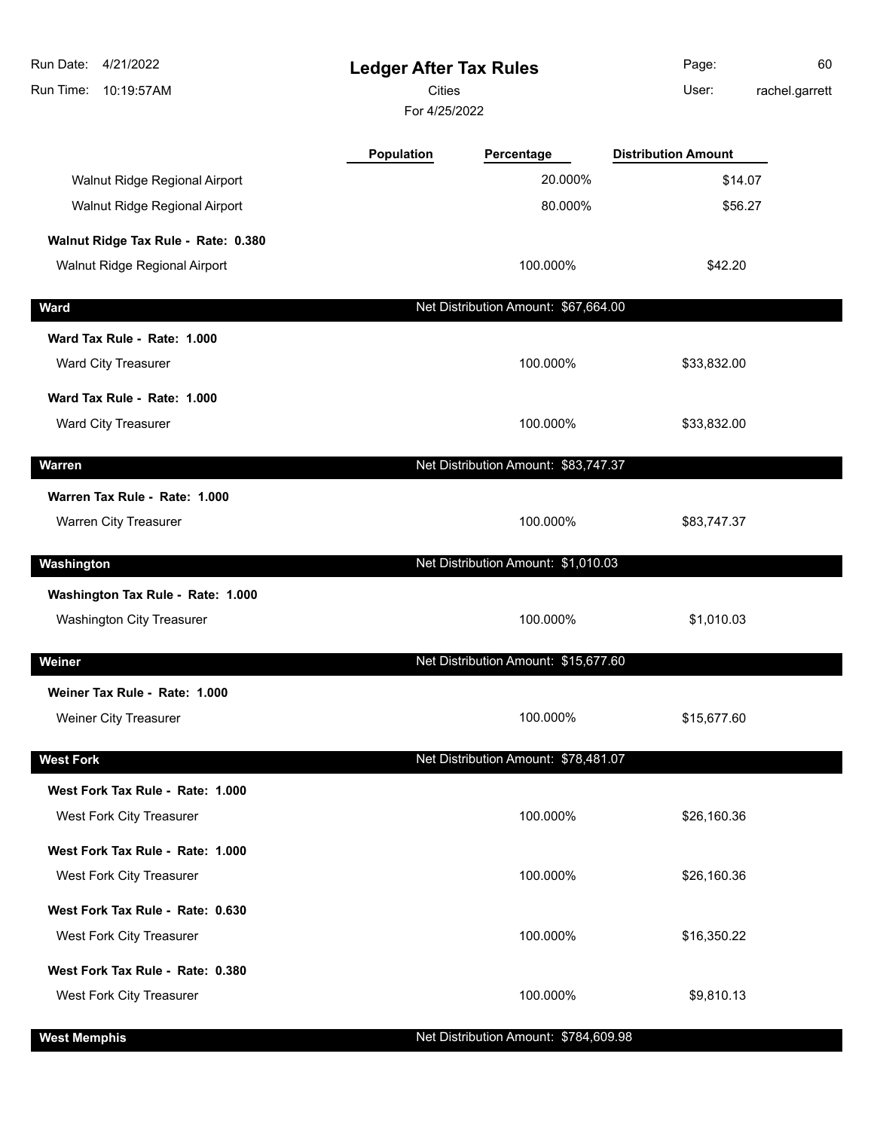| Run Date: 4/21/2022                 | <b>Ledger After Tax Rules</b> |                                       | Page:                      | 60      |
|-------------------------------------|-------------------------------|---------------------------------------|----------------------------|---------|
| Run Time:<br>10:19:57AM             |                               | <b>Cities</b>                         |                            |         |
|                                     | For 4/25/2022                 |                                       |                            |         |
|                                     | <b>Population</b>             | Percentage                            | <b>Distribution Amount</b> |         |
| Walnut Ridge Regional Airport       |                               | 20.000%                               |                            | \$14.07 |
| Walnut Ridge Regional Airport       |                               | 80.000%                               |                            | \$56.27 |
| Walnut Ridge Tax Rule - Rate: 0.380 |                               |                                       |                            |         |
| Walnut Ridge Regional Airport       |                               | 100.000%                              | \$42.20                    |         |
| <b>Ward</b>                         |                               | Net Distribution Amount: \$67,664.00  |                            |         |
| Ward Tax Rule - Rate: 1.000         |                               |                                       |                            |         |
| Ward City Treasurer                 |                               | 100.000%                              | \$33,832.00                |         |
| Ward Tax Rule - Rate: 1.000         |                               |                                       |                            |         |
| Ward City Treasurer                 |                               | 100.000%                              | \$33,832.00                |         |
| <b>Warren</b>                       |                               | Net Distribution Amount: \$83,747.37  |                            |         |
| Warren Tax Rule - Rate: 1.000       |                               |                                       |                            |         |
| Warren City Treasurer               |                               | 100.000%                              | \$83,747.37                |         |
| Washington                          |                               | Net Distribution Amount: \$1,010.03   |                            |         |
| Washington Tax Rule - Rate: 1.000   |                               |                                       |                            |         |
| <b>Washington City Treasurer</b>    |                               | 100.000%                              | \$1,010.03                 |         |
| Weiner                              |                               | Net Distribution Amount: \$15,677.60  |                            |         |
| Weiner Tax Rule - Rate: 1.000       |                               |                                       |                            |         |
| Weiner City Treasurer               |                               | 100.000%                              | \$15,677.60                |         |
| <b>West Fork</b>                    |                               | Net Distribution Amount: \$78,481.07  |                            |         |
| West Fork Tax Rule - Rate: 1.000    |                               |                                       |                            |         |
| West Fork City Treasurer            |                               | 100.000%                              | \$26,160.36                |         |
| West Fork Tax Rule - Rate: 1.000    |                               |                                       |                            |         |
| West Fork City Treasurer            |                               | 100.000%                              | \$26,160.36                |         |
| West Fork Tax Rule - Rate: 0.630    |                               |                                       |                            |         |
| West Fork City Treasurer            |                               | 100.000%                              | \$16,350.22                |         |
| West Fork Tax Rule - Rate: 0.380    |                               |                                       |                            |         |
| West Fork City Treasurer            |                               | 100.000%                              | \$9,810.13                 |         |
| <b>West Memphis</b>                 |                               | Net Distribution Amount: \$784,609.98 |                            |         |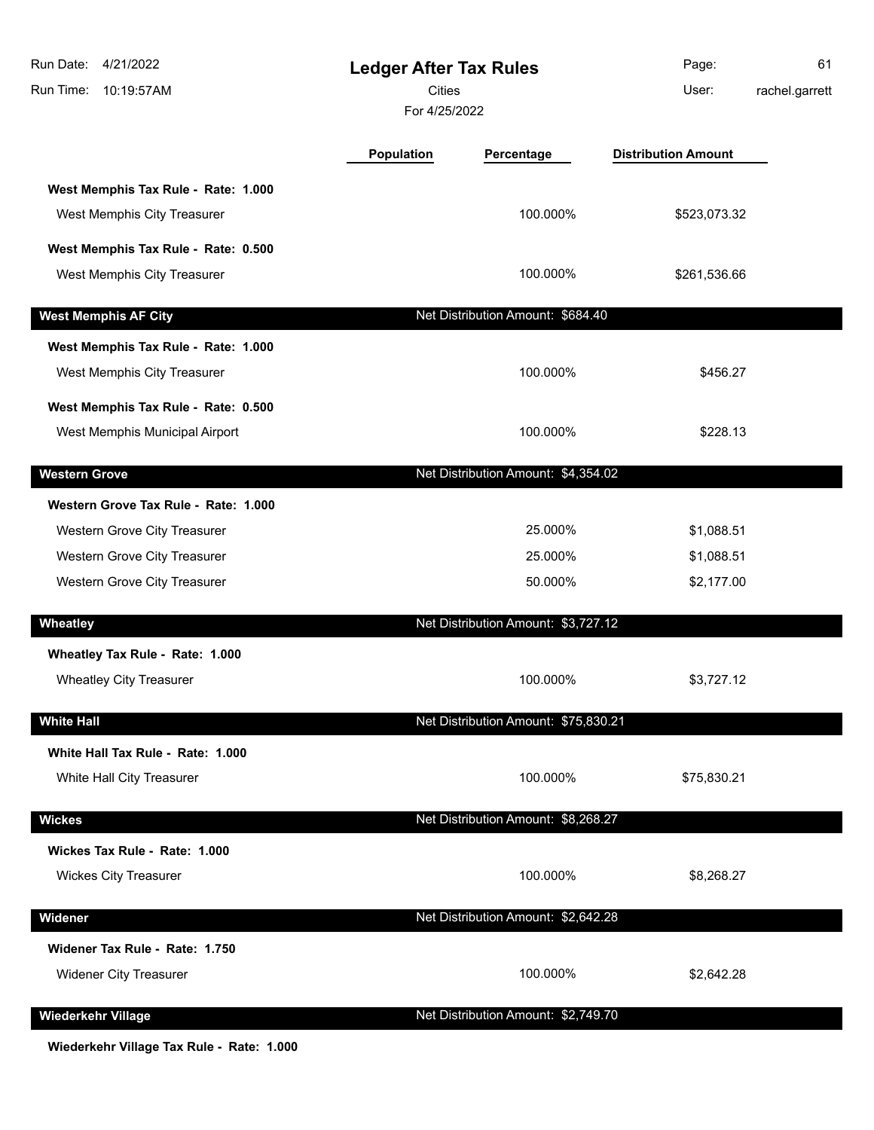| Run Date: 4/21/2022<br>Run Time: 10:19:57AM | <b>Ledger After Tax Rules</b><br><b>Cities</b><br>For 4/25/2022 |                                      | Page:<br>User:             | 61<br>rachel.garrett |
|---------------------------------------------|-----------------------------------------------------------------|--------------------------------------|----------------------------|----------------------|
|                                             | Population                                                      | Percentage                           | <b>Distribution Amount</b> |                      |
| West Memphis Tax Rule - Rate: 1.000         |                                                                 |                                      |                            |                      |
| West Memphis City Treasurer                 |                                                                 | 100.000%                             | \$523,073.32               |                      |
| West Memphis Tax Rule - Rate: 0.500         |                                                                 |                                      |                            |                      |
| West Memphis City Treasurer                 |                                                                 | 100.000%                             | \$261,536.66               |                      |
| <b>West Memphis AF City</b>                 |                                                                 | Net Distribution Amount: \$684.40    |                            |                      |
| West Memphis Tax Rule - Rate: 1.000         |                                                                 |                                      |                            |                      |
| West Memphis City Treasurer                 |                                                                 | 100.000%                             | \$456.27                   |                      |
| West Memphis Tax Rule - Rate: 0.500         |                                                                 |                                      |                            |                      |
| West Memphis Municipal Airport              |                                                                 | 100.000%                             | \$228.13                   |                      |
| <b>Western Grove</b>                        |                                                                 | Net Distribution Amount: \$4,354.02  |                            |                      |
| Western Grove Tax Rule - Rate: 1.000        |                                                                 |                                      |                            |                      |
| Western Grove City Treasurer                |                                                                 | 25.000%                              | \$1,088.51                 |                      |
| Western Grove City Treasurer                |                                                                 | 25.000%                              | \$1,088.51                 |                      |
| Western Grove City Treasurer                |                                                                 | 50.000%                              | \$2,177.00                 |                      |
| Wheatley                                    |                                                                 | Net Distribution Amount: \$3,727.12  |                            |                      |
| Wheatley Tax Rule - Rate: 1.000             |                                                                 |                                      |                            |                      |
| <b>Wheatley City Treasurer</b>              |                                                                 | 100.000%                             | \$3,727.12                 |                      |
| <b>White Hall</b>                           |                                                                 | Net Distribution Amount: \$75,830.21 |                            |                      |
| White Hall Tax Rule - Rate: 1.000           |                                                                 |                                      |                            |                      |
| White Hall City Treasurer                   |                                                                 | 100.000%                             | \$75,830.21                |                      |
| <b>Wickes</b>                               |                                                                 | Net Distribution Amount: \$8,268.27  |                            |                      |
| Wickes Tax Rule - Rate: 1.000               |                                                                 |                                      |                            |                      |
| <b>Wickes City Treasurer</b>                |                                                                 | 100.000%                             | \$8,268.27                 |                      |
| Widener                                     |                                                                 | Net Distribution Amount: \$2,642.28  |                            |                      |
| Widener Tax Rule - Rate: 1.750              |                                                                 |                                      |                            |                      |
| <b>Widener City Treasurer</b>               |                                                                 | 100.000%                             | \$2,642.28                 |                      |
|                                             |                                                                 |                                      |                            |                      |
| <b>Wiederkehr Village</b>                   |                                                                 | Net Distribution Amount: \$2,749.70  |                            |                      |

**Wiederkehr Village Tax Rule - Rate: 1.000**